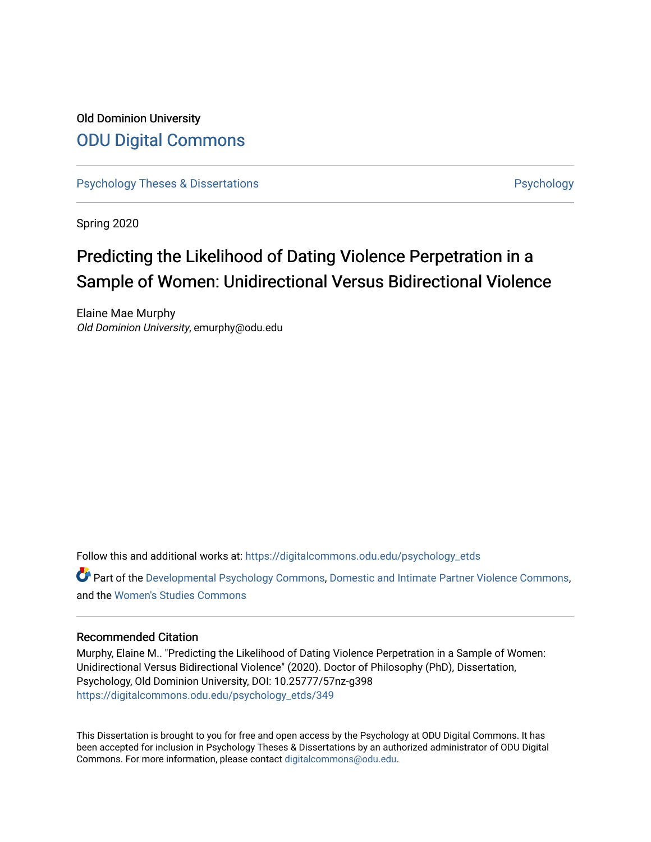# Old Dominion University [ODU Digital Commons](https://digitalcommons.odu.edu/)

[Psychology Theses & Dissertations](https://digitalcommons.odu.edu/psychology_etds) **Psychology** [Psychology](https://digitalcommons.odu.edu/psychology) **Psychology** 

Spring 2020

# Predicting the Likelihood of Dating Violence Perpetration in a Sample of Women: Unidirectional Versus Bidirectional Violence

Elaine Mae Murphy Old Dominion University, emurphy@odu.edu

Follow this and additional works at: [https://digitalcommons.odu.edu/psychology\\_etds](https://digitalcommons.odu.edu/psychology_etds?utm_source=digitalcommons.odu.edu%2Fpsychology_etds%2F349&utm_medium=PDF&utm_campaign=PDFCoverPages)

Part of the [Developmental Psychology Commons,](http://network.bepress.com/hgg/discipline/410?utm_source=digitalcommons.odu.edu%2Fpsychology_etds%2F349&utm_medium=PDF&utm_campaign=PDFCoverPages) [Domestic and Intimate Partner Violence Commons](http://network.bepress.com/hgg/discipline/1309?utm_source=digitalcommons.odu.edu%2Fpsychology_etds%2F349&utm_medium=PDF&utm_campaign=PDFCoverPages), and the [Women's Studies Commons](http://network.bepress.com/hgg/discipline/561?utm_source=digitalcommons.odu.edu%2Fpsychology_etds%2F349&utm_medium=PDF&utm_campaign=PDFCoverPages) 

#### Recommended Citation

Murphy, Elaine M.. "Predicting the Likelihood of Dating Violence Perpetration in a Sample of Women: Unidirectional Versus Bidirectional Violence" (2020). Doctor of Philosophy (PhD), Dissertation, Psychology, Old Dominion University, DOI: 10.25777/57nz-g398 [https://digitalcommons.odu.edu/psychology\\_etds/349](https://digitalcommons.odu.edu/psychology_etds/349?utm_source=digitalcommons.odu.edu%2Fpsychology_etds%2F349&utm_medium=PDF&utm_campaign=PDFCoverPages)

This Dissertation is brought to you for free and open access by the Psychology at ODU Digital Commons. It has been accepted for inclusion in Psychology Theses & Dissertations by an authorized administrator of ODU Digital Commons. For more information, please contact [digitalcommons@odu.edu](mailto:digitalcommons@odu.edu).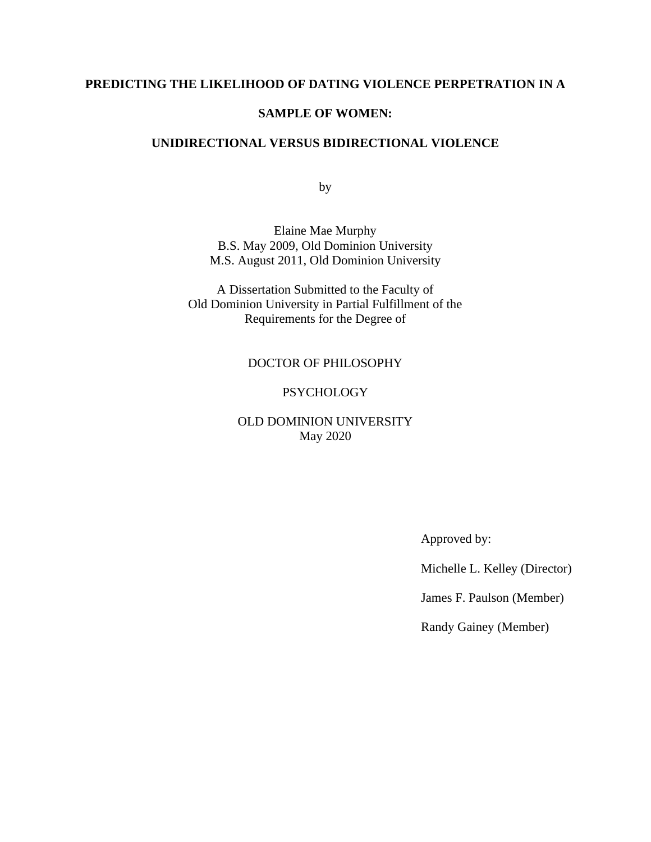# **PREDICTING THE LIKELIHOOD OF DATING VIOLENCE PERPETRATION IN A**

#### **SAMPLE OF WOMEN:**

## **UNIDIRECTIONAL VERSUS BIDIRECTIONAL VIOLENCE**

by

Elaine Mae Murphy B.S. May 2009, Old Dominion University M.S. August 2011, Old Dominion University

A Dissertation Submitted to the Faculty of Old Dominion University in Partial Fulfillment of the Requirements for the Degree of

## DOCTOR OF PHILOSOPHY

## **PSYCHOLOGY**

# OLD DOMINION UNIVERSITY May 2020

Approved by:

Michelle L. Kelley (Director)

James F. Paulson (Member)

Randy Gainey (Member)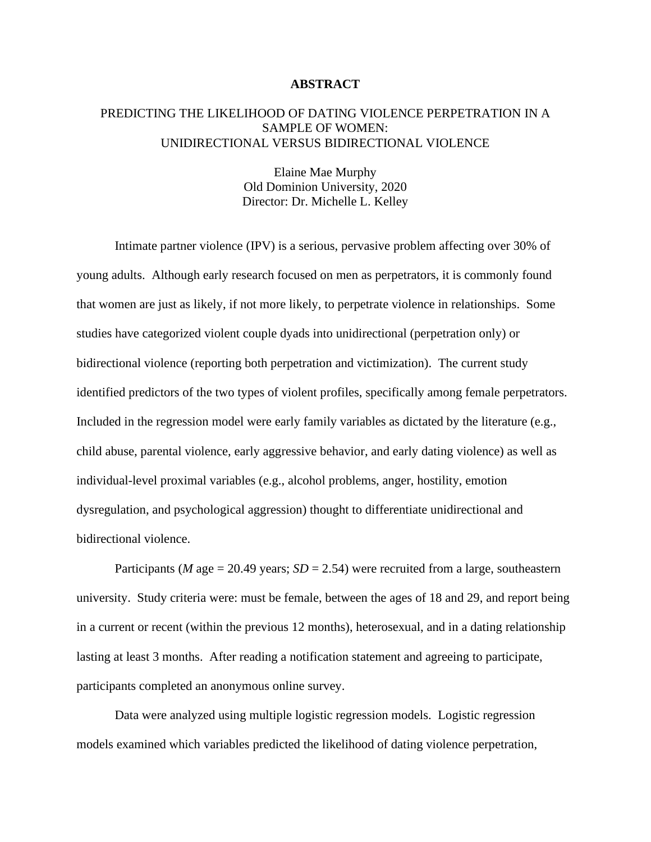#### **ABSTRACT**

## PREDICTING THE LIKELIHOOD OF DATING VIOLENCE PERPETRATION IN A SAMPLE OF WOMEN: UNIDIRECTIONAL VERSUS BIDIRECTIONAL VIOLENCE

Elaine Mae Murphy Old Dominion University, 2020 Director: Dr. Michelle L. Kelley

Intimate partner violence (IPV) is a serious, pervasive problem affecting over 30% of young adults. Although early research focused on men as perpetrators, it is commonly found that women are just as likely, if not more likely, to perpetrate violence in relationships. Some studies have categorized violent couple dyads into unidirectional (perpetration only) or bidirectional violence (reporting both perpetration and victimization). The current study identified predictors of the two types of violent profiles, specifically among female perpetrators. Included in the regression model were early family variables as dictated by the literature (e.g., child abuse, parental violence, early aggressive behavior, and early dating violence) as well as individual-level proximal variables (e.g., alcohol problems, anger, hostility, emotion dysregulation, and psychological aggression) thought to differentiate unidirectional and bidirectional violence.

Participants (*M* age = 20.49 years;  $SD = 2.54$ ) were recruited from a large, southeastern university. Study criteria were: must be female, between the ages of 18 and 29, and report being in a current or recent (within the previous 12 months), heterosexual, and in a dating relationship lasting at least 3 months. After reading a notification statement and agreeing to participate, participants completed an anonymous online survey.

Data were analyzed using multiple logistic regression models. Logistic regression models examined which variables predicted the likelihood of dating violence perpetration,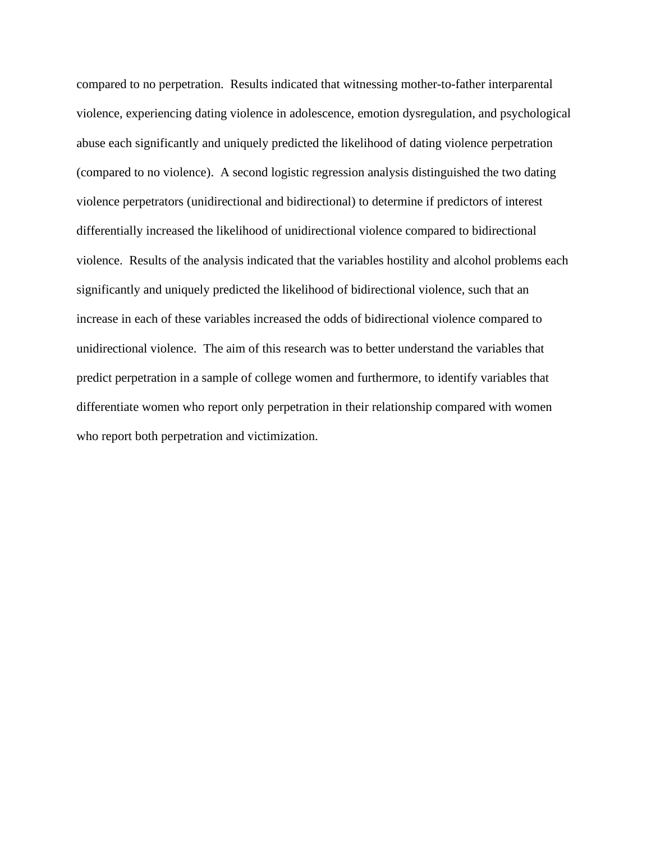compared to no perpetration. Results indicated that witnessing mother-to-father interparental violence, experiencing dating violence in adolescence, emotion dysregulation, and psychological abuse each significantly and uniquely predicted the likelihood of dating violence perpetration (compared to no violence). A second logistic regression analysis distinguished the two dating violence perpetrators (unidirectional and bidirectional) to determine if predictors of interest differentially increased the likelihood of unidirectional violence compared to bidirectional violence. Results of the analysis indicated that the variables hostility and alcohol problems each significantly and uniquely predicted the likelihood of bidirectional violence, such that an increase in each of these variables increased the odds of bidirectional violence compared to unidirectional violence. The aim of this research was to better understand the variables that predict perpetration in a sample of college women and furthermore, to identify variables that differentiate women who report only perpetration in their relationship compared with women who report both perpetration and victimization.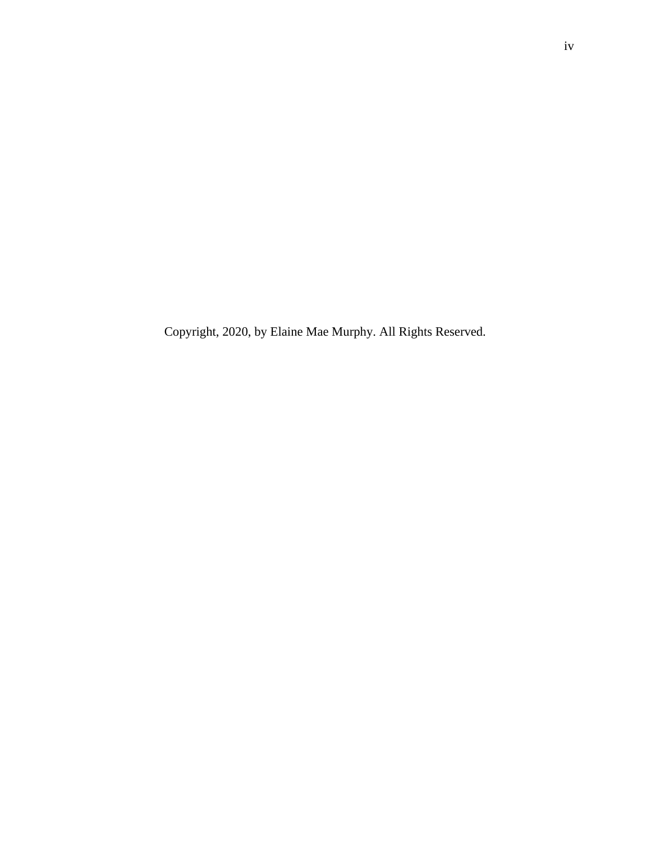Copyright, 2020, by Elaine Mae Murphy. All Rights Reserved.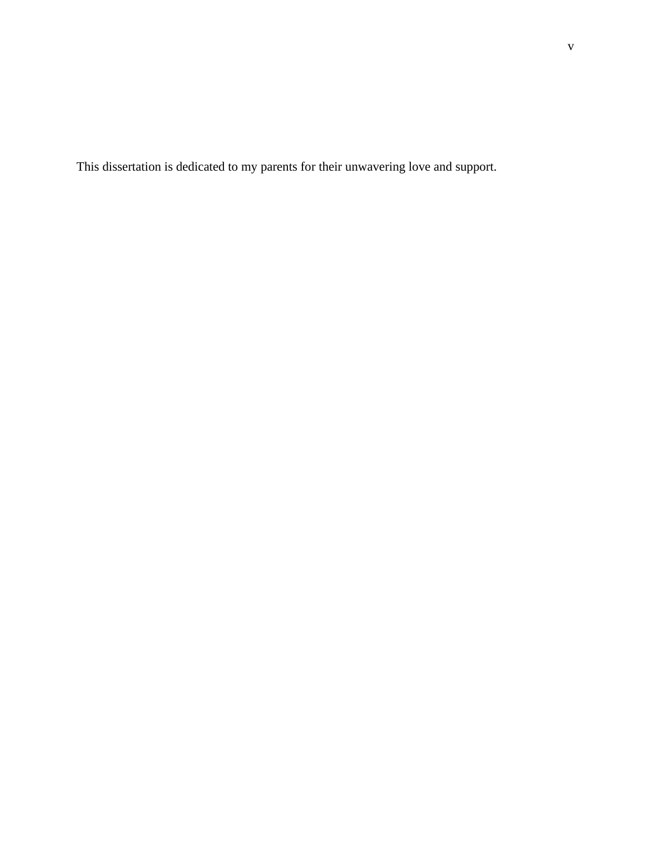This dissertation is dedicated to my parents for their unwavering love and support.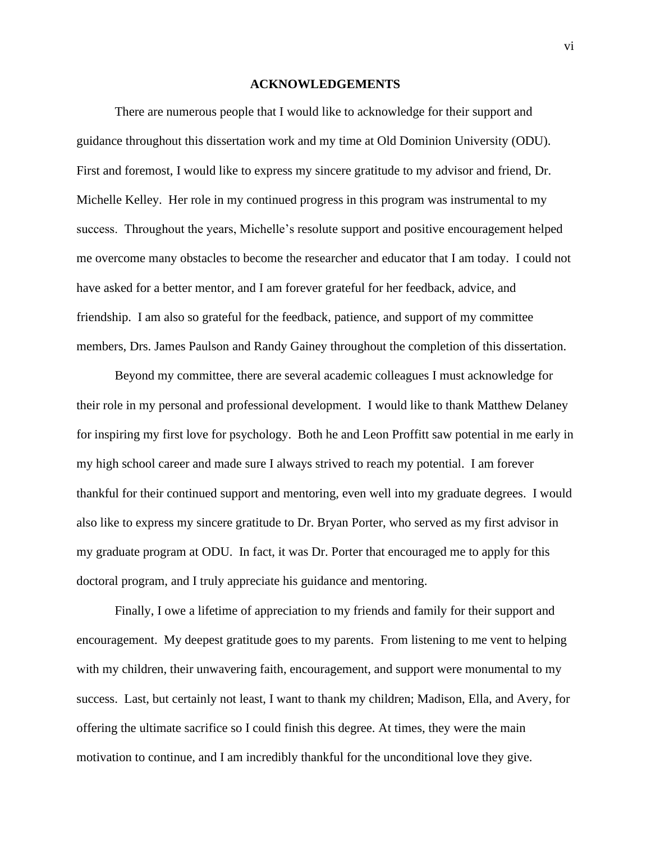#### **ACKNOWLEDGEMENTS**

There are numerous people that I would like to acknowledge for their support and guidance throughout this dissertation work and my time at Old Dominion University (ODU). First and foremost, I would like to express my sincere gratitude to my advisor and friend, Dr. Michelle Kelley. Her role in my continued progress in this program was instrumental to my success. Throughout the years, Michelle's resolute support and positive encouragement helped me overcome many obstacles to become the researcher and educator that I am today. I could not have asked for a better mentor, and I am forever grateful for her feedback, advice, and friendship. I am also so grateful for the feedback, patience, and support of my committee members, Drs. James Paulson and Randy Gainey throughout the completion of this dissertation.

Beyond my committee, there are several academic colleagues I must acknowledge for their role in my personal and professional development. I would like to thank Matthew Delaney for inspiring my first love for psychology. Both he and Leon Proffitt saw potential in me early in my high school career and made sure I always strived to reach my potential. I am forever thankful for their continued support and mentoring, even well into my graduate degrees. I would also like to express my sincere gratitude to Dr. Bryan Porter, who served as my first advisor in my graduate program at ODU. In fact, it was Dr. Porter that encouraged me to apply for this doctoral program, and I truly appreciate his guidance and mentoring.

Finally, I owe a lifetime of appreciation to my friends and family for their support and encouragement. My deepest gratitude goes to my parents. From listening to me vent to helping with my children, their unwavering faith, encouragement, and support were monumental to my success. Last, but certainly not least, I want to thank my children; Madison, Ella, and Avery, for offering the ultimate sacrifice so I could finish this degree. At times, they were the main motivation to continue, and I am incredibly thankful for the unconditional love they give.

vi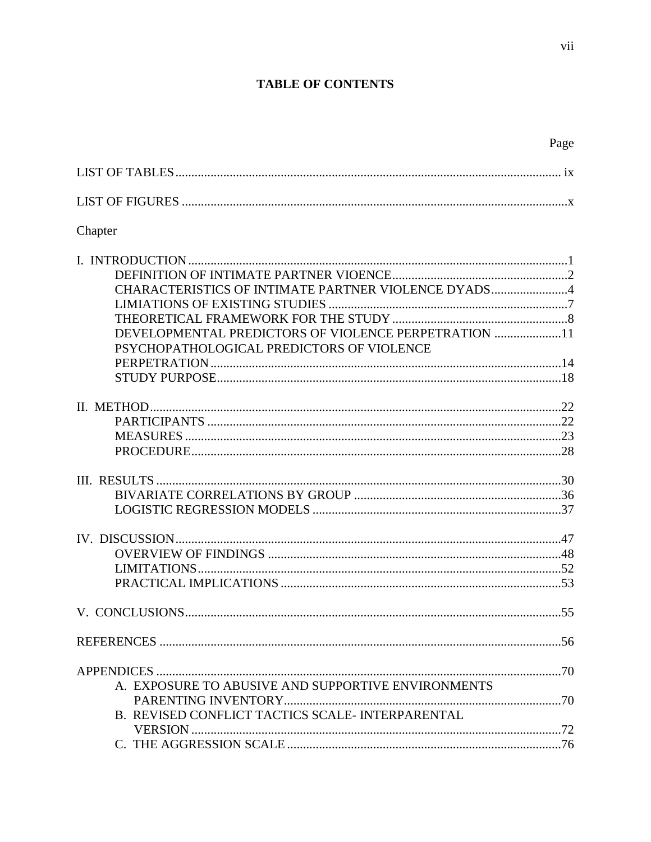# **TABLE OF CONTENTS**

| Chapter                                                                                                                                                  |  |
|----------------------------------------------------------------------------------------------------------------------------------------------------------|--|
| CHARACTERISTICS OF INTIMATE PARTNER VIOLENCE DYADS4<br>DEVELOPMENTAL PREDICTORS OF VIOLENCE PERPETRATION 11<br>PSYCHOPATHOLOGICAL PREDICTORS OF VIOLENCE |  |
|                                                                                                                                                          |  |
|                                                                                                                                                          |  |
|                                                                                                                                                          |  |
|                                                                                                                                                          |  |
|                                                                                                                                                          |  |
| A. EXPOSURE TO ABUSIVE AND SUPPORTIVE ENVIRONMENTS                                                                                                       |  |
| B. REVISED CONFLICT TACTICS SCALE- INTERPARENTAL                                                                                                         |  |
|                                                                                                                                                          |  |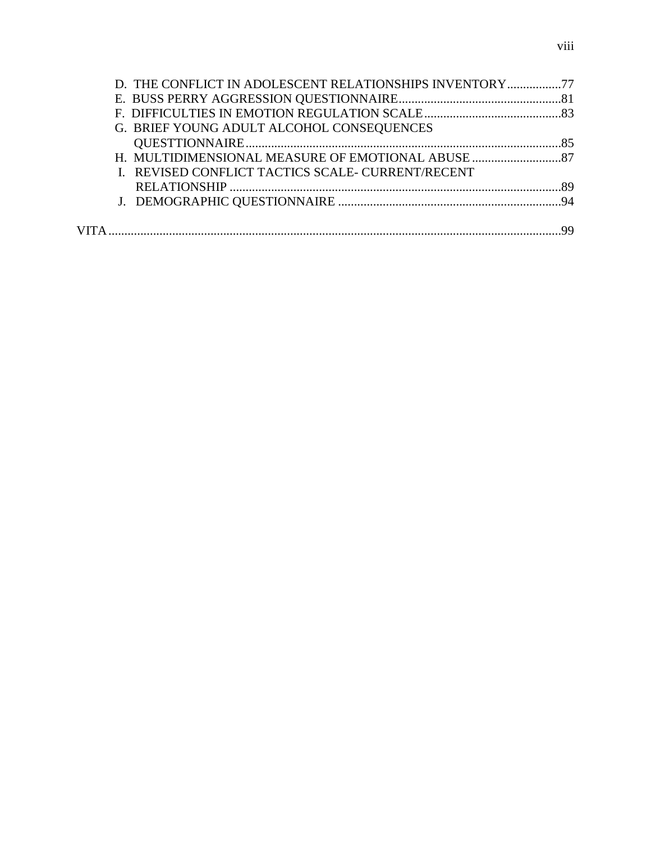| G. BRIEF YOUNG ADULT ALCOHOL CONSEQUENCES         |  |
|---------------------------------------------------|--|
|                                                   |  |
|                                                   |  |
| I. REVISED CONFLICT TACTICS SCALE- CURRENT/RECENT |  |
|                                                   |  |
|                                                   |  |
|                                                   |  |
|                                                   |  |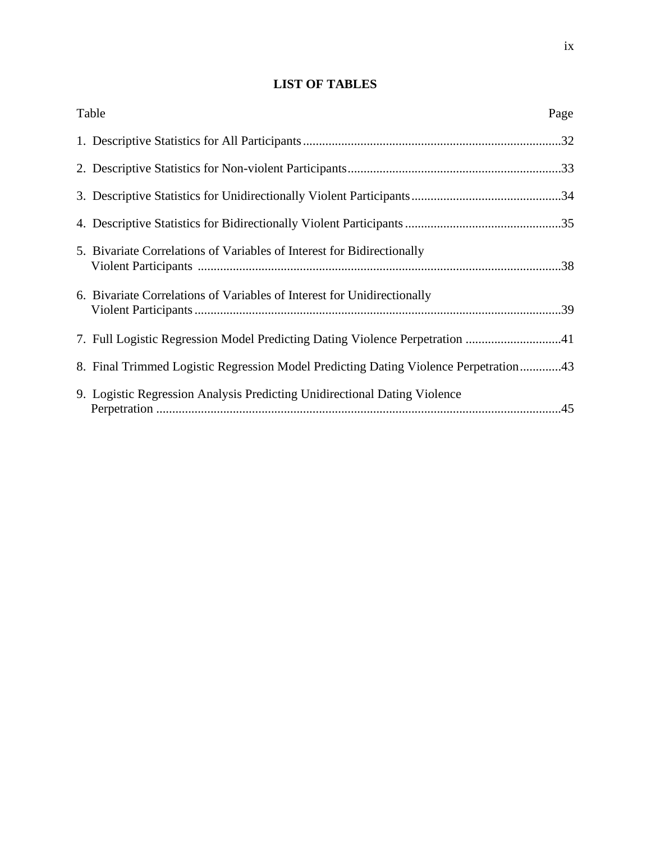# **LIST OF TABLES**

| Table                                                                                | Page |
|--------------------------------------------------------------------------------------|------|
|                                                                                      |      |
|                                                                                      |      |
|                                                                                      |      |
|                                                                                      |      |
| 5. Bivariate Correlations of Variables of Interest for Bidirectionally               |      |
| 6. Bivariate Correlations of Variables of Interest for Unidirectionally              |      |
| 7. Full Logistic Regression Model Predicting Dating Violence Perpetration 41         |      |
| 8. Final Trimmed Logistic Regression Model Predicting Dating Violence Perpetration43 |      |
| 9. Logistic Regression Analysis Predicting Unidirectional Dating Violence            |      |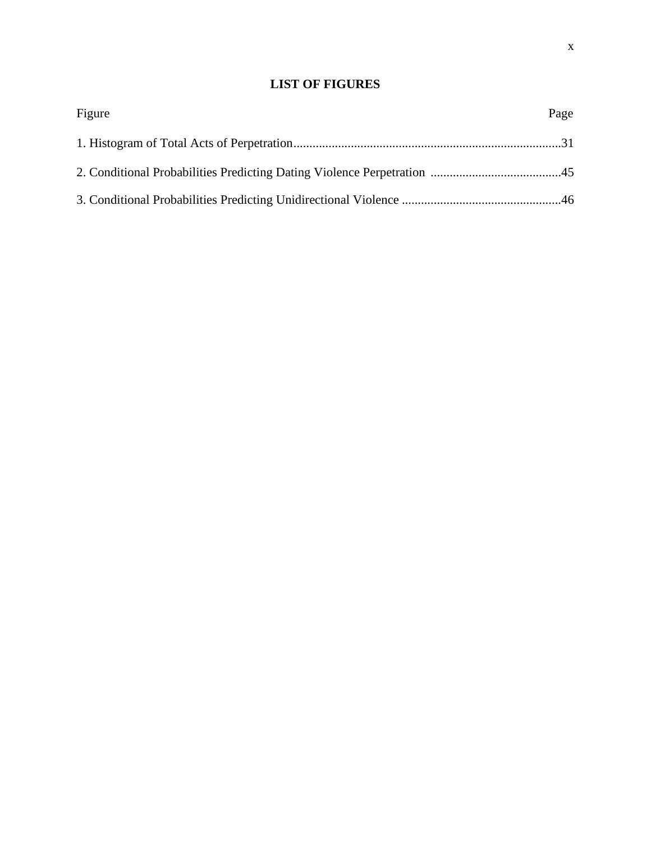# **LIST OF FIGURES**

| Figure | Page |
|--------|------|
|        |      |
|        |      |
|        |      |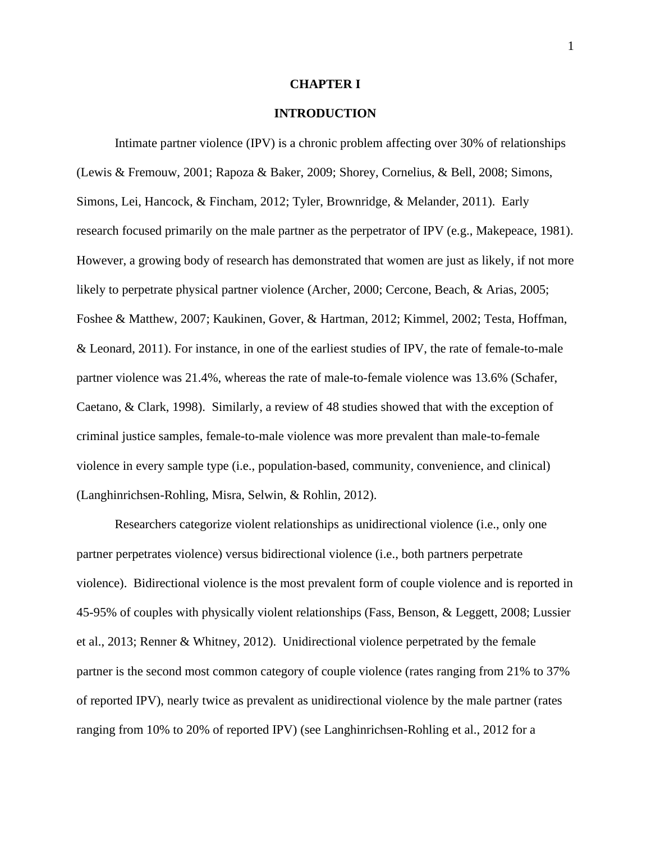#### **CHAPTER I**

## **INTRODUCTION**

Intimate partner violence (IPV) is a chronic problem affecting over 30% of relationships (Lewis & Fremouw, 2001; Rapoza & Baker, 2009; Shorey, Cornelius, & Bell, 2008; Simons, Simons, Lei, Hancock, & Fincham, 2012; Tyler, Brownridge, & Melander, 2011). Early research focused primarily on the male partner as the perpetrator of IPV (e.g., Makepeace, 1981). However, a growing body of research has demonstrated that women are just as likely, if not more likely to perpetrate physical partner violence (Archer, 2000; Cercone, Beach, & Arias, 2005; Foshee & Matthew, 2007; Kaukinen, Gover, & Hartman, 2012; Kimmel, 2002; Testa, Hoffman, & Leonard, 2011). For instance, in one of the earliest studies of IPV, the rate of female-to-male partner violence was 21.4%, whereas the rate of male-to-female violence was 13.6% (Schafer, Caetano, & Clark, 1998). Similarly, a review of 48 studies showed that with the exception of criminal justice samples, female-to-male violence was more prevalent than male-to-female violence in every sample type (i.e., population-based, community, convenience, and clinical) (Langhinrichsen-Rohling, Misra, Selwin, & Rohlin, 2012).

Researchers categorize violent relationships as unidirectional violence (i.e., only one partner perpetrates violence) versus bidirectional violence (i.e., both partners perpetrate violence). Bidirectional violence is the most prevalent form of couple violence and is reported in 45-95% of couples with physically violent relationships (Fass, Benson, & Leggett, 2008; Lussier et al., 2013; Renner & Whitney, 2012). Unidirectional violence perpetrated by the female partner is the second most common category of couple violence (rates ranging from 21% to 37% of reported IPV), nearly twice as prevalent as unidirectional violence by the male partner (rates ranging from 10% to 20% of reported IPV) (see Langhinrichsen-Rohling et al., 2012 for a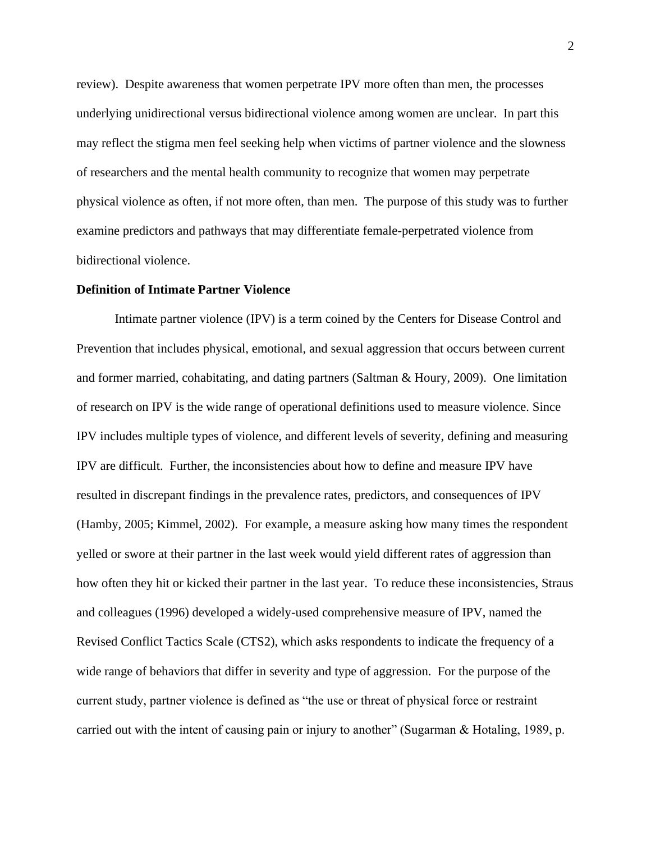review). Despite awareness that women perpetrate IPV more often than men, the processes underlying unidirectional versus bidirectional violence among women are unclear. In part this may reflect the stigma men feel seeking help when victims of partner violence and the slowness of researchers and the mental health community to recognize that women may perpetrate physical violence as often, if not more often, than men. The purpose of this study was to further examine predictors and pathways that may differentiate female-perpetrated violence from bidirectional violence.

#### **Definition of Intimate Partner Violence**

Intimate partner violence (IPV) is a term coined by the Centers for Disease Control and Prevention that includes physical, emotional, and sexual aggression that occurs between current and former married, cohabitating, and dating partners (Saltman & Houry, 2009). One limitation of research on IPV is the wide range of operational definitions used to measure violence. Since IPV includes multiple types of violence, and different levels of severity, defining and measuring IPV are difficult. Further, the inconsistencies about how to define and measure IPV have resulted in discrepant findings in the prevalence rates, predictors, and consequences of IPV (Hamby, 2005; Kimmel, 2002). For example, a measure asking how many times the respondent yelled or swore at their partner in the last week would yield different rates of aggression than how often they hit or kicked their partner in the last year. To reduce these inconsistencies, Straus and colleagues (1996) developed a widely-used comprehensive measure of IPV, named the Revised Conflict Tactics Scale (CTS2), which asks respondents to indicate the frequency of a wide range of behaviors that differ in severity and type of aggression. For the purpose of the current study, partner violence is defined as "the use or threat of physical force or restraint carried out with the intent of causing pain or injury to another" (Sugarman & Hotaling, 1989, p.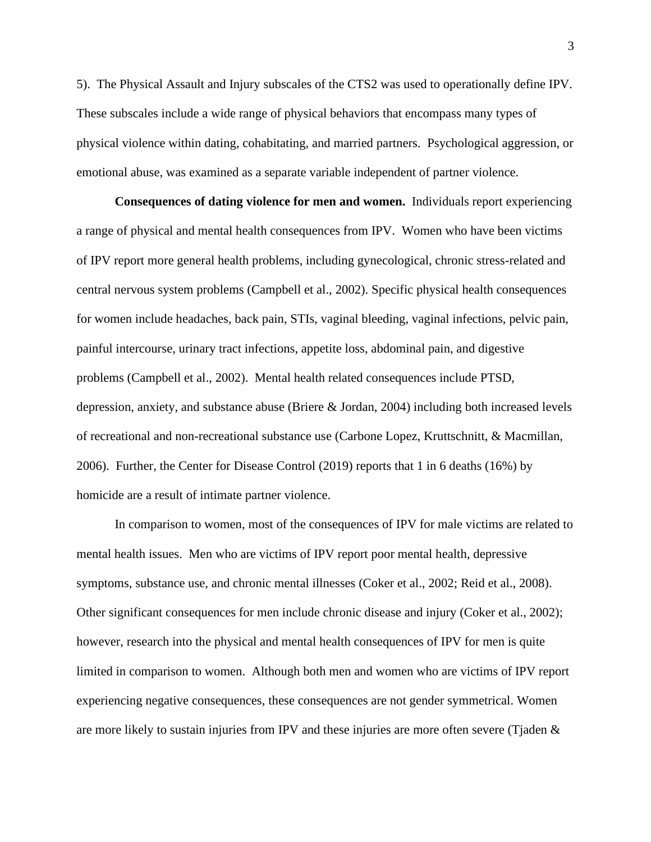5). The Physical Assault and Injury subscales of the CTS2 was used to operationally define IPV. These subscales include a wide range of physical behaviors that encompass many types of physical violence within dating, cohabitating, and married partners. Psychological aggression, or emotional abuse, was examined as a separate variable independent of partner violence.

**Consequences of dating violence for men and women.** Individuals report experiencing a range of physical and mental health consequences from IPV. Women who have been victims of IPV report more general health problems, including gynecological, chronic stress-related and central nervous system problems (Campbell et al., 2002). Specific physical health consequences for women include headaches, back pain, STIs, vaginal bleeding, vaginal infections, pelvic pain, painful intercourse, urinary tract infections, appetite loss, abdominal pain, and digestive problems (Campbell et al., 2002). Mental health related consequences include PTSD, depression, anxiety, and substance abuse (Briere & Jordan, 2004) including both increased levels of recreational and non-recreational substance use (Carbone Lopez, Kruttschnitt, & Macmillan, 2006). Further, the Center for Disease Control (2019) reports that 1 in 6 deaths (16%) by homicide are a result of intimate partner violence.

In comparison to women, most of the consequences of IPV for male victims are related to mental health issues. Men who are victims of IPV report poor mental health, depressive symptoms, substance use, and chronic mental illnesses (Coker et al., 2002; Reid et al., 2008). Other significant consequences for men include chronic disease and injury (Coker et al., 2002); however, research into the physical and mental health consequences of IPV for men is quite limited in comparison to women. Although both men and women who are victims of IPV report experiencing negative consequences, these consequences are not gender symmetrical. Women are more likely to sustain injuries from IPV and these injuries are more often severe (Tjaden &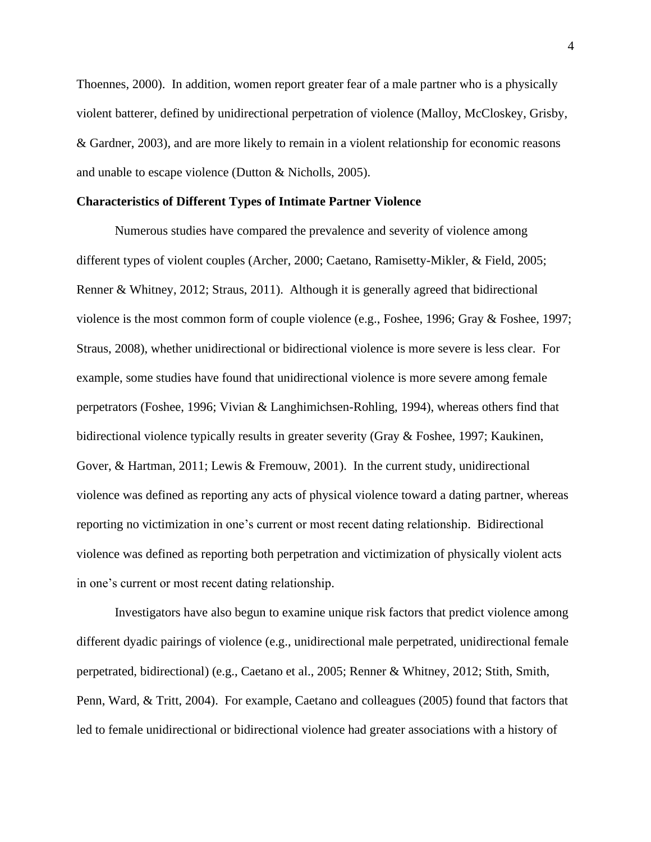Thoennes, 2000). In addition, women report greater fear of a male partner who is a physically violent batterer, defined by unidirectional perpetration of violence (Malloy, McCloskey, Grisby, & Gardner, 2003), and are more likely to remain in a violent relationship for economic reasons and unable to escape violence (Dutton & Nicholls, 2005).

#### **Characteristics of Different Types of Intimate Partner Violence**

Numerous studies have compared the prevalence and severity of violence among different types of violent couples (Archer, 2000; Caetano, Ramisetty-Mikler, & Field, 2005; Renner & Whitney, 2012; Straus, 2011). Although it is generally agreed that bidirectional violence is the most common form of couple violence (e.g., Foshee, 1996; Gray & Foshee, 1997; Straus, 2008), whether unidirectional or bidirectional violence is more severe is less clear. For example, some studies have found that unidirectional violence is more severe among female perpetrators (Foshee, 1996; Vivian & Langhimichsen-Rohling, 1994), whereas others find that bidirectional violence typically results in greater severity (Gray & Foshee, 1997; Kaukinen, Gover, & Hartman, 2011; Lewis & Fremouw, 2001). In the current study, unidirectional violence was defined as reporting any acts of physical violence toward a dating partner, whereas reporting no victimization in one's current or most recent dating relationship. Bidirectional violence was defined as reporting both perpetration and victimization of physically violent acts in one's current or most recent dating relationship.

Investigators have also begun to examine unique risk factors that predict violence among different dyadic pairings of violence (e.g., unidirectional male perpetrated, unidirectional female perpetrated, bidirectional) (e.g., Caetano et al., 2005; Renner & Whitney, 2012; Stith, Smith, Penn, Ward, & Tritt, 2004). For example, Caetano and colleagues (2005) found that factors that led to female unidirectional or bidirectional violence had greater associations with a history of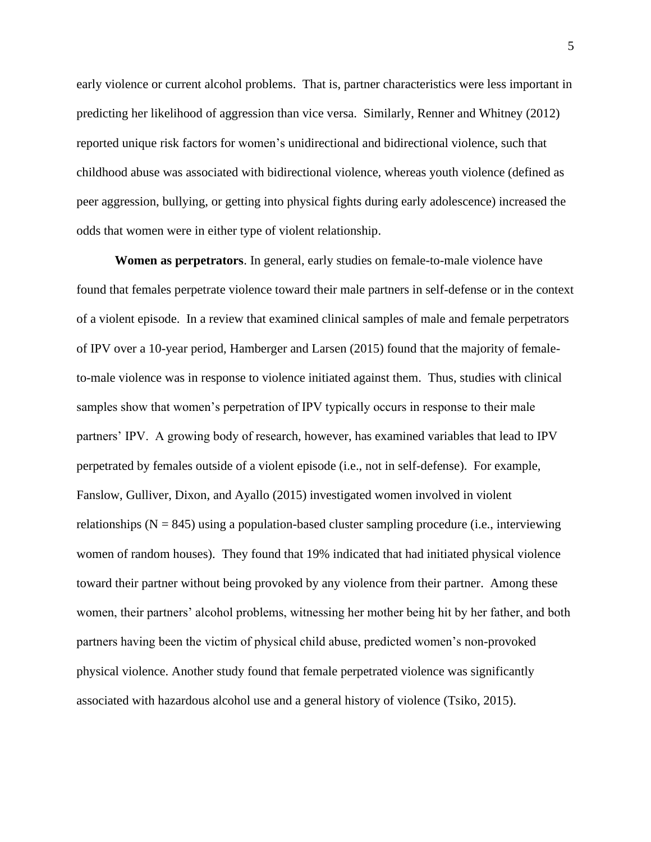early violence or current alcohol problems. That is, partner characteristics were less important in predicting her likelihood of aggression than vice versa. Similarly, Renner and Whitney (2012) reported unique risk factors for women's unidirectional and bidirectional violence, such that childhood abuse was associated with bidirectional violence, whereas youth violence (defined as peer aggression, bullying, or getting into physical fights during early adolescence) increased the odds that women were in either type of violent relationship.

**Women as perpetrators**. In general, early studies on female-to-male violence have found that females perpetrate violence toward their male partners in self-defense or in the context of a violent episode. In a review that examined clinical samples of male and female perpetrators of IPV over a 10-year period, Hamberger and Larsen (2015) found that the majority of femaleto-male violence was in response to violence initiated against them. Thus, studies with clinical samples show that women's perpetration of IPV typically occurs in response to their male partners' IPV. A growing body of research, however, has examined variables that lead to IPV perpetrated by females outside of a violent episode (i.e., not in self-defense). For example, Fanslow, Gulliver, Dixon, and Ayallo (2015) investigated women involved in violent relationships  $(N = 845)$  using a population-based cluster sampling procedure (i.e., interviewing women of random houses). They found that 19% indicated that had initiated physical violence toward their partner without being provoked by any violence from their partner. Among these women, their partners' alcohol problems, witnessing her mother being hit by her father, and both partners having been the victim of physical child abuse, predicted women's non-provoked physical violence. Another study found that female perpetrated violence was significantly associated with hazardous alcohol use and a general history of violence (Tsiko, 2015).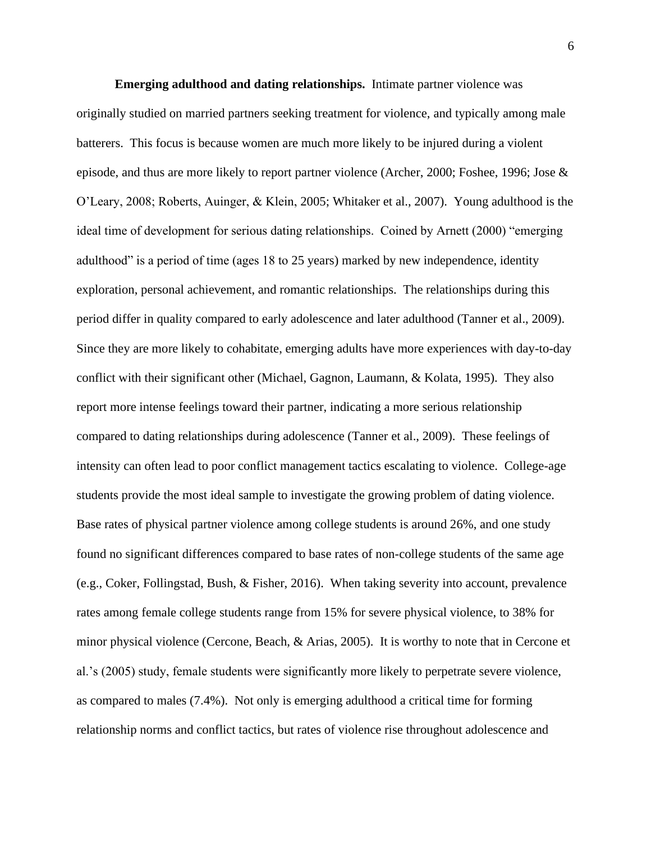**Emerging adulthood and dating relationships.** Intimate partner violence was originally studied on married partners seeking treatment for violence, and typically among male batterers. This focus is because women are much more likely to be injured during a violent episode, and thus are more likely to report partner violence (Archer, 2000; Foshee, 1996; Jose & O'Leary, 2008; Roberts, Auinger, & Klein, 2005; Whitaker et al., 2007). Young adulthood is the ideal time of development for serious dating relationships. Coined by Arnett (2000) "emerging adulthood" is a period of time (ages 18 to 25 years) marked by new independence, identity exploration, personal achievement, and romantic relationships. The relationships during this period differ in quality compared to early adolescence and later adulthood (Tanner et al., 2009). Since they are more likely to cohabitate, emerging adults have more experiences with day-to-day conflict with their significant other (Michael, Gagnon, Laumann, & Kolata, 1995). They also report more intense feelings toward their partner, indicating a more serious relationship compared to dating relationships during adolescence (Tanner et al., 2009). These feelings of intensity can often lead to poor conflict management tactics escalating to violence. College-age students provide the most ideal sample to investigate the growing problem of dating violence. Base rates of physical partner violence among college students is around 26%, and one study found no significant differences compared to base rates of non-college students of the same age (e.g., Coker, Follingstad, Bush, & Fisher, 2016). When taking severity into account, prevalence rates among female college students range from 15% for severe physical violence, to 38% for minor physical violence (Cercone, Beach, & Arias, 2005). It is worthy to note that in Cercone et al.'s (2005) study, female students were significantly more likely to perpetrate severe violence, as compared to males (7.4%). Not only is emerging adulthood a critical time for forming relationship norms and conflict tactics, but rates of violence rise throughout adolescence and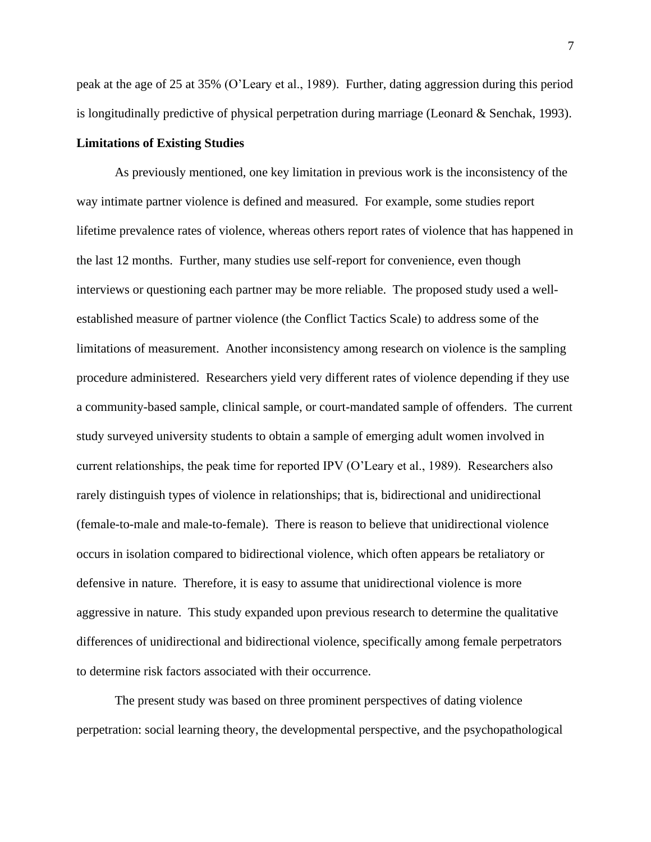peak at the age of 25 at 35% (O'Leary et al., 1989). Further, dating aggression during this period is longitudinally predictive of physical perpetration during marriage (Leonard & Senchak, 1993).

#### **Limitations of Existing Studies**

As previously mentioned, one key limitation in previous work is the inconsistency of the way intimate partner violence is defined and measured. For example, some studies report lifetime prevalence rates of violence, whereas others report rates of violence that has happened in the last 12 months. Further, many studies use self-report for convenience, even though interviews or questioning each partner may be more reliable. The proposed study used a wellestablished measure of partner violence (the Conflict Tactics Scale) to address some of the limitations of measurement. Another inconsistency among research on violence is the sampling procedure administered. Researchers yield very different rates of violence depending if they use a community-based sample, clinical sample, or court-mandated sample of offenders. The current study surveyed university students to obtain a sample of emerging adult women involved in current relationships, the peak time for reported IPV (O'Leary et al., 1989). Researchers also rarely distinguish types of violence in relationships; that is, bidirectional and unidirectional (female-to-male and male-to-female). There is reason to believe that unidirectional violence occurs in isolation compared to bidirectional violence, which often appears be retaliatory or defensive in nature. Therefore, it is easy to assume that unidirectional violence is more aggressive in nature. This study expanded upon previous research to determine the qualitative differences of unidirectional and bidirectional violence, specifically among female perpetrators to determine risk factors associated with their occurrence.

The present study was based on three prominent perspectives of dating violence perpetration: social learning theory, the developmental perspective, and the psychopathological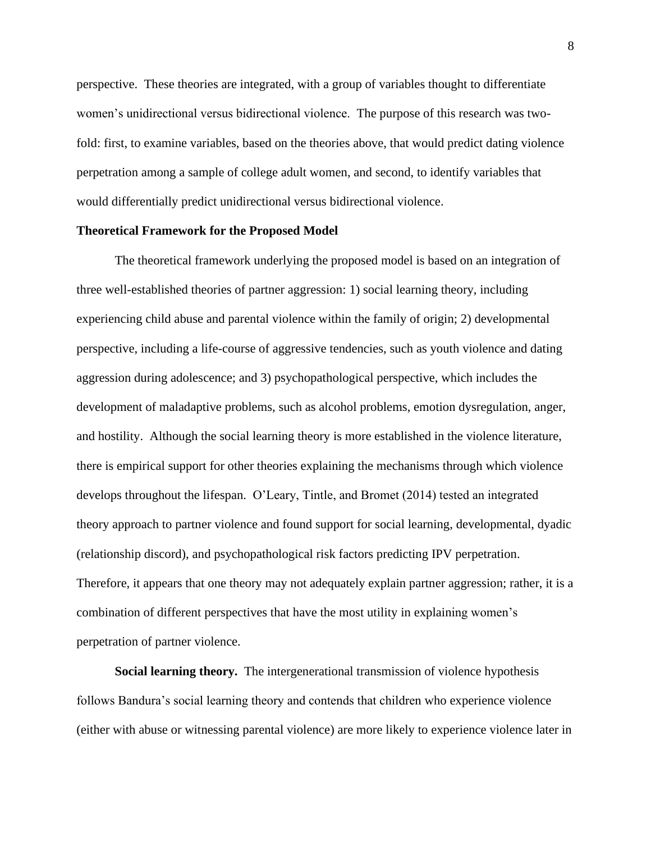perspective. These theories are integrated, with a group of variables thought to differentiate women's unidirectional versus bidirectional violence. The purpose of this research was twofold: first, to examine variables, based on the theories above, that would predict dating violence perpetration among a sample of college adult women, and second, to identify variables that would differentially predict unidirectional versus bidirectional violence.

#### **Theoretical Framework for the Proposed Model**

The theoretical framework underlying the proposed model is based on an integration of three well-established theories of partner aggression: 1) social learning theory, including experiencing child abuse and parental violence within the family of origin; 2) developmental perspective, including a life-course of aggressive tendencies, such as youth violence and dating aggression during adolescence; and 3) psychopathological perspective, which includes the development of maladaptive problems, such as alcohol problems, emotion dysregulation, anger, and hostility. Although the social learning theory is more established in the violence literature, there is empirical support for other theories explaining the mechanisms through which violence develops throughout the lifespan. O'Leary, Tintle, and Bromet (2014) tested an integrated theory approach to partner violence and found support for social learning, developmental, dyadic (relationship discord), and psychopathological risk factors predicting IPV perpetration. Therefore, it appears that one theory may not adequately explain partner aggression; rather, it is a combination of different perspectives that have the most utility in explaining women's perpetration of partner violence.

**Social learning theory.** The intergenerational transmission of violence hypothesis follows Bandura's social learning theory and contends that children who experience violence (either with abuse or witnessing parental violence) are more likely to experience violence later in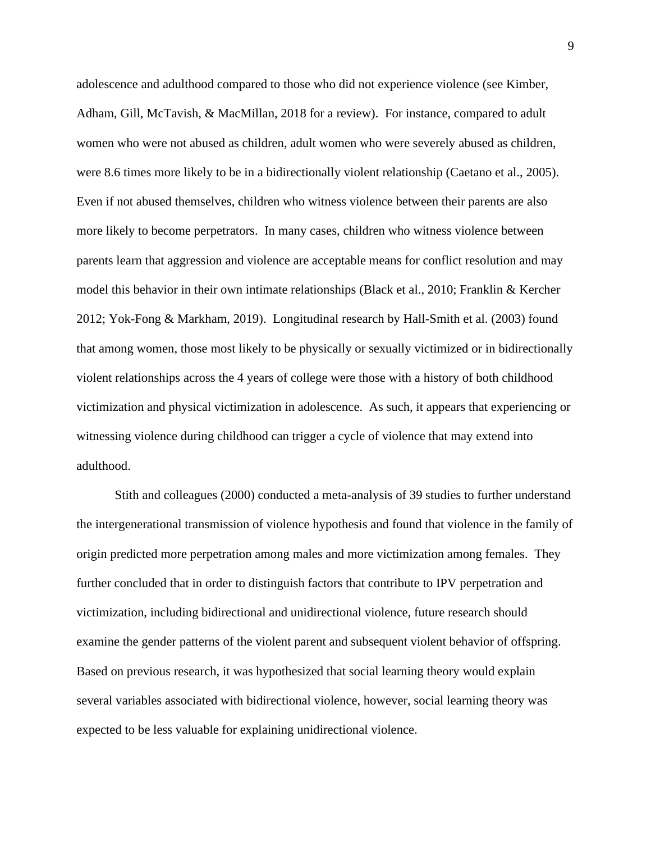adolescence and adulthood compared to those who did not experience violence (see Kimber, Adham, Gill, McTavish, & MacMillan, 2018 for a review). For instance, compared to adult women who were not abused as children, adult women who were severely abused as children, were 8.6 times more likely to be in a bidirectionally violent relationship (Caetano et al., 2005). Even if not abused themselves, children who witness violence between their parents are also more likely to become perpetrators. In many cases, children who witness violence between parents learn that aggression and violence are acceptable means for conflict resolution and may model this behavior in their own intimate relationships (Black et al., 2010; Franklin & Kercher 2012; Yok-Fong & Markham, 2019). Longitudinal research by Hall-Smith et al. (2003) found that among women, those most likely to be physically or sexually victimized or in bidirectionally violent relationships across the 4 years of college were those with a history of both childhood victimization and physical victimization in adolescence. As such, it appears that experiencing or witnessing violence during childhood can trigger a cycle of violence that may extend into adulthood.

Stith and colleagues (2000) conducted a meta-analysis of 39 studies to further understand the intergenerational transmission of violence hypothesis and found that violence in the family of origin predicted more perpetration among males and more victimization among females. They further concluded that in order to distinguish factors that contribute to IPV perpetration and victimization, including bidirectional and unidirectional violence, future research should examine the gender patterns of the violent parent and subsequent violent behavior of offspring. Based on previous research, it was hypothesized that social learning theory would explain several variables associated with bidirectional violence, however, social learning theory was expected to be less valuable for explaining unidirectional violence.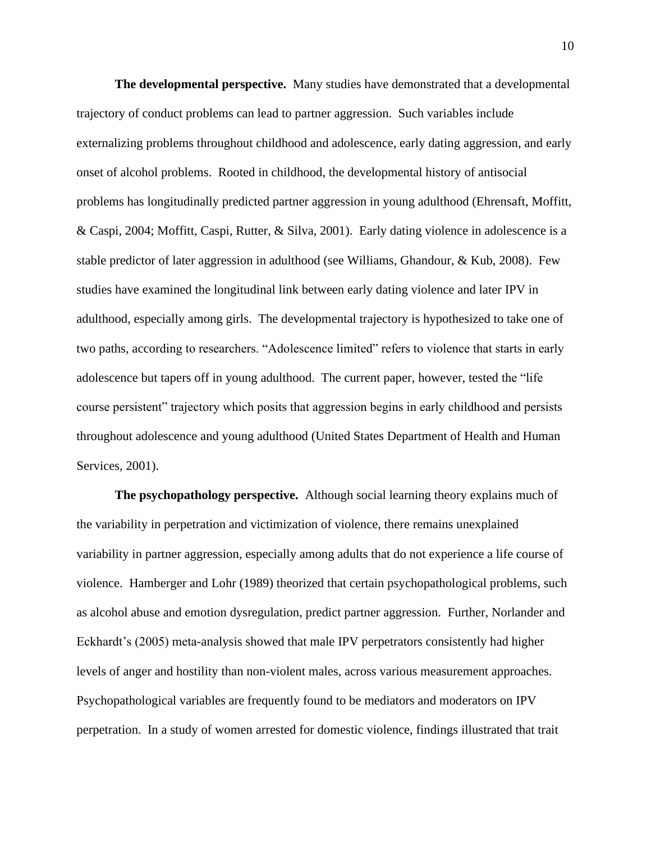**The developmental perspective.** Many studies have demonstrated that a developmental trajectory of conduct problems can lead to partner aggression. Such variables include externalizing problems throughout childhood and adolescence, early dating aggression, and early onset of alcohol problems. Rooted in childhood, the developmental history of antisocial problems has longitudinally predicted partner aggression in young adulthood (Ehrensaft, Moffitt, & Caspi, 2004; Moffitt, Caspi, Rutter, & Silva, 2001). Early dating violence in adolescence is a stable predictor of later aggression in adulthood (see Williams, Ghandour, & Kub, 2008). Few studies have examined the longitudinal link between early dating violence and later IPV in adulthood, especially among girls. The developmental trajectory is hypothesized to take one of two paths, according to researchers. "Adolescence limited" refers to violence that starts in early adolescence but tapers off in young adulthood. The current paper, however, tested the "life course persistent" trajectory which posits that aggression begins in early childhood and persists throughout adolescence and young adulthood (United States Department of Health and Human Services, 2001).

**The psychopathology perspective.** Although social learning theory explains much of the variability in perpetration and victimization of violence, there remains unexplained variability in partner aggression, especially among adults that do not experience a life course of violence. Hamberger and Lohr (1989) theorized that certain psychopathological problems, such as alcohol abuse and emotion dysregulation, predict partner aggression. Further, Norlander and Eckhardt's (2005) meta-analysis showed that male IPV perpetrators consistently had higher levels of anger and hostility than non-violent males, across various measurement approaches. Psychopathological variables are frequently found to be mediators and moderators on IPV perpetration. In a study of women arrested for domestic violence, findings illustrated that trait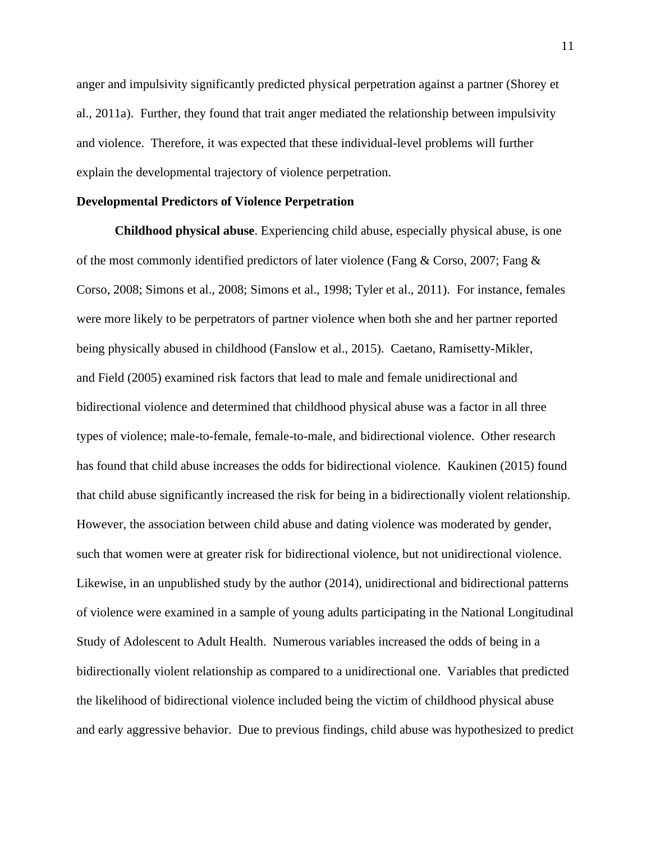anger and impulsivity significantly predicted physical perpetration against a partner (Shorey et al., 2011a). Further, they found that trait anger mediated the relationship between impulsivity and violence. Therefore, it was expected that these individual-level problems will further explain the developmental trajectory of violence perpetration.

#### **Developmental Predictors of Violence Perpetration**

**Childhood physical abuse**. Experiencing child abuse, especially physical abuse, is one of the most commonly identified predictors of later violence (Fang & Corso, 2007; Fang & Corso, 2008; Simons et al., 2008; Simons et al., 1998; Tyler et al., 2011). For instance, females were more likely to be perpetrators of partner violence when both she and her partner reported being physically abused in childhood (Fanslow et al., 2015). Caetano, Ramisetty-Mikler, and Field (2005) examined risk factors that lead to male and female unidirectional and bidirectional violence and determined that childhood physical abuse was a factor in all three types of violence; male-to-female, female-to-male, and bidirectional violence. Other research has found that child abuse increases the odds for bidirectional violence. Kaukinen (2015) found that child abuse significantly increased the risk for being in a bidirectionally violent relationship. However, the association between child abuse and dating violence was moderated by gender, such that women were at greater risk for bidirectional violence, but not unidirectional violence. Likewise, in an unpublished study by the author (2014), unidirectional and bidirectional patterns of violence were examined in a sample of young adults participating in the National Longitudinal Study of Adolescent to Adult Health. Numerous variables increased the odds of being in a bidirectionally violent relationship as compared to a unidirectional one. Variables that predicted the likelihood of bidirectional violence included being the victim of childhood physical abuse and early aggressive behavior. Due to previous findings, child abuse was hypothesized to predict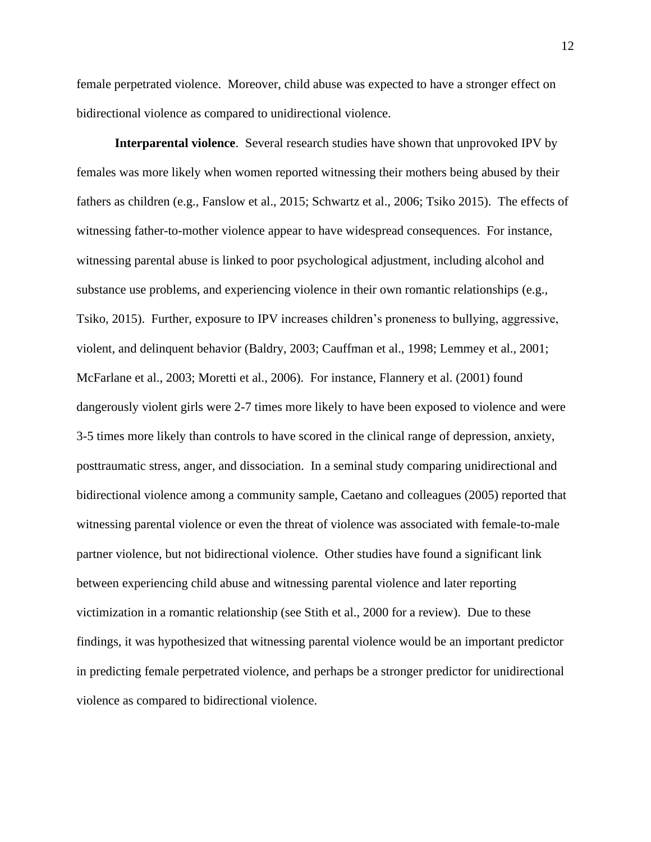female perpetrated violence. Moreover, child abuse was expected to have a stronger effect on bidirectional violence as compared to unidirectional violence.

**Interparental violence**. Several research studies have shown that unprovoked IPV by females was more likely when women reported witnessing their mothers being abused by their fathers as children (e.g., Fanslow et al., 2015; Schwartz et al., 2006; Tsiko 2015). The effects of witnessing father-to-mother violence appear to have widespread consequences. For instance, witnessing parental abuse is linked to poor psychological adjustment, including alcohol and substance use problems, and experiencing violence in their own romantic relationships (e.g., Tsiko, 2015). Further, exposure to IPV increases children's proneness to bullying, aggressive, violent, and delinquent behavior (Baldry, 2003; Cauffman et al., 1998; Lemmey et al., 2001; McFarlane et al., 2003; Moretti et al., 2006). For instance, Flannery et al. (2001) found dangerously violent girls were 2-7 times more likely to have been exposed to violence and were 3-5 times more likely than controls to have scored in the clinical range of depression, anxiety, posttraumatic stress, anger, and dissociation. In a seminal study comparing unidirectional and bidirectional violence among a community sample, Caetano and colleagues (2005) reported that witnessing parental violence or even the threat of violence was associated with female-to-male partner violence, but not bidirectional violence. Other studies have found a significant link between experiencing child abuse and witnessing parental violence and later reporting victimization in a romantic relationship (see Stith et al., 2000 for a review). Due to these findings, it was hypothesized that witnessing parental violence would be an important predictor in predicting female perpetrated violence, and perhaps be a stronger predictor for unidirectional violence as compared to bidirectional violence.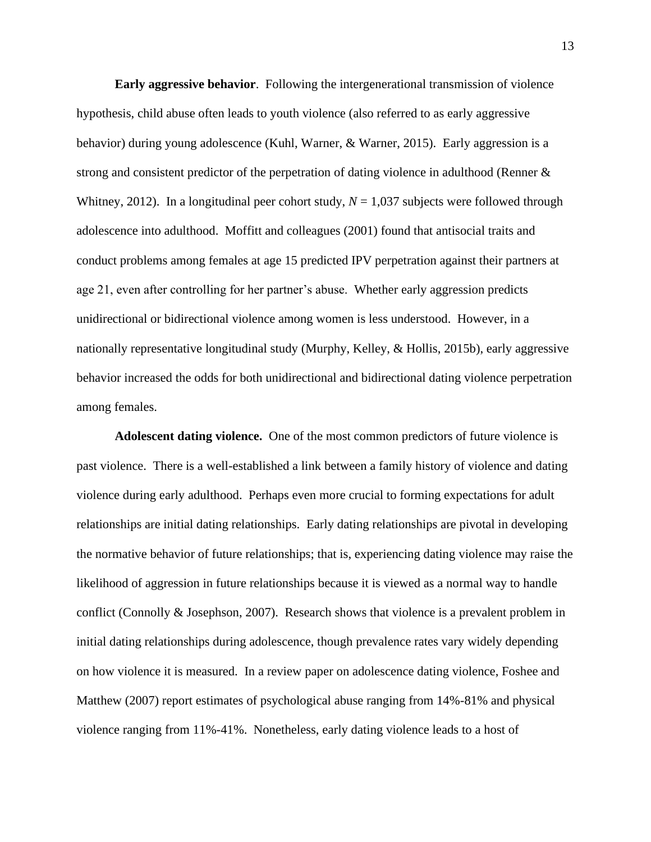**Early aggressive behavior**. Following the intergenerational transmission of violence hypothesis, child abuse often leads to youth violence (also referred to as early aggressive behavior) during young adolescence (Kuhl, Warner, & Warner, 2015). Early aggression is a strong and consistent predictor of the perpetration of dating violence in adulthood (Renner & Whitney, 2012). In a longitudinal peer cohort study,  $N = 1,037$  subjects were followed through adolescence into adulthood. Moffitt and colleagues (2001) found that antisocial traits and conduct problems among females at age 15 predicted IPV perpetration against their partners at age 21, even after controlling for her partner's abuse. Whether early aggression predicts unidirectional or bidirectional violence among women is less understood. However, in a nationally representative longitudinal study (Murphy, Kelley, & Hollis, 2015b), early aggressive behavior increased the odds for both unidirectional and bidirectional dating violence perpetration among females.

**Adolescent dating violence.** One of the most common predictors of future violence is past violence. There is a well-established a link between a family history of violence and dating violence during early adulthood. Perhaps even more crucial to forming expectations for adult relationships are initial dating relationships. Early dating relationships are pivotal in developing the normative behavior of future relationships; that is, experiencing dating violence may raise the likelihood of aggression in future relationships because it is viewed as a normal way to handle conflict (Connolly & Josephson, 2007). Research shows that violence is a prevalent problem in initial dating relationships during adolescence, though prevalence rates vary widely depending on how violence it is measured. In a review paper on adolescence dating violence, Foshee and Matthew (2007) report estimates of psychological abuse ranging from 14%-81% and physical violence ranging from 11%-41%. Nonetheless, early dating violence leads to a host of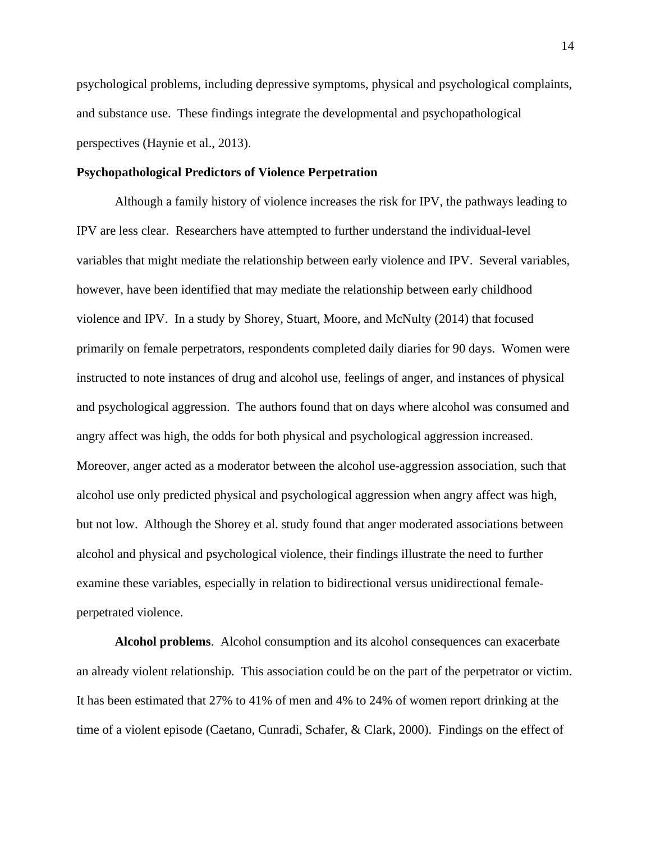psychological problems, including depressive symptoms, physical and psychological complaints, and substance use. These findings integrate the developmental and psychopathological perspectives (Haynie et al., 2013).

#### **Psychopathological Predictors of Violence Perpetration**

Although a family history of violence increases the risk for IPV, the pathways leading to IPV are less clear. Researchers have attempted to further understand the individual-level variables that might mediate the relationship between early violence and IPV. Several variables, however, have been identified that may mediate the relationship between early childhood violence and IPV. In a study by Shorey, Stuart, Moore, and McNulty (2014) that focused primarily on female perpetrators, respondents completed daily diaries for 90 days. Women were instructed to note instances of drug and alcohol use, feelings of anger, and instances of physical and psychological aggression. The authors found that on days where alcohol was consumed and angry affect was high, the odds for both physical and psychological aggression increased. Moreover, anger acted as a moderator between the alcohol use-aggression association, such that alcohol use only predicted physical and psychological aggression when angry affect was high, but not low. Although the Shorey et al. study found that anger moderated associations between alcohol and physical and psychological violence, their findings illustrate the need to further examine these variables, especially in relation to bidirectional versus unidirectional femaleperpetrated violence.

**Alcohol problems**. Alcohol consumption and its alcohol consequences can exacerbate an already violent relationship. This association could be on the part of the perpetrator or victim. It has been estimated that 27% to 41% of men and 4% to 24% of women report drinking at the time of a violent episode (Caetano, Cunradi, Schafer, & Clark, 2000). Findings on the effect of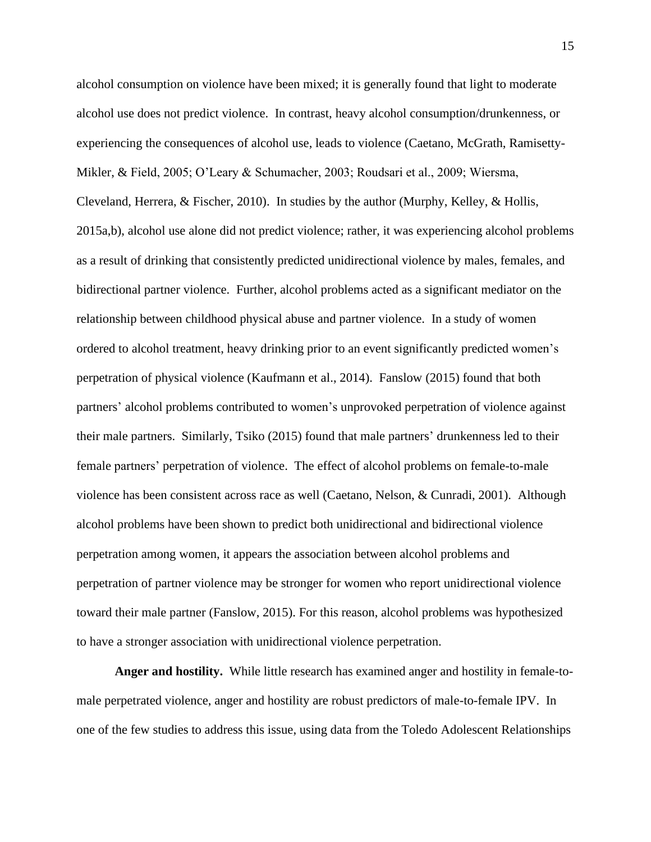alcohol consumption on violence have been mixed; it is generally found that light to moderate alcohol use does not predict violence. In contrast, heavy alcohol consumption/drunkenness, or experiencing the consequences of alcohol use, leads to violence (Caetano, McGrath, Ramisetty-Mikler, & Field, 2005; O'Leary & Schumacher, 2003; Roudsari et al., 2009; Wiersma, Cleveland, Herrera, & Fischer, 2010). In studies by the author (Murphy, Kelley, & Hollis, 2015a,b), alcohol use alone did not predict violence; rather, it was experiencing alcohol problems as a result of drinking that consistently predicted unidirectional violence by males, females, and bidirectional partner violence. Further, alcohol problems acted as a significant mediator on the relationship between childhood physical abuse and partner violence. In a study of women ordered to alcohol treatment, heavy drinking prior to an event significantly predicted women's perpetration of physical violence (Kaufmann et al., 2014). Fanslow (2015) found that both partners' alcohol problems contributed to women's unprovoked perpetration of violence against their male partners. Similarly, Tsiko (2015) found that male partners' drunkenness led to their female partners' perpetration of violence. The effect of alcohol problems on female-to-male violence has been consistent across race as well (Caetano, Nelson, & Cunradi, 2001). Although alcohol problems have been shown to predict both unidirectional and bidirectional violence perpetration among women, it appears the association between alcohol problems and perpetration of partner violence may be stronger for women who report unidirectional violence toward their male partner (Fanslow, 2015). For this reason, alcohol problems was hypothesized to have a stronger association with unidirectional violence perpetration.

**Anger and hostility.** While little research has examined anger and hostility in female-tomale perpetrated violence, anger and hostility are robust predictors of male-to-female IPV. In one of the few studies to address this issue, using data from the Toledo Adolescent Relationships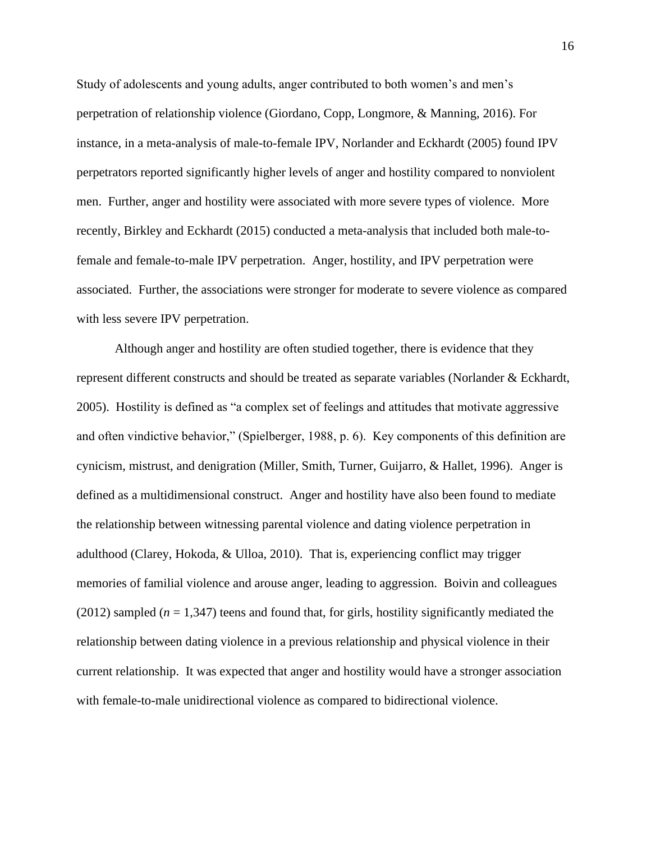Study of adolescents and young adults, anger contributed to both women's and men's perpetration of relationship violence (Giordano, Copp, Longmore, & Manning, 2016). For instance, in a meta-analysis of male-to-female IPV, Norlander and Eckhardt (2005) found IPV perpetrators reported significantly higher levels of anger and hostility compared to nonviolent men. Further, anger and hostility were associated with more severe types of violence. More recently, Birkley and Eckhardt (2015) conducted a meta-analysis that included both male-tofemale and female-to-male IPV perpetration. Anger, hostility, and IPV perpetration were associated. Further, the associations were stronger for moderate to severe violence as compared with less severe IPV perpetration.

Although anger and hostility are often studied together, there is evidence that they represent different constructs and should be treated as separate variables (Norlander & Eckhardt, 2005). Hostility is defined as "a complex set of feelings and attitudes that motivate aggressive and often vindictive behavior," (Spielberger, 1988, p. 6). Key components of this definition are cynicism, mistrust, and denigration (Miller, Smith, Turner, Guijarro, & Hallet, 1996). Anger is defined as a multidimensional construct. Anger and hostility have also been found to mediate the relationship between witnessing parental violence and dating violence perpetration in adulthood (Clarey, Hokoda, & Ulloa, 2010). That is, experiencing conflict may trigger memories of familial violence and arouse anger, leading to aggression. Boivin and colleagues (2012) sampled  $(n = 1,347)$  teens and found that, for girls, hostility significantly mediated the relationship between dating violence in a previous relationship and physical violence in their current relationship. It was expected that anger and hostility would have a stronger association with female-to-male unidirectional violence as compared to bidirectional violence.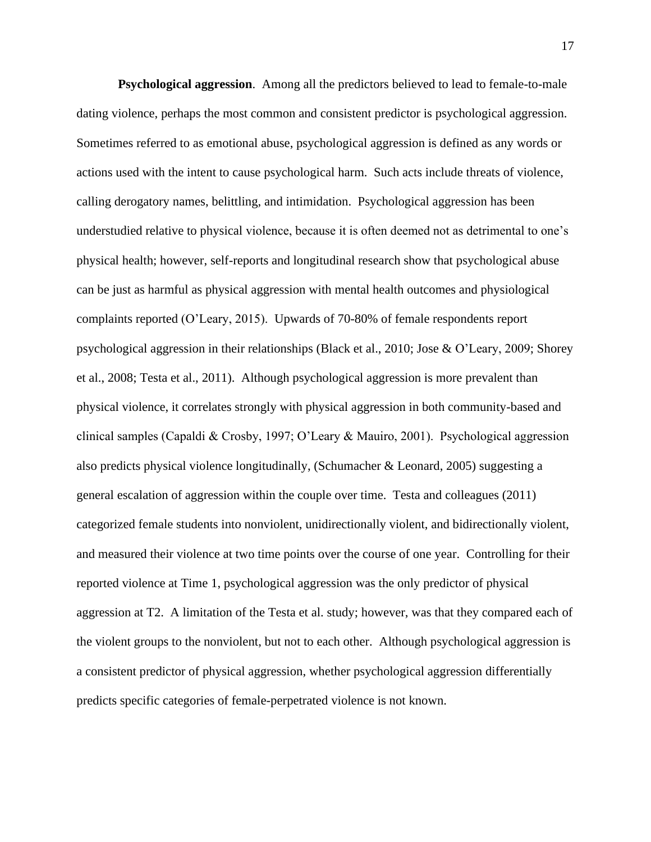**Psychological aggression**. Among all the predictors believed to lead to female-to-male dating violence, perhaps the most common and consistent predictor is psychological aggression. Sometimes referred to as emotional abuse, psychological aggression is defined as any words or actions used with the intent to cause psychological harm. Such acts include threats of violence, calling derogatory names, belittling, and intimidation. Psychological aggression has been understudied relative to physical violence, because it is often deemed not as detrimental to one's physical health; however, self-reports and longitudinal research show that psychological abuse can be just as harmful as physical aggression with mental health outcomes and physiological complaints reported (O'Leary, 2015). Upwards of 70-80% of female respondents report psychological aggression in their relationships (Black et al., 2010; Jose & O'Leary, 2009; Shorey et al., 2008; Testa et al., 2011). Although psychological aggression is more prevalent than physical violence, it correlates strongly with physical aggression in both community-based and clinical samples (Capaldi & Crosby, 1997; O'Leary & Mauiro, 2001). Psychological aggression also predicts physical violence longitudinally, (Schumacher & Leonard, 2005) suggesting a general escalation of aggression within the couple over time. Testa and colleagues (2011) categorized female students into nonviolent, unidirectionally violent, and bidirectionally violent, and measured their violence at two time points over the course of one year. Controlling for their reported violence at Time 1, psychological aggression was the only predictor of physical aggression at T2. A limitation of the Testa et al. study; however, was that they compared each of the violent groups to the nonviolent, but not to each other. Although psychological aggression is a consistent predictor of physical aggression, whether psychological aggression differentially predicts specific categories of female-perpetrated violence is not known.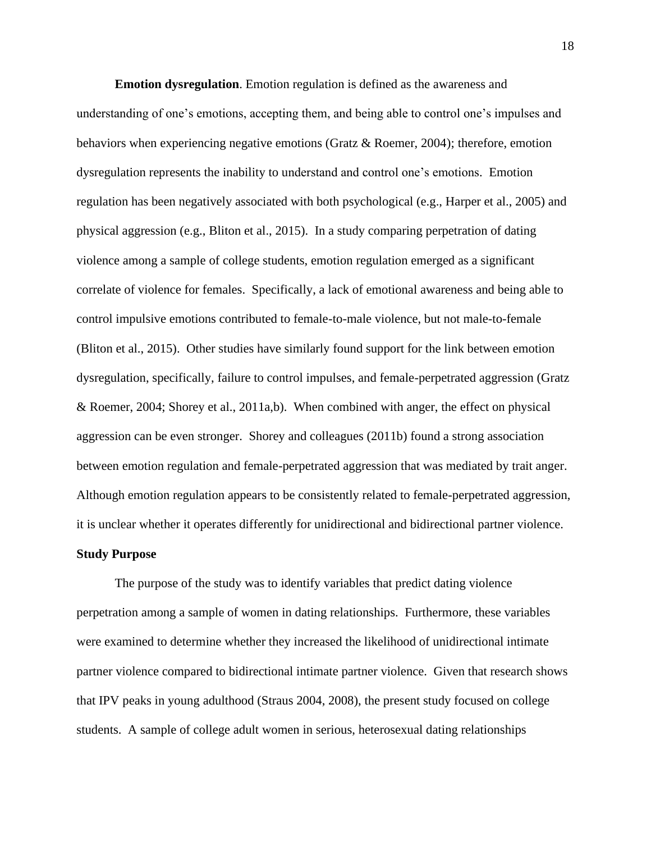**Emotion dysregulation**. Emotion regulation is defined as the awareness and understanding of one's emotions, accepting them, and being able to control one's impulses and behaviors when experiencing negative emotions (Gratz & Roemer, 2004); therefore, emotion dysregulation represents the inability to understand and control one's emotions. Emotion regulation has been negatively associated with both psychological (e.g., Harper et al., 2005) and physical aggression (e.g., Bliton et al., 2015). In a study comparing perpetration of dating violence among a sample of college students, emotion regulation emerged as a significant correlate of violence for females. Specifically, a lack of emotional awareness and being able to control impulsive emotions contributed to female-to-male violence, but not male-to-female (Bliton et al., 2015). Other studies have similarly found support for the link between emotion dysregulation, specifically, failure to control impulses, and female-perpetrated aggression (Gratz & Roemer, 2004; Shorey et al., 2011a,b). When combined with anger, the effect on physical aggression can be even stronger. Shorey and colleagues (2011b) found a strong association between emotion regulation and female-perpetrated aggression that was mediated by trait anger. Although emotion regulation appears to be consistently related to female-perpetrated aggression, it is unclear whether it operates differently for unidirectional and bidirectional partner violence.

#### **Study Purpose**

The purpose of the study was to identify variables that predict dating violence perpetration among a sample of women in dating relationships. Furthermore, these variables were examined to determine whether they increased the likelihood of unidirectional intimate partner violence compared to bidirectional intimate partner violence. Given that research shows that IPV peaks in young adulthood (Straus 2004, 2008), the present study focused on college students. A sample of college adult women in serious, heterosexual dating relationships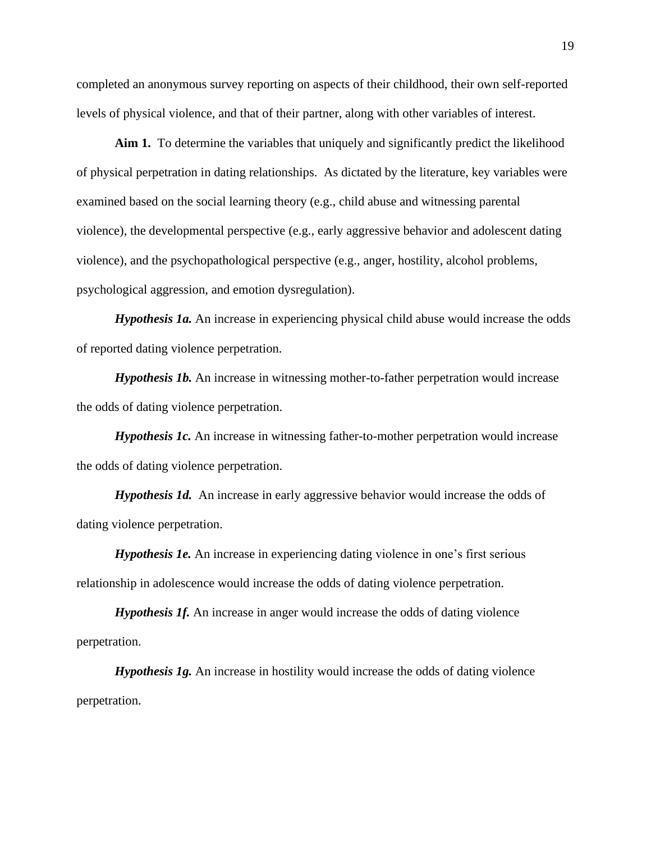completed an anonymous survey reporting on aspects of their childhood, their own self-reported levels of physical violence, and that of their partner, along with other variables of interest.

**Aim 1.** To determine the variables that uniquely and significantly predict the likelihood of physical perpetration in dating relationships. As dictated by the literature, key variables were examined based on the social learning theory (e.g., child abuse and witnessing parental violence), the developmental perspective (e.g., early aggressive behavior and adolescent dating violence), and the psychopathological perspective (e.g., anger, hostility, alcohol problems, psychological aggression, and emotion dysregulation).

*Hypothesis 1a.* An increase in experiencing physical child abuse would increase the odds of reported dating violence perpetration.

*Hypothesis 1b.* An increase in witnessing mother-to-father perpetration would increase the odds of dating violence perpetration.

*Hypothesis 1c.* An increase in witnessing father-to-mother perpetration would increase the odds of dating violence perpetration.

*Hypothesis 1d.* An increase in early aggressive behavior would increase the odds of dating violence perpetration.

*Hypothesis 1e.* An increase in experiencing dating violence in one's first serious relationship in adolescence would increase the odds of dating violence perpetration.

*Hypothesis 1f.* An increase in anger would increase the odds of dating violence perpetration.

*Hypothesis 1g.* An increase in hostility would increase the odds of dating violence perpetration.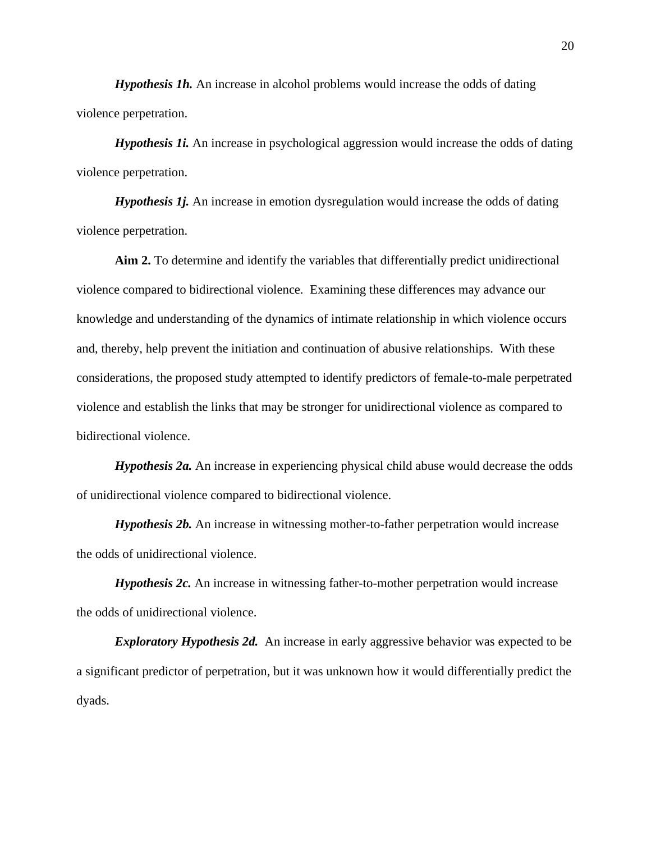*Hypothesis 1h.* An increase in alcohol problems would increase the odds of dating violence perpetration.

*Hypothesis 1i.* An increase in psychological aggression would increase the odds of dating violence perpetration.

*Hypothesis 1j.* An increase in emotion dysregulation would increase the odds of dating violence perpetration.

**Aim 2.** To determine and identify the variables that differentially predict unidirectional violence compared to bidirectional violence. Examining these differences may advance our knowledge and understanding of the dynamics of intimate relationship in which violence occurs and, thereby, help prevent the initiation and continuation of abusive relationships. With these considerations, the proposed study attempted to identify predictors of female-to-male perpetrated violence and establish the links that may be stronger for unidirectional violence as compared to bidirectional violence.

*Hypothesis 2a.* An increase in experiencing physical child abuse would decrease the odds of unidirectional violence compared to bidirectional violence.

*Hypothesis 2b.* An increase in witnessing mother-to-father perpetration would increase the odds of unidirectional violence.

*Hypothesis 2c.* An increase in witnessing father-to-mother perpetration would increase the odds of unidirectional violence.

*Exploratory Hypothesis 2d.* An increase in early aggressive behavior was expected to be a significant predictor of perpetration, but it was unknown how it would differentially predict the dyads.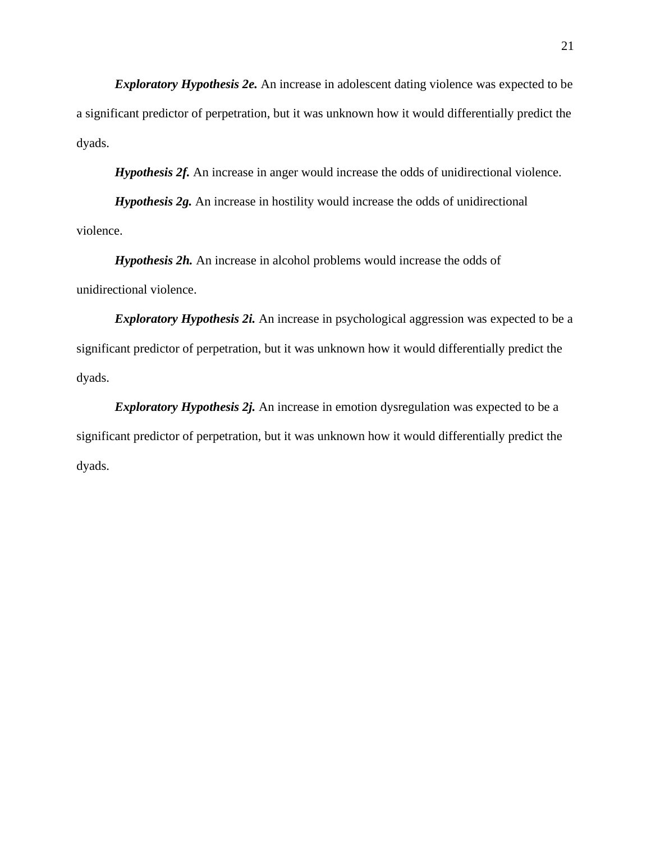*Exploratory Hypothesis 2e.* An increase in adolescent dating violence was expected to be a significant predictor of perpetration, but it was unknown how it would differentially predict the dyads.

*Hypothesis 2f.* An increase in anger would increase the odds of unidirectional violence.

*Hypothesis 2g.* An increase in hostility would increase the odds of unidirectional violence.

*Hypothesis 2h.* An increase in alcohol problems would increase the odds of unidirectional violence.

*Exploratory Hypothesis 2i.* An increase in psychological aggression was expected to be a significant predictor of perpetration, but it was unknown how it would differentially predict the dyads.

*Exploratory Hypothesis 2j.* An increase in emotion dysregulation was expected to be a significant predictor of perpetration, but it was unknown how it would differentially predict the dyads.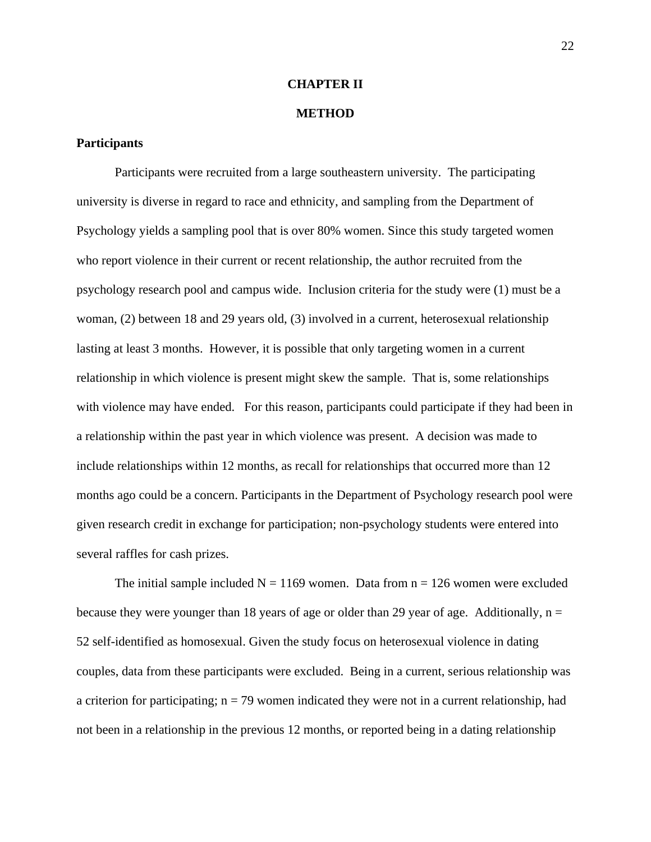#### **CHAPTER II**

#### **METHOD**

#### **Participants**

Participants were recruited from a large southeastern university. The participating university is diverse in regard to race and ethnicity, and sampling from the Department of Psychology yields a sampling pool that is over 80% women. Since this study targeted women who report violence in their current or recent relationship, the author recruited from the psychology research pool and campus wide. Inclusion criteria for the study were (1) must be a woman, (2) between 18 and 29 years old, (3) involved in a current, heterosexual relationship lasting at least 3 months. However, it is possible that only targeting women in a current relationship in which violence is present might skew the sample. That is, some relationships with violence may have ended. For this reason, participants could participate if they had been in a relationship within the past year in which violence was present. A decision was made to include relationships within 12 months, as recall for relationships that occurred more than 12 months ago could be a concern. Participants in the Department of Psychology research pool were given research credit in exchange for participation; non-psychology students were entered into several raffles for cash prizes.

The initial sample included  $N = 1169$  women. Data from  $n = 126$  women were excluded because they were younger than 18 years of age or older than 29 year of age. Additionally,  $n =$ 52 self-identified as homosexual. Given the study focus on heterosexual violence in dating couples, data from these participants were excluded. Being in a current, serious relationship was a criterion for participating;  $n = 79$  women indicated they were not in a current relationship, had not been in a relationship in the previous 12 months, or reported being in a dating relationship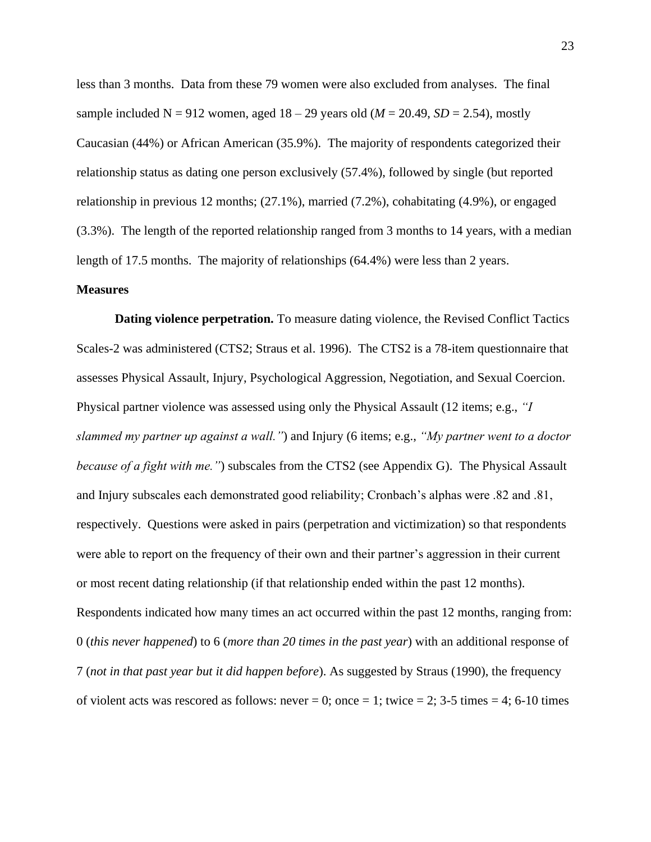less than 3 months. Data from these 79 women were also excluded from analyses. The final sample included  $N = 912$  women, aged  $18 - 29$  years old ( $M = 20.49$ ,  $SD = 2.54$ ), mostly Caucasian (44%) or African American (35.9%). The majority of respondents categorized their relationship status as dating one person exclusively (57.4%), followed by single (but reported relationship in previous 12 months; (27.1%), married (7.2%), cohabitating (4.9%), or engaged (3.3%). The length of the reported relationship ranged from 3 months to 14 years, with a median length of 17.5 months. The majority of relationships (64.4%) were less than 2 years.

#### **Measures**

**Dating violence perpetration.** To measure dating violence, the Revised Conflict Tactics Scales-2 was administered (CTS2; Straus et al. 1996). The CTS2 is a 78-item questionnaire that assesses Physical Assault, Injury, Psychological Aggression, Negotiation, and Sexual Coercion. Physical partner violence was assessed using only the Physical Assault (12 items; e.g., *"I slammed my partner up against a wall."*) and Injury (6 items; e.g., *"My partner went to a doctor because of a fight with me."*) subscales from the CTS2 (see Appendix G). The Physical Assault and Injury subscales each demonstrated good reliability; Cronbach's alphas were .82 and .81, respectively. Questions were asked in pairs (perpetration and victimization) so that respondents were able to report on the frequency of their own and their partner's aggression in their current or most recent dating relationship (if that relationship ended within the past 12 months). Respondents indicated how many times an act occurred within the past 12 months, ranging from: 0 (*this never happened*) to 6 (*more than 20 times in the past year*) with an additional response of 7 (*not in that past year but it did happen before*). As suggested by Straus (1990), the frequency of violent acts was rescored as follows: never  $= 0$ ; once  $= 1$ ; twice  $= 2$ ; 3-5 times  $= 4$ ; 6-10 times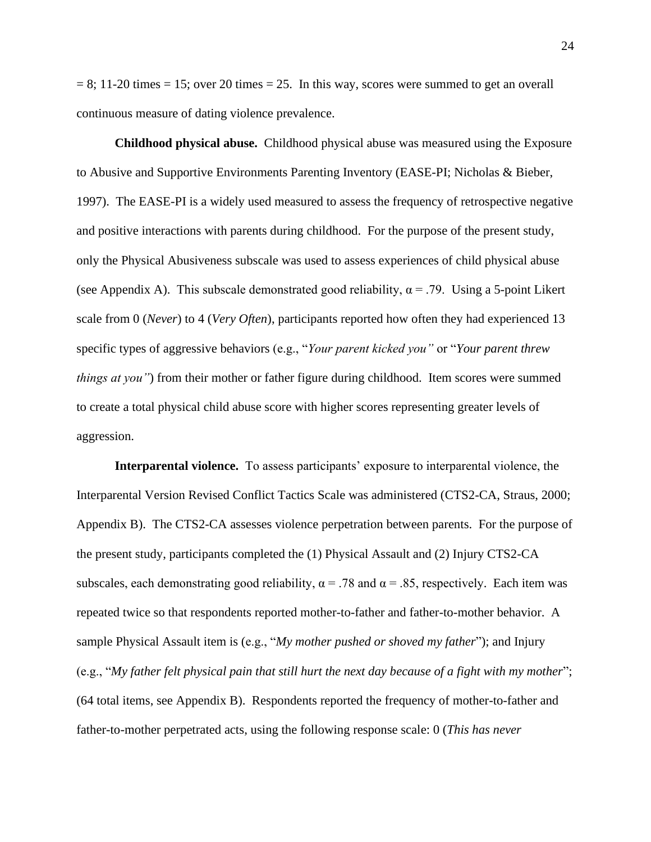$= 8$ ; 11-20 times  $= 15$ ; over 20 times  $= 25$ . In this way, scores were summed to get an overall continuous measure of dating violence prevalence.

**Childhood physical abuse.** Childhood physical abuse was measured using the Exposure to Abusive and Supportive Environments Parenting Inventory (EASE-PI; Nicholas & Bieber, 1997). The EASE-PI is a widely used measured to assess the frequency of retrospective negative and positive interactions with parents during childhood. For the purpose of the present study, only the Physical Abusiveness subscale was used to assess experiences of child physical abuse (see Appendix A). This subscale demonstrated good reliability,  $\alpha = .79$ . Using a 5-point Likert scale from 0 (*Never*) to 4 (*Very Often*), participants reported how often they had experienced 13 specific types of aggressive behaviors (e.g., "*Your parent kicked you"* or "*Your parent threw things at you*") from their mother or father figure during childhood. Item scores were summed to create a total physical child abuse score with higher scores representing greater levels of aggression.

**Interparental violence.** To assess participants' exposure to interparental violence, the Interparental Version Revised Conflict Tactics Scale was administered (CTS2-CA, Straus, 2000; Appendix B). The CTS2-CA assesses violence perpetration between parents. For the purpose of the present study, participants completed the (1) Physical Assault and (2) Injury CTS2-CA subscales, each demonstrating good reliability,  $\alpha = .78$  and  $\alpha = .85$ , respectively. Each item was repeated twice so that respondents reported mother-to-father and father-to-mother behavior. A sample Physical Assault item is (e.g., "*My mother pushed or shoved my father*"); and Injury (e.g., "*My father felt physical pain that still hurt the next day because of a fight with my mother*"; (64 total items, see Appendix B). Respondents reported the frequency of mother-to-father and father-to-mother perpetrated acts, using the following response scale: 0 (*This has never*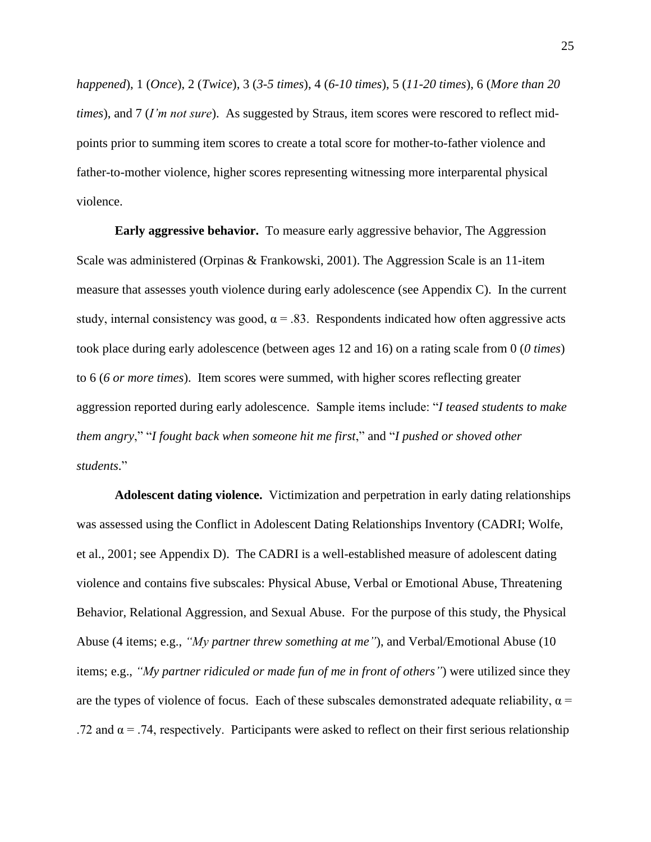*happened*), 1 (*Once*), 2 (*Twice*), 3 (*3-5 times*), 4 (*6-10 times*), 5 (*11-20 times*), 6 (*More than 20 times*), and 7 (*I'm not sure*). As suggested by Straus, item scores were rescored to reflect midpoints prior to summing item scores to create a total score for mother-to-father violence and father-to-mother violence, higher scores representing witnessing more interparental physical violence.

**Early aggressive behavior.** To measure early aggressive behavior, The Aggression Scale was administered (Orpinas & Frankowski, 2001). The Aggression Scale is an 11-item measure that assesses youth violence during early adolescence (see Appendix C). In the current study, internal consistency was good,  $\alpha = .83$ . Respondents indicated how often aggressive acts took place during early adolescence (between ages 12 and 16) on a rating scale from 0 (*0 times*) to 6 (*6 or more times*). Item scores were summed, with higher scores reflecting greater aggression reported during early adolescence. Sample items include: "*I teased students to make them angry*," "*I fought back when someone hit me first*," and "*I pushed or shoved other students*."

**Adolescent dating violence.** Victimization and perpetration in early dating relationships was assessed using the Conflict in Adolescent Dating Relationships Inventory (CADRI; Wolfe, et al., 2001; see Appendix D). The CADRI is a well-established measure of adolescent dating violence and contains five subscales: Physical Abuse, Verbal or Emotional Abuse, Threatening Behavior, Relational Aggression, and Sexual Abuse. For the purpose of this study, the Physical Abuse (4 items; e.g., *"My partner threw something at me"*), and Verbal/Emotional Abuse (10 items; e.g., *"My partner ridiculed or made fun of me in front of others"*) were utilized since they are the types of violence of focus. Each of these subscales demonstrated adequate reliability,  $\alpha$  = .72 and  $\alpha$  = .74, respectively. Participants were asked to reflect on their first serious relationship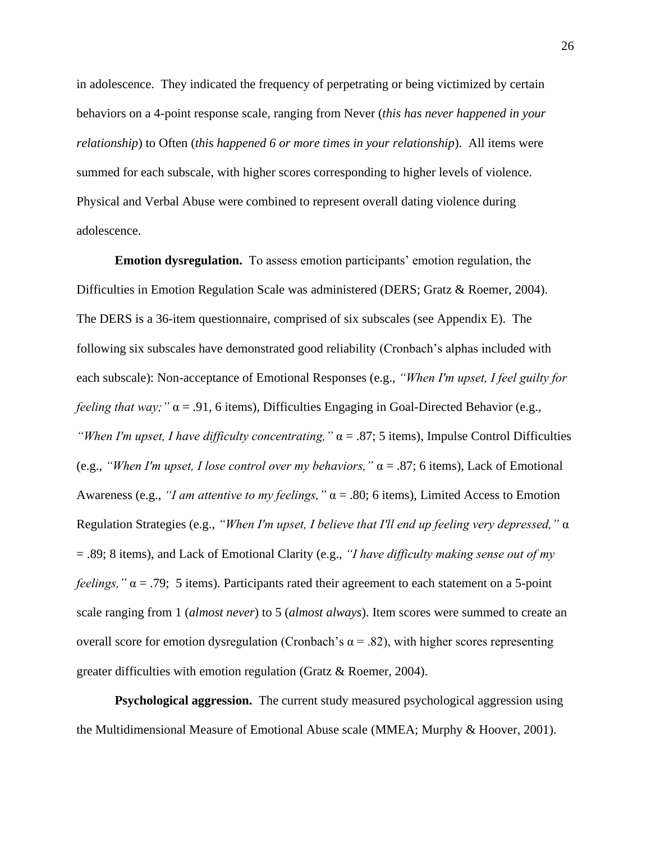in adolescence. They indicated the frequency of perpetrating or being victimized by certain behaviors on a 4-point response scale, ranging from Never (*this has never happened in your relationship*) to Often (*this happened 6 or more times in your relationship*). All items were summed for each subscale, with higher scores corresponding to higher levels of violence. Physical and Verbal Abuse were combined to represent overall dating violence during adolescence.

**Emotion dysregulation.** To assess emotion participants' emotion regulation, the Difficulties in Emotion Regulation Scale was administered (DERS; Gratz & Roemer, 2004). The DERS is a 36-item questionnaire, comprised of six subscales (see Appendix E). The following six subscales have demonstrated good reliability (Cronbach's alphas included with each subscale): Non-acceptance of Emotional Responses (e.g., *"When I'm upset, I feel guilty for feeling that way;* " $\alpha$  = .91, 6 items), Difficulties Engaging in Goal-Directed Behavior (e.g., *"When I'm upset, I have difficulty concentrating,"* α = .87; 5 items), Impulse Control Difficulties (e.g., *"When I'm upset, I lose control over my behaviors,"* α = .87; 6 items), Lack of Emotional Awareness (e.g., *"I am attentive to my feelings,"* α = .80; 6 items), Limited Access to Emotion Regulation Strategies (e.g., *"When I'm upset, I believe that I'll end up feeling very depressed,"* α = .89; 8 items), and Lack of Emotional Clarity (e.g., *"I have difficulty making sense out of my feelings,"*  $\alpha$  = .79; 5 items). Participants rated their agreement to each statement on a 5-point scale ranging from 1 (*almost never*) to 5 (*almost always*). Item scores were summed to create an overall score for emotion dysregulation (Cronbach's  $\alpha$  = .82), with higher scores representing greater difficulties with emotion regulation (Gratz & Roemer, 2004).

**Psychological aggression.** The current study measured psychological aggression using the Multidimensional Measure of Emotional Abuse scale (MMEA; Murphy & Hoover, 2001).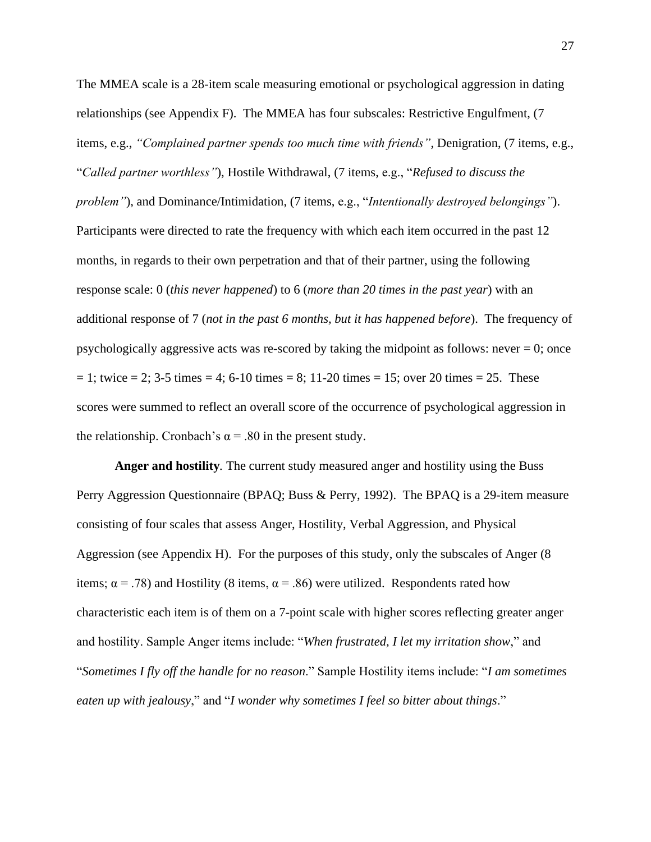The MMEA scale is a 28-item scale measuring emotional or psychological aggression in dating relationships (see Appendix F). The MMEA has four subscales: Restrictive Engulfment, (7 items, e.g., *"Complained partner spends too much time with friends"*, Denigration, (7 items, e.g., "*Called partner worthless"*), Hostile Withdrawal, (7 items, e.g., "*Refused to discuss the problem"*), and Dominance/Intimidation, (7 items, e.g., "*Intentionally destroyed belongings"*). Participants were directed to rate the frequency with which each item occurred in the past 12 months, in regards to their own perpetration and that of their partner, using the following response scale: 0 (*this never happened*) to 6 (*more than 20 times in the past year*) with an additional response of 7 (*not in the past 6 months, but it has happened before*). The frequency of psychologically aggressive acts was re-scored by taking the midpoint as follows: never  $= 0$ ; once  $= 1$ ; twice  $= 2$ ; 3-5 times  $= 4$ ; 6-10 times  $= 8$ ; 11-20 times  $= 15$ ; over 20 times  $= 25$ . These scores were summed to reflect an overall score of the occurrence of psychological aggression in the relationship. Cronbach's  $\alpha$  = .80 in the present study.

**Anger and hostility***.* The current study measured anger and hostility using the Buss Perry Aggression Questionnaire (BPAQ; Buss & Perry, 1992). The BPAQ is a 29-item measure consisting of four scales that assess Anger, Hostility, Verbal Aggression, and Physical Aggression (see Appendix H). For the purposes of this study, only the subscales of Anger (8 items;  $\alpha = .78$ ) and Hostility (8 items,  $\alpha = .86$ ) were utilized. Respondents rated how characteristic each item is of them on a 7-point scale with higher scores reflecting greater anger and hostility. Sample Anger items include: "*When frustrated, I let my irritation show*," and "*Sometimes I fly off the handle for no reason*." Sample Hostility items include: "*I am sometimes eaten up with jealousy*," and "*I wonder why sometimes I feel so bitter about things*."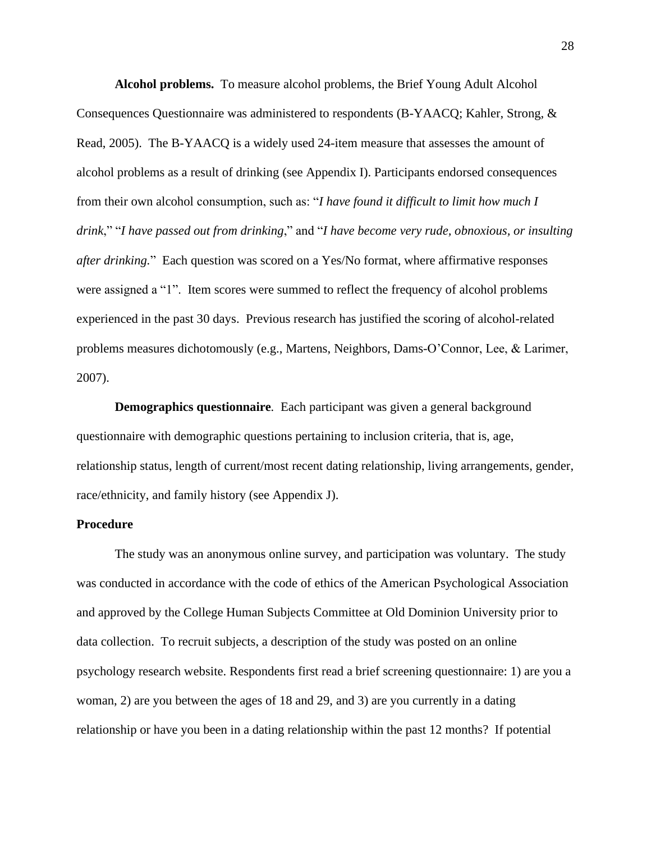**Alcohol problems.** To measure alcohol problems, the Brief Young Adult Alcohol Consequences Questionnaire was administered to respondents (B-YAACQ; Kahler, Strong, & Read, 2005). The B-YAACQ is a widely used 24-item measure that assesses the amount of alcohol problems as a result of drinking (see Appendix I). Participants endorsed consequences from their own alcohol consumption, such as: "*I have found it difficult to limit how much I drink*," "*I have passed out from drinking*," and "*I have become very rude, obnoxious, or insulting after drinking.*" Each question was scored on a Yes/No format, where affirmative responses were assigned a "1". Item scores were summed to reflect the frequency of alcohol problems experienced in the past 30 days. Previous research has justified the scoring of alcohol-related problems measures dichotomously (e.g., Martens, Neighbors, Dams-O'Connor, Lee, & Larimer, 2007).

**Demographics questionnaire***.* Each participant was given a general background questionnaire with demographic questions pertaining to inclusion criteria, that is, age, relationship status, length of current/most recent dating relationship, living arrangements, gender, race/ethnicity, and family history (see Appendix J).

### **Procedure**

The study was an anonymous online survey, and participation was voluntary. The study was conducted in accordance with the code of ethics of the American Psychological Association and approved by the College Human Subjects Committee at Old Dominion University prior to data collection. To recruit subjects, a description of the study was posted on an online psychology research website. Respondents first read a brief screening questionnaire: 1) are you a woman, 2) are you between the ages of 18 and 29, and 3) are you currently in a dating relationship or have you been in a dating relationship within the past 12 months? If potential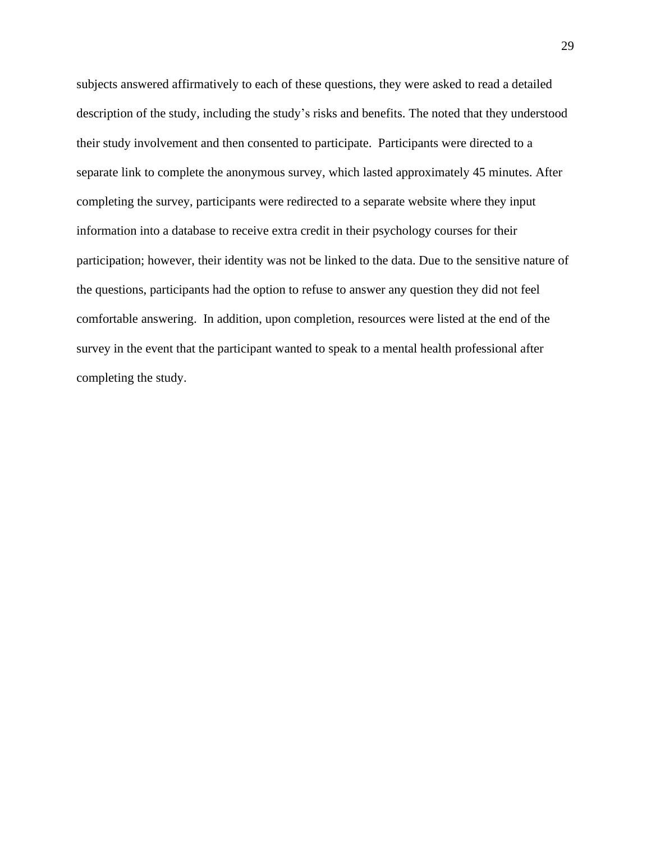subjects answered affirmatively to each of these questions, they were asked to read a detailed description of the study, including the study's risks and benefits. The noted that they understood their study involvement and then consented to participate. Participants were directed to a separate link to complete the anonymous survey, which lasted approximately 45 minutes. After completing the survey, participants were redirected to a separate website where they input information into a database to receive extra credit in their psychology courses for their participation; however, their identity was not be linked to the data. Due to the sensitive nature of the questions, participants had the option to refuse to answer any question they did not feel comfortable answering. In addition, upon completion, resources were listed at the end of the survey in the event that the participant wanted to speak to a mental health professional after completing the study.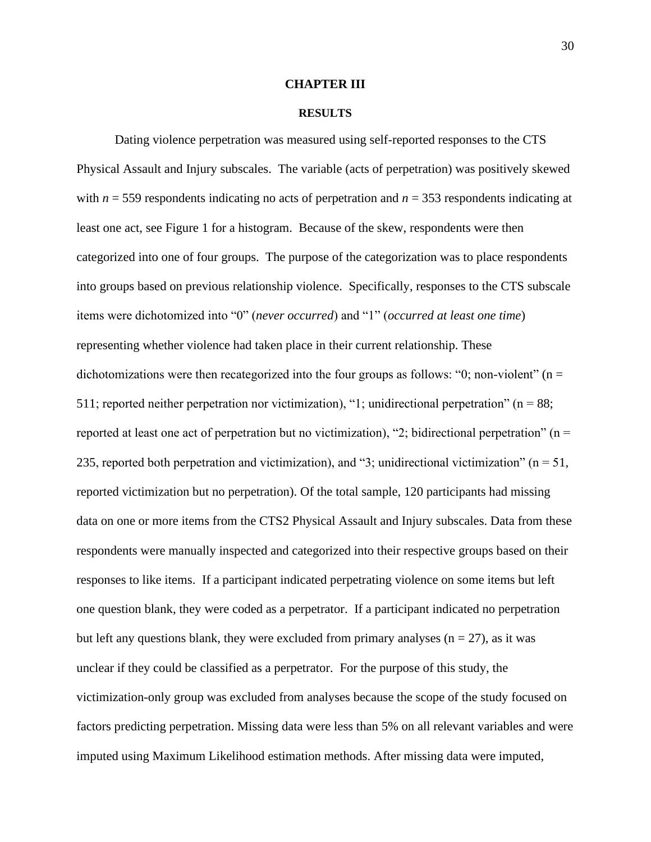#### **CHAPTER III**

#### **RESULTS**

Dating violence perpetration was measured using self-reported responses to the CTS Physical Assault and Injury subscales. The variable (acts of perpetration) was positively skewed with *n* = 559 respondents indicating no acts of perpetration and *n* = 353 respondents indicating at least one act, see Figure 1 for a histogram. Because of the skew, respondents were then categorized into one of four groups. The purpose of the categorization was to place respondents into groups based on previous relationship violence. Specifically, responses to the CTS subscale items were dichotomized into "0" (*never occurred*) and "1" (*occurred at least one time*) representing whether violence had taken place in their current relationship. These dichotomizations were then recategorized into the four groups as follows: "0; non-violent" ( $n =$ 511; reported neither perpetration nor victimization), "1; unidirectional perpetration" ( $n = 88$ ; reported at least one act of perpetration but no victimization), "2; bidirectional perpetration" ( $n =$ 235, reported both perpetration and victimization), and "3; unidirectional victimization" ( $n = 51$ , reported victimization but no perpetration). Of the total sample, 120 participants had missing data on one or more items from the CTS2 Physical Assault and Injury subscales. Data from these respondents were manually inspected and categorized into their respective groups based on their responses to like items. If a participant indicated perpetrating violence on some items but left one question blank, they were coded as a perpetrator. If a participant indicated no perpetration but left any questions blank, they were excluded from primary analyses  $(n = 27)$ , as it was unclear if they could be classified as a perpetrator. For the purpose of this study, the victimization-only group was excluded from analyses because the scope of the study focused on factors predicting perpetration. Missing data were less than 5% on all relevant variables and were imputed using Maximum Likelihood estimation methods. After missing data were imputed,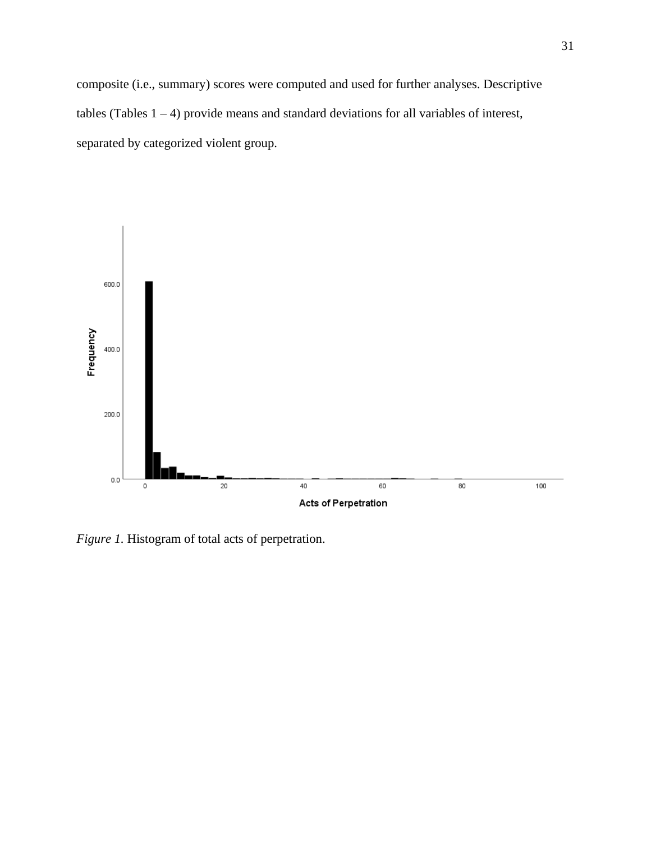composite (i.e., summary) scores were computed and used for further analyses. Descriptive tables (Tables  $1 - 4$ ) provide means and standard deviations for all variables of interest, separated by categorized violent group.



*Figure 1.* Histogram of total acts of perpetration.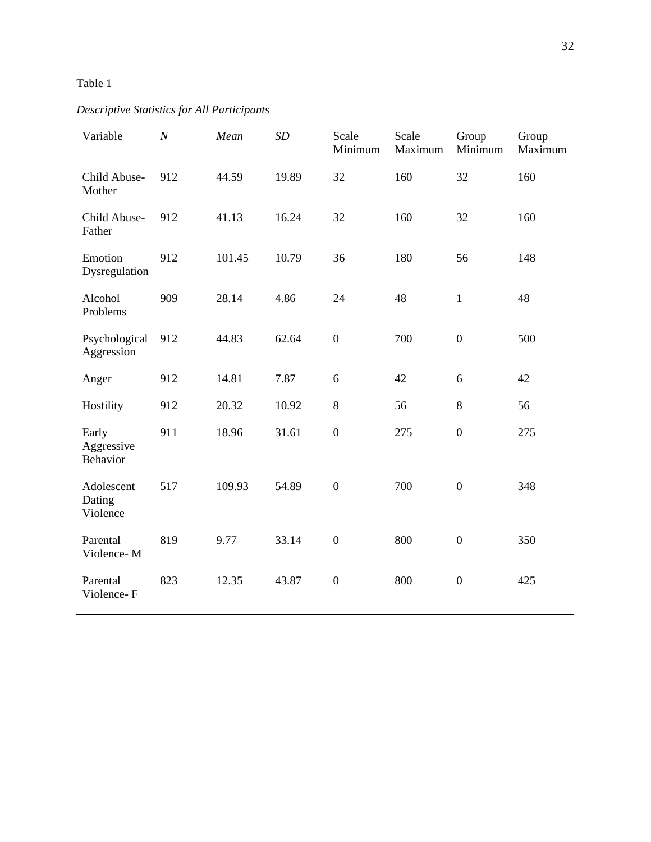| Variable                         | $\cal N$ | Mean   | SD    | Scale<br>Minimum | Scale<br>Maximum | Group<br>Minimum | Group<br>Maximum |
|----------------------------------|----------|--------|-------|------------------|------------------|------------------|------------------|
| Child Abuse-<br>Mother           | 912      | 44.59  | 19.89 | 32               | 160              | 32               | 160              |
| Child Abuse-<br>Father           | 912      | 41.13  | 16.24 | 32               | 160              | 32               | 160              |
| Emotion<br>Dysregulation         | 912      | 101.45 | 10.79 | 36               | 180              | 56               | 148              |
| Alcohol<br>Problems              | 909      | 28.14  | 4.86  | 24               | 48               | $\mathbf{1}$     | 48               |
| Psychological<br>Aggression      | 912      | 44.83  | 62.64 | $\boldsymbol{0}$ | 700              | $\overline{0}$   | 500              |
| Anger                            | 912      | 14.81  | 7.87  | 6                | 42               | 6                | 42               |
| Hostility                        | 912      | 20.32  | 10.92 | $\,8\,$          | 56               | $8\,$            | 56               |
| Early<br>Aggressive<br>Behavior  | 911      | 18.96  | 31.61 | $\boldsymbol{0}$ | 275              | $\boldsymbol{0}$ | 275              |
| Adolescent<br>Dating<br>Violence | 517      | 109.93 | 54.89 | $\boldsymbol{0}$ | 700              | $\boldsymbol{0}$ | 348              |
| Parental<br>Violence-M           | 819      | 9.77   | 33.14 | $\boldsymbol{0}$ | 800              | $\boldsymbol{0}$ | 350              |
| Parental<br>Violence-F           | 823      | 12.35  | 43.87 | $\overline{0}$   | 800              | $\boldsymbol{0}$ | 425              |

# *Descriptive Statistics for All Participants*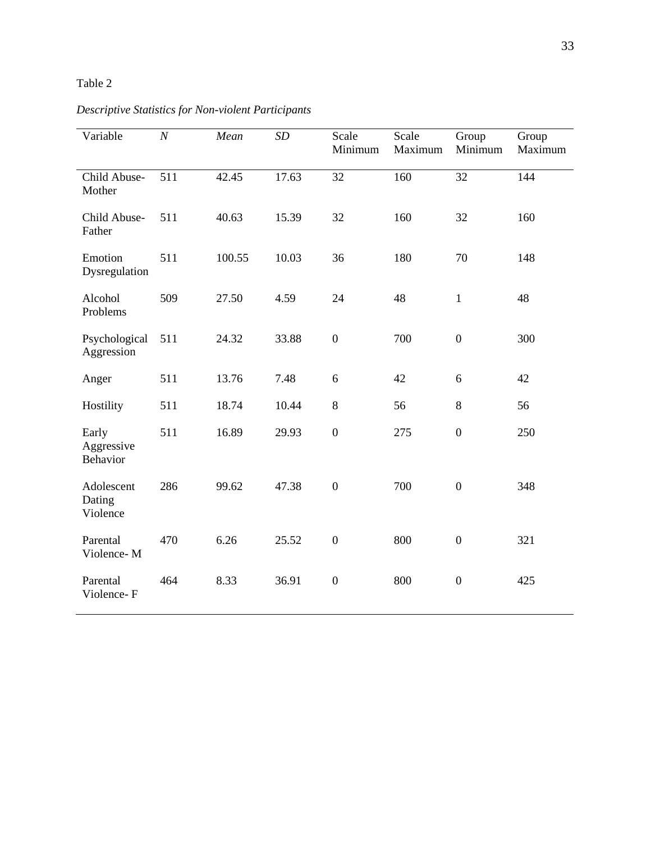| Variable                         | $\cal N$ | Mean   | SD    | Scale<br>Minimum | Scale<br>Maximum | Group<br>Minimum | Group<br>Maximum |
|----------------------------------|----------|--------|-------|------------------|------------------|------------------|------------------|
| Child Abuse-<br>Mother           | 511      | 42.45  | 17.63 | 32               | 160              | 32               | 144              |
| Child Abuse-<br>Father           | 511      | 40.63  | 15.39 | 32               | 160              | 32               | 160              |
| Emotion<br>Dysregulation         | 511      | 100.55 | 10.03 | 36               | 180              | 70               | 148              |
| Alcohol<br>Problems              | 509      | 27.50  | 4.59  | 24               | 48               | $\mathbf{1}$     | 48               |
| Psychological<br>Aggression      | 511      | 24.32  | 33.88 | $\boldsymbol{0}$ | 700              | $\boldsymbol{0}$ | 300              |
| Anger                            | 511      | 13.76  | 7.48  | 6                | 42               | 6                | 42               |
| Hostility                        | 511      | 18.74  | 10.44 | $8\,$            | 56               | $8\,$            | 56               |
| Early<br>Aggressive<br>Behavior  | 511      | 16.89  | 29.93 | $\boldsymbol{0}$ | 275              | $\boldsymbol{0}$ | 250              |
| Adolescent<br>Dating<br>Violence | 286      | 99.62  | 47.38 | $\boldsymbol{0}$ | 700              | $\boldsymbol{0}$ | 348              |
| Parental<br>Violence-M           | 470      | 6.26   | 25.52 | $\boldsymbol{0}$ | 800              | $\boldsymbol{0}$ | 321              |
| Parental<br>Violence-F           | 464      | 8.33   | 36.91 | $\overline{0}$   | 800              | $\boldsymbol{0}$ | 425              |

*Descriptive Statistics for Non-violent Participants*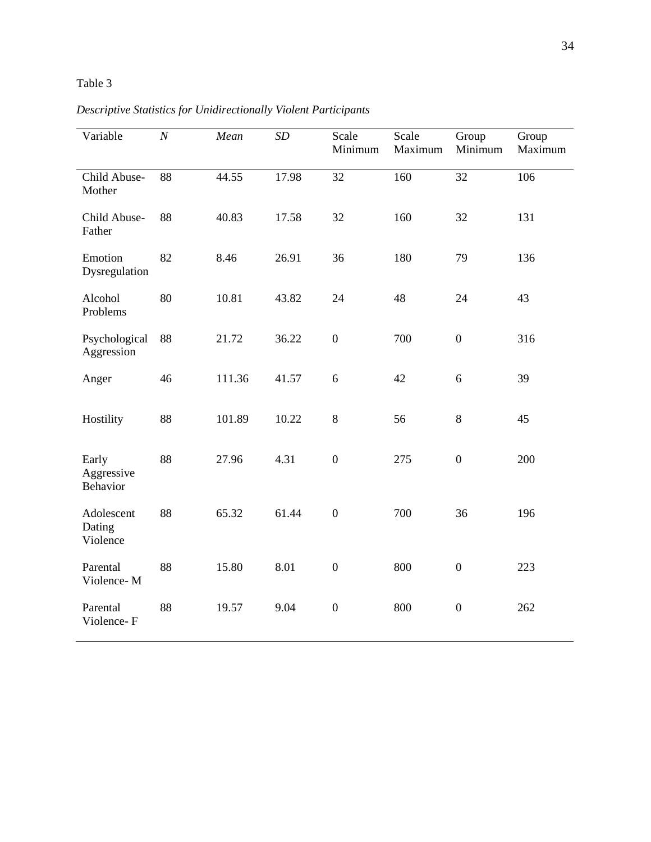| Variable                         | $\cal N$ | Mean   | SD    | Scale<br>Minimum | Scale<br>Maximum | Group<br>Minimum | Group<br>Maximum |
|----------------------------------|----------|--------|-------|------------------|------------------|------------------|------------------|
| Child Abuse-<br>Mother           | 88       | 44.55  | 17.98 | 32               | 160              | $\overline{32}$  | 106              |
| Child Abuse-<br>Father           | 88       | 40.83  | 17.58 | 32               | 160              | 32               | 131              |
| Emotion<br>Dysregulation         | 82       | 8.46   | 26.91 | 36               | 180              | 79               | 136              |
| Alcohol<br>Problems              | 80       | 10.81  | 43.82 | 24               | 48               | 24               | 43               |
| Psychological<br>Aggression      | 88       | 21.72  | 36.22 | $\boldsymbol{0}$ | 700              | $\boldsymbol{0}$ | 316              |
| Anger                            | 46       | 111.36 | 41.57 | 6                | 42               | 6                | 39               |
| Hostility                        | 88       | 101.89 | 10.22 | $8\,$            | 56               | $8\,$            | 45               |
| Early<br>Aggressive<br>Behavior  | 88       | 27.96  | 4.31  | $\boldsymbol{0}$ | 275              | $\boldsymbol{0}$ | 200              |
| Adolescent<br>Dating<br>Violence | 88       | 65.32  | 61.44 | $\boldsymbol{0}$ | 700              | 36               | 196              |
| Parental<br>Violence-M           | 88       | 15.80  | 8.01  | $\boldsymbol{0}$ | 800              | $\boldsymbol{0}$ | 223              |
| Parental<br>Violence-F           | 88       | 19.57  | 9.04  | $\boldsymbol{0}$ | 800              | $\boldsymbol{0}$ | 262              |

*Descriptive Statistics for Unidirectionally Violent Participants*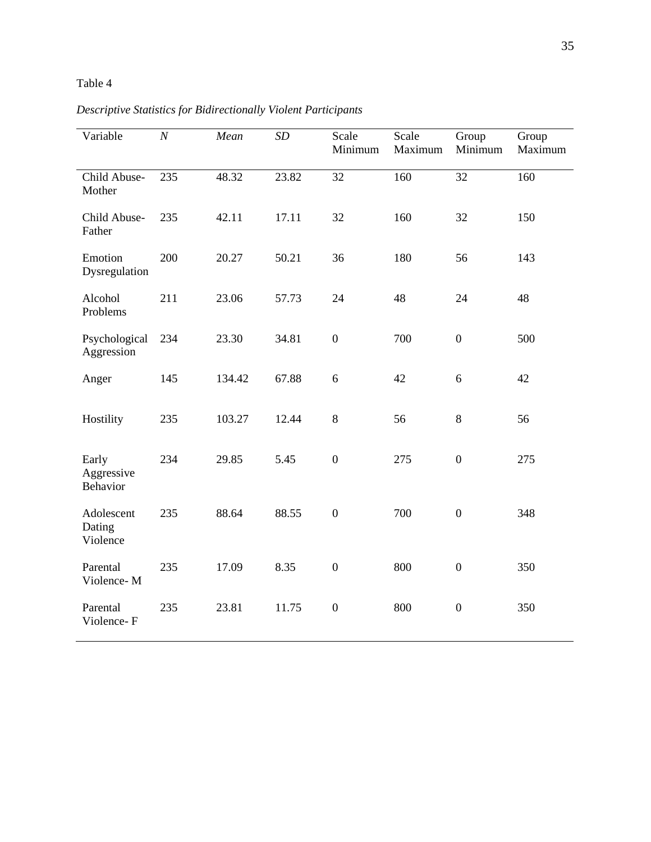| Variable                         | $\boldsymbol{N}$ | Mean   | SD    | Scale<br>Minimum | Scale<br>Maximum | Group<br>Minimum | Group<br>Maximum |
|----------------------------------|------------------|--------|-------|------------------|------------------|------------------|------------------|
| Child Abuse-<br>Mother           | 235              | 48.32  | 23.82 | 32               | 160              | 32               | 160              |
| Child Abuse-<br>Father           | 235              | 42.11  | 17.11 | 32               | 160              | 32               | 150              |
| Emotion<br>Dysregulation         | 200              | 20.27  | 50.21 | 36               | 180              | 56               | 143              |
| Alcohol<br>Problems              | 211              | 23.06  | 57.73 | 24               | 48               | 24               | 48               |
| Psychological<br>Aggression      | 234              | 23.30  | 34.81 | $\boldsymbol{0}$ | 700              | $\boldsymbol{0}$ | 500              |
| Anger                            | 145              | 134.42 | 67.88 | 6                | 42               | 6                | 42               |
| Hostility                        | 235              | 103.27 | 12.44 | 8                | 56               | 8                | 56               |
| Early<br>Aggressive<br>Behavior  | 234              | 29.85  | 5.45  | $\boldsymbol{0}$ | 275              | $\boldsymbol{0}$ | 275              |
| Adolescent<br>Dating<br>Violence | 235              | 88.64  | 88.55 | $\boldsymbol{0}$ | 700              | $\boldsymbol{0}$ | 348              |
| Parental<br>Violence-M           | 235              | 17.09  | 8.35  | $\boldsymbol{0}$ | 800              | $\overline{0}$   | 350              |
| Parental<br>Violence-F           | 235              | 23.81  | 11.75 | $\boldsymbol{0}$ | 800              | $\boldsymbol{0}$ | 350              |

*Descriptive Statistics for Bidirectionally Violent Participants*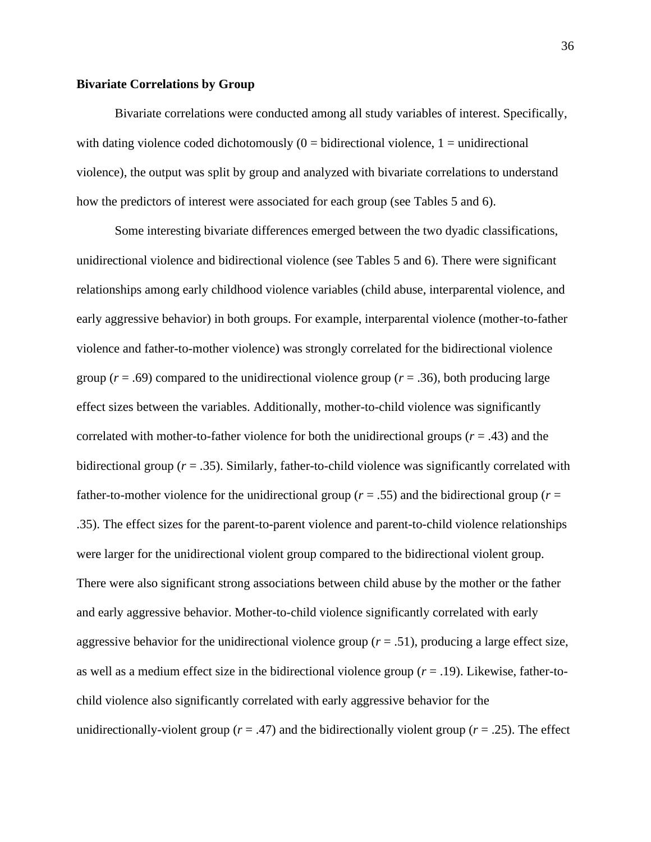### **Bivariate Correlations by Group**

Bivariate correlations were conducted among all study variables of interest. Specifically, with dating violence coded dichotomously  $(0 = bidirectional$  violence,  $1 = undirectional$ violence), the output was split by group and analyzed with bivariate correlations to understand how the predictors of interest were associated for each group (see Tables 5 and 6).

Some interesting bivariate differences emerged between the two dyadic classifications, unidirectional violence and bidirectional violence (see Tables 5 and 6). There were significant relationships among early childhood violence variables (child abuse, interparental violence, and early aggressive behavior) in both groups. For example, interparental violence (mother-to-father violence and father-to-mother violence) was strongly correlated for the bidirectional violence group ( $r = .69$ ) compared to the unidirectional violence group ( $r = .36$ ), both producing large effect sizes between the variables. Additionally, mother-to-child violence was significantly correlated with mother-to-father violence for both the unidirectional groups (*r* = .43) and the bidirectional group (*r* = .35). Similarly, father-to-child violence was significantly correlated with father-to-mother violence for the unidirectional group (*r* = .55) and the bidirectional group (*r* = .35). The effect sizes for the parent-to-parent violence and parent-to-child violence relationships were larger for the unidirectional violent group compared to the bidirectional violent group. There were also significant strong associations between child abuse by the mother or the father and early aggressive behavior. Mother-to-child violence significantly correlated with early aggressive behavior for the unidirectional violence group  $(r = .51)$ , producing a large effect size, as well as a medium effect size in the bidirectional violence group (*r* = .19). Likewise, father-tochild violence also significantly correlated with early aggressive behavior for the unidirectionally-violent group ( $r = .47$ ) and the bidirectionally violent group ( $r = .25$ ). The effect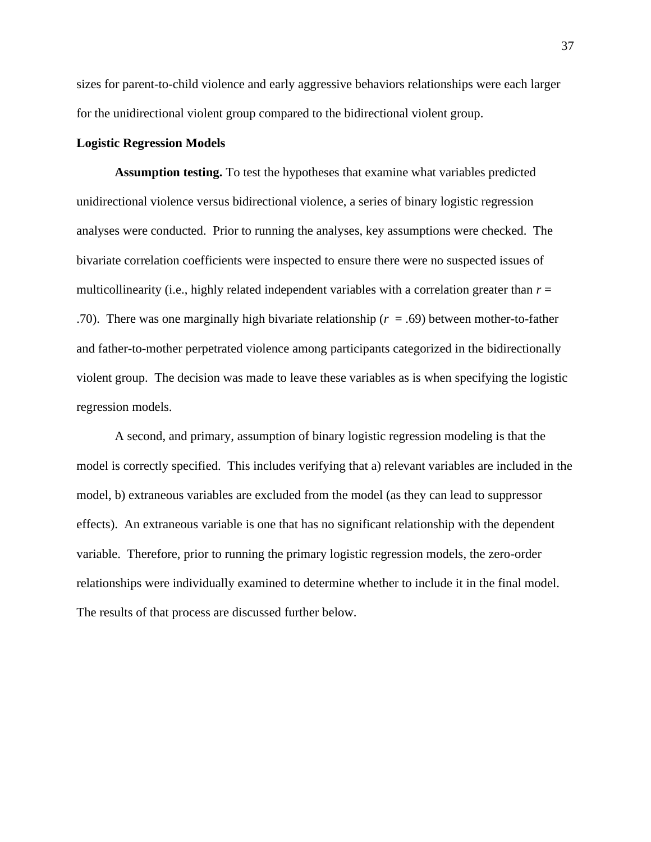sizes for parent-to-child violence and early aggressive behaviors relationships were each larger for the unidirectional violent group compared to the bidirectional violent group.

### **Logistic Regression Models**

**Assumption testing.** To test the hypotheses that examine what variables predicted unidirectional violence versus bidirectional violence, a series of binary logistic regression analyses were conducted. Prior to running the analyses, key assumptions were checked. The bivariate correlation coefficients were inspected to ensure there were no suspected issues of multicollinearity (i.e., highly related independent variables with a correlation greater than *r* = .70). There was one marginally high bivariate relationship ( $r = .69$ ) between mother-to-father and father-to-mother perpetrated violence among participants categorized in the bidirectionally violent group. The decision was made to leave these variables as is when specifying the logistic regression models.

A second, and primary, assumption of binary logistic regression modeling is that the model is correctly specified. This includes verifying that a) relevant variables are included in the model, b) extraneous variables are excluded from the model (as they can lead to suppressor effects). An extraneous variable is one that has no significant relationship with the dependent variable. Therefore, prior to running the primary logistic regression models, the zero-order relationships were individually examined to determine whether to include it in the final model. The results of that process are discussed further below.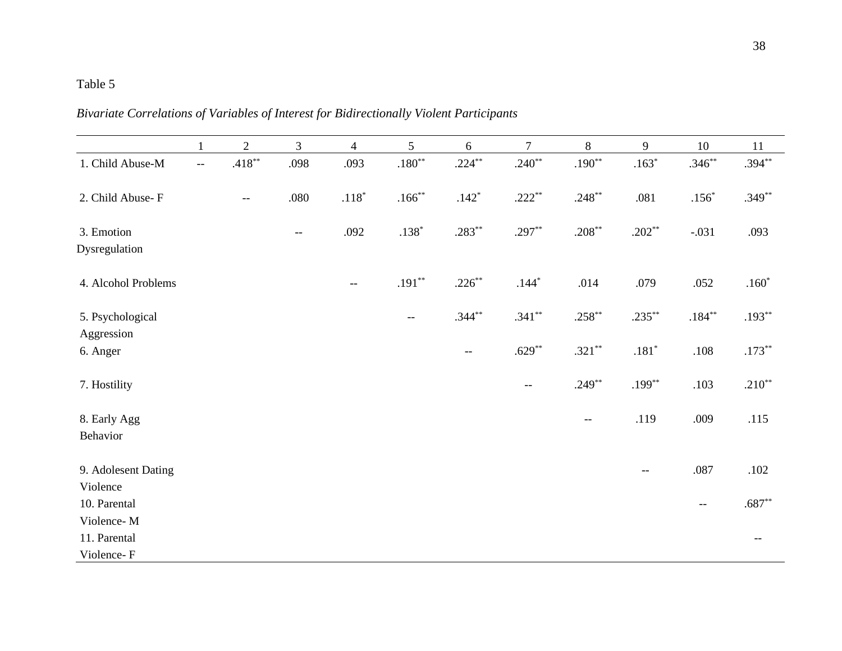| 11        | 10        | 9             | 8         | $\overline{7}$                                      | 6                                                   | 5                        | $\overline{4}$ | 3                             | $\overline{2}$           | $\mathbf{1}$             |                                |
|-----------|-----------|---------------|-----------|-----------------------------------------------------|-----------------------------------------------------|--------------------------|----------------|-------------------------------|--------------------------|--------------------------|--------------------------------|
| $.394***$ | $.346**$  | $.163*$       | $.190**$  | $.240**$                                            | $.224***$                                           | $.180^{\ast\ast}$        | .093           | .098                          | $.418***$                | $\overline{\phantom{m}}$ | 1. Child Abuse-M               |
| $.349**$  | $.156*$   | .081          | $.248***$ | $.222**$                                            | $.142*$                                             | $.166***$                | $.118^{\ast}$  | .080                          | $\overline{\phantom{m}}$ |                          | 2. Child Abuse-F               |
| .093      | $-.031$   | $.202**$      | $.208***$ | $.297**$                                            | $.283**$                                            | $.138*$                  | .092           | $\hspace{0.05cm} \textbf{--}$ |                          |                          | 3. Emotion                     |
|           |           |               |           |                                                     |                                                     |                          |                |                               |                          |                          | Dysregulation                  |
| $.160*$   | .052      | .079          | .014      | $.144*$                                             | $.226***$                                           | $.191**$                 | $-\, -$        |                               |                          |                          | 4. Alcohol Problems            |
| $.193**$  | $.184***$ | $.235***$     | $.258***$ | $.341**$                                            | $.344***$                                           | $\overline{\phantom{a}}$ |                |                               |                          |                          | 5. Psychological<br>Aggression |
| $.173***$ | .108      | $.181^{\ast}$ | $.321***$ | $.629**$                                            | $\hspace{0.05cm} -\hspace{0.05cm} -\hspace{0.05cm}$ |                          |                |                               |                          |                          | 6. Anger                       |
| $.210**$  | .103      | $.199***$     | $.249**$  | $\hspace{0.05cm} -\hspace{0.05cm} -\hspace{0.05cm}$ |                                                     |                          |                |                               |                          |                          | 7. Hostility                   |
| .115      | .009      | .119          | $-\, -$   |                                                     |                                                     |                          |                |                               |                          |                          | 8. Early Agg<br>Behavior       |
| $.102\,$  | $.087$    | $- -$         |           |                                                     |                                                     |                          |                |                               |                          |                          | 9. Adolesent Dating            |
| $.687**$  | --        |               |           |                                                     |                                                     |                          |                |                               |                          |                          | 10. Parental                   |
| $-\, -$   |           |               |           |                                                     |                                                     |                          |                |                               |                          |                          | Violence-M<br>11. Parental     |
|           |           |               |           |                                                     |                                                     |                          |                |                               |                          |                          | Violence<br>Violence-F         |

*Bivariate Correlations of Variables of Interest for Bidirectionally Violent Participants*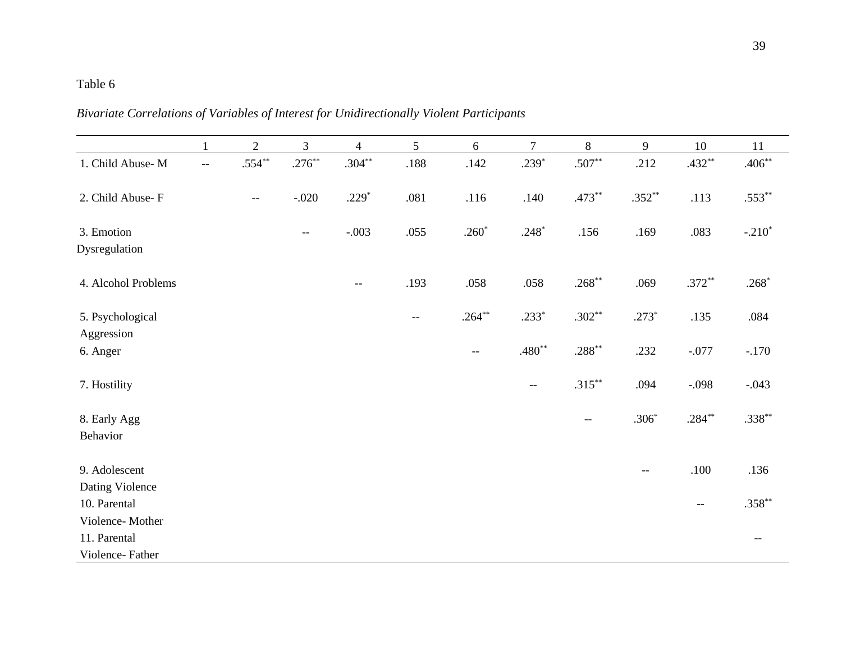|                                | 1                                             | $\overline{2}$ | $\mathfrak{Z}$ | $\overline{4}$ | 5                                                   | $6\,$     | $\overline{7}$ | 8         | 9        | 10        | 11        |
|--------------------------------|-----------------------------------------------|----------------|----------------|----------------|-----------------------------------------------------|-----------|----------------|-----------|----------|-----------|-----------|
| 1. Child Abuse-M               | $\mathord{\hspace{1pt}\text{--}\hspace{1pt}}$ | $.554***$      | $.276***$      | $.304***$      | .188                                                | .142      | $.239*$        | $.507**$  | .212     | $.432**$  | $.406***$ |
| 2. Child Abuse-F               |                                               | $-$            | $-.020$        | $.229*$        | .081                                                | .116      | .140           | $.473**$  | $.352**$ | .113      | $.553**$  |
| 3. Emotion<br>Dysregulation    |                                               |                | --             | $-.003$        | .055                                                | $.260*$   | $.248*$        | .156      | .169     | .083      | $-.210*$  |
|                                |                                               |                |                |                |                                                     |           |                |           |          |           |           |
| 4. Alcohol Problems            |                                               |                |                | $--$           | .193                                                | .058      | .058           | $.268**$  | .069     | $.372**$  | $.268*$   |
| 5. Psychological<br>Aggression |                                               |                |                |                | $\hspace{0.05cm} -\hspace{0.05cm} -\hspace{0.05cm}$ | $.264***$ | $.233*$        | $.302**$  | $.273*$  | .135      | .084      |
| 6. Anger                       |                                               |                |                |                |                                                     | $- -$     | $.480**$       | $.288***$ | .232     | $-.077$   | $-.170$   |
| 7. Hostility                   |                                               |                |                |                |                                                     |           | $- -$          | $.315***$ | .094     | $-.098$   | $-.043$   |
| 8. Early Agg                   |                                               |                |                |                |                                                     |           |                | $-\,-$    | $.306*$  | $.284***$ | $.338***$ |
| Behavior                       |                                               |                |                |                |                                                     |           |                |           |          |           |           |
| 9. Adolescent                  |                                               |                |                |                |                                                     |           |                |           | $-\,-$   | .100      | .136      |
| Dating Violence                |                                               |                |                |                |                                                     |           |                |           |          |           |           |
| 10. Parental                   |                                               |                |                |                |                                                     |           |                |           |          | $- -$     | $.358**$  |
| Violence-Mother                |                                               |                |                |                |                                                     |           |                |           |          |           |           |
| 11. Parental                   |                                               |                |                |                |                                                     |           |                |           |          |           | $-$       |
| Violence-Father                |                                               |                |                |                |                                                     |           |                |           |          |           |           |

*Bivariate Correlations of Variables of Interest for Unidirectionally Violent Participants*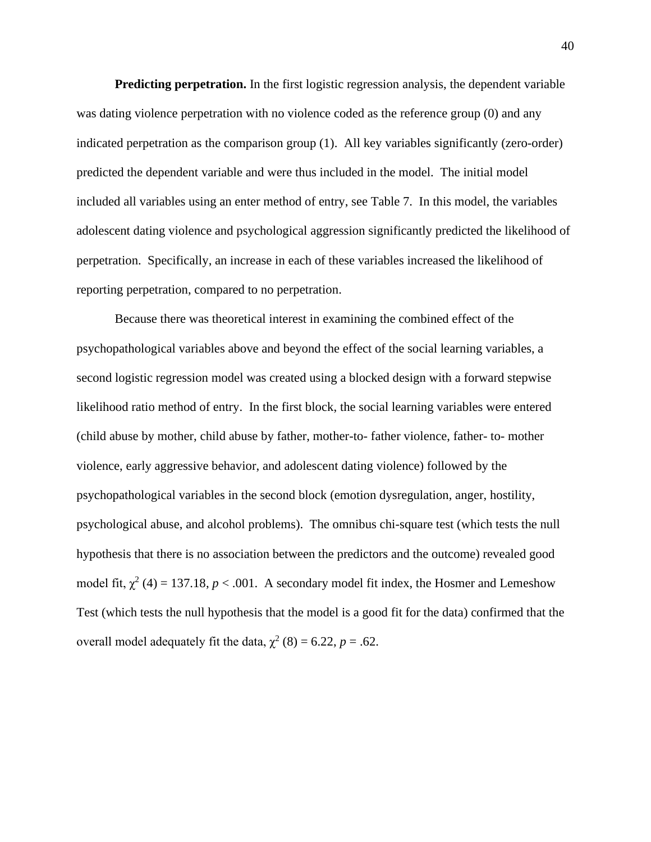**Predicting perpetration.** In the first logistic regression analysis, the dependent variable was dating violence perpetration with no violence coded as the reference group (0) and any indicated perpetration as the comparison group (1). All key variables significantly (zero-order) predicted the dependent variable and were thus included in the model. The initial model included all variables using an enter method of entry, see Table 7. In this model, the variables adolescent dating violence and psychological aggression significantly predicted the likelihood of perpetration. Specifically, an increase in each of these variables increased the likelihood of reporting perpetration, compared to no perpetration.

Because there was theoretical interest in examining the combined effect of the psychopathological variables above and beyond the effect of the social learning variables, a second logistic regression model was created using a blocked design with a forward stepwise likelihood ratio method of entry. In the first block, the social learning variables were entered (child abuse by mother, child abuse by father, mother-to- father violence, father- to- mother violence, early aggressive behavior, and adolescent dating violence) followed by the psychopathological variables in the second block (emotion dysregulation, anger, hostility, psychological abuse, and alcohol problems). The omnibus chi-square test (which tests the null hypothesis that there is no association between the predictors and the outcome) revealed good model fit,  $\chi^2$  (4) = 137.18, *p* < .001. A secondary model fit index, the Hosmer and Lemeshow Test (which tests the null hypothesis that the model is a good fit for the data) confirmed that the overall model adequately fit the data,  $\chi^2$  (8) = 6.22, *p* = .62.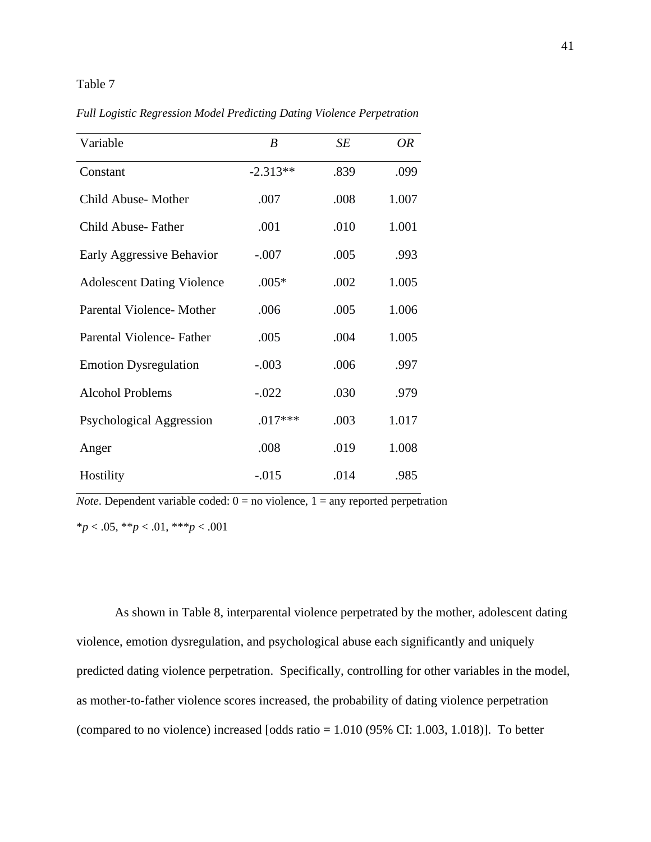*Full Logistic Regression Model Predicting Dating Violence Perpetration*

| Variable                          | B          | SE   | 0R    |
|-----------------------------------|------------|------|-------|
| Constant                          | $-2.313**$ | .839 | .099  |
| Child Abuse-Mother                | .007       | .008 | 1.007 |
| Child Abuse-Father                | .001       | .010 | 1.001 |
| Early Aggressive Behavior         | $-.007$    | .005 | .993  |
| <b>Adolescent Dating Violence</b> | $.005*$    | .002 | 1.005 |
| Parental Violence-Mother          | .006       | .005 | 1.006 |
| Parental Violence-Father          | .005       | .004 | 1.005 |
| <b>Emotion Dysregulation</b>      | $-.003$    | .006 | .997  |
| <b>Alcohol Problems</b>           | $-.022$    | .030 | .979  |
| Psychological Aggression          | $.017***$  | .003 | 1.017 |
| Anger                             | .008       | .019 | 1.008 |
| Hostility                         | $-.015$    | .014 | .985  |

*Note*. Dependent variable coded:  $0 = no$  violence,  $1 = any$  reported perpetration \**p* < .05, \*\**p* < .01, \*\*\**p* < .001

As shown in Table 8, interparental violence perpetrated by the mother, adolescent dating violence, emotion dysregulation, and psychological abuse each significantly and uniquely predicted dating violence perpetration. Specifically, controlling for other variables in the model, as mother-to-father violence scores increased, the probability of dating violence perpetration (compared to no violence) increased [odds ratio = 1.010 (95% CI: 1.003, 1.018)]. To better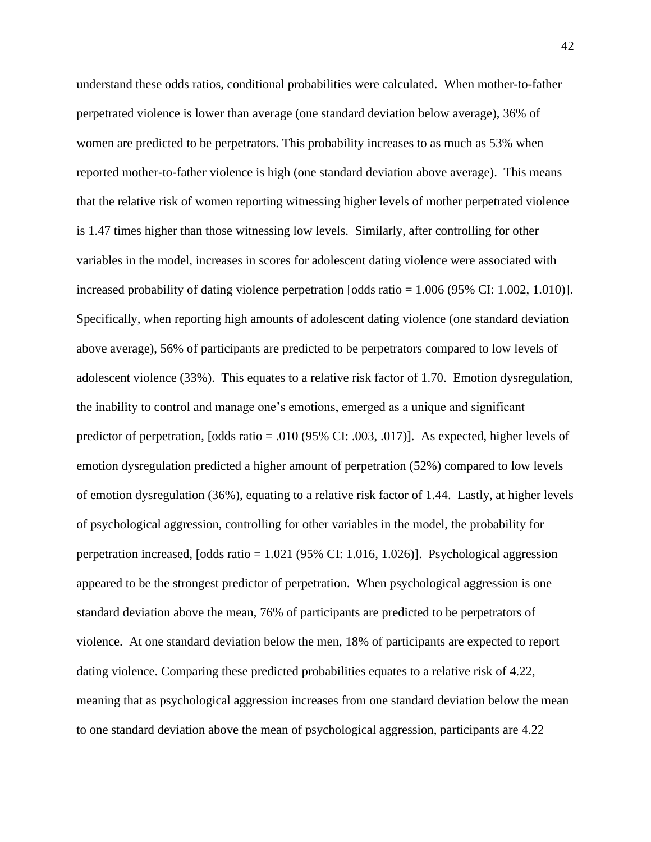understand these odds ratios, conditional probabilities were calculated. When mother-to-father perpetrated violence is lower than average (one standard deviation below average), 36% of women are predicted to be perpetrators. This probability increases to as much as 53% when reported mother-to-father violence is high (one standard deviation above average). This means that the relative risk of women reporting witnessing higher levels of mother perpetrated violence is 1.47 times higher than those witnessing low levels. Similarly, after controlling for other variables in the model, increases in scores for adolescent dating violence were associated with increased probability of dating violence perpetration [odds ratio = 1.006 (95% CI: 1.002, 1.010)]. Specifically, when reporting high amounts of adolescent dating violence (one standard deviation above average), 56% of participants are predicted to be perpetrators compared to low levels of adolescent violence (33%). This equates to a relative risk factor of 1.70. Emotion dysregulation, the inability to control and manage one's emotions, emerged as a unique and significant predictor of perpetration, [odds ratio = .010 (95% CI: .003, .017)]. As expected, higher levels of emotion dysregulation predicted a higher amount of perpetration (52%) compared to low levels of emotion dysregulation (36%), equating to a relative risk factor of 1.44. Lastly, at higher levels of psychological aggression, controlling for other variables in the model, the probability for perpetration increased, [odds ratio = 1.021 (95% CI: 1.016, 1.026)]. Psychological aggression appeared to be the strongest predictor of perpetration. When psychological aggression is one standard deviation above the mean, 76% of participants are predicted to be perpetrators of violence. At one standard deviation below the men, 18% of participants are expected to report dating violence. Comparing these predicted probabilities equates to a relative risk of 4.22, meaning that as psychological aggression increases from one standard deviation below the mean to one standard deviation above the mean of psychological aggression, participants are 4.22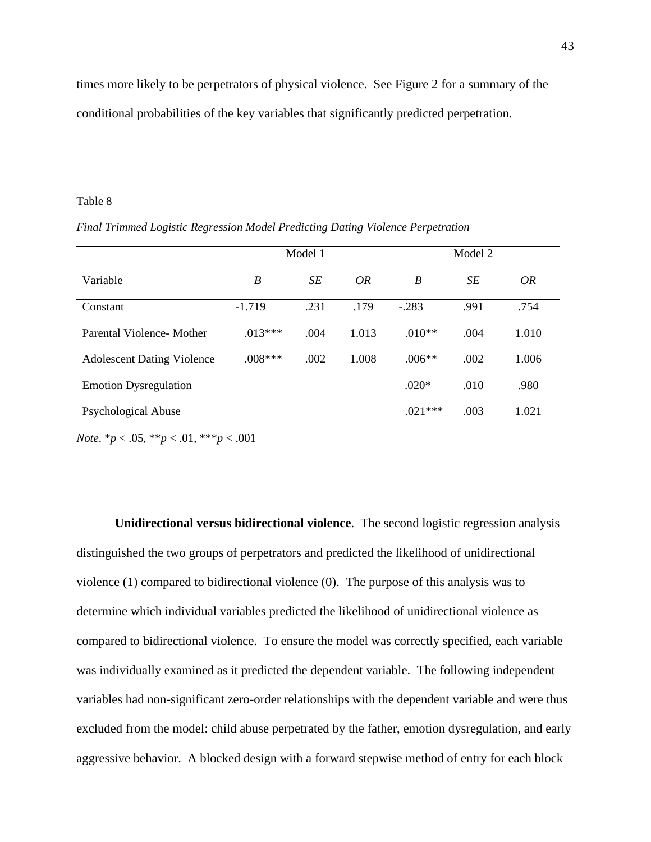times more likely to be perpetrators of physical violence. See Figure 2 for a summary of the conditional probabilities of the key variables that significantly predicted perpetration.

### Table 8

*Final Trimmed Logistic Regression Model Predicting Dating Violence Perpetration*

|                                   |           | Model 1 |           | Model 2          |      |       |  |
|-----------------------------------|-----------|---------|-----------|------------------|------|-------|--|
| Variable                          | B         | SE      | <b>OR</b> | $\boldsymbol{B}$ | SE   | OR    |  |
| Constant                          | $-1.719$  | .231    | .179      | $-.283$          | .991 | .754  |  |
| Parental Violence-Mother          | $.013***$ | .004    | 1.013     | $.010**$         | .004 | 1.010 |  |
| <b>Adolescent Dating Violence</b> | $.008***$ | .002    | 1.008     | $.006**$         | .002 | 1.006 |  |
| <b>Emotion Dysregulation</b>      |           |         |           | $.020*$          | .010 | .980  |  |
| <b>Psychological Abuse</b>        |           |         |           | $.021***$        | .003 | 1.021 |  |

*Note*.  $* p < .05, ** p < .01, ** p < .001$ 

**Unidirectional versus bidirectional violence**. The second logistic regression analysis distinguished the two groups of perpetrators and predicted the likelihood of unidirectional violence (1) compared to bidirectional violence (0). The purpose of this analysis was to determine which individual variables predicted the likelihood of unidirectional violence as compared to bidirectional violence. To ensure the model was correctly specified, each variable was individually examined as it predicted the dependent variable. The following independent variables had non-significant zero-order relationships with the dependent variable and were thus excluded from the model: child abuse perpetrated by the father, emotion dysregulation, and early aggressive behavior. A blocked design with a forward stepwise method of entry for each block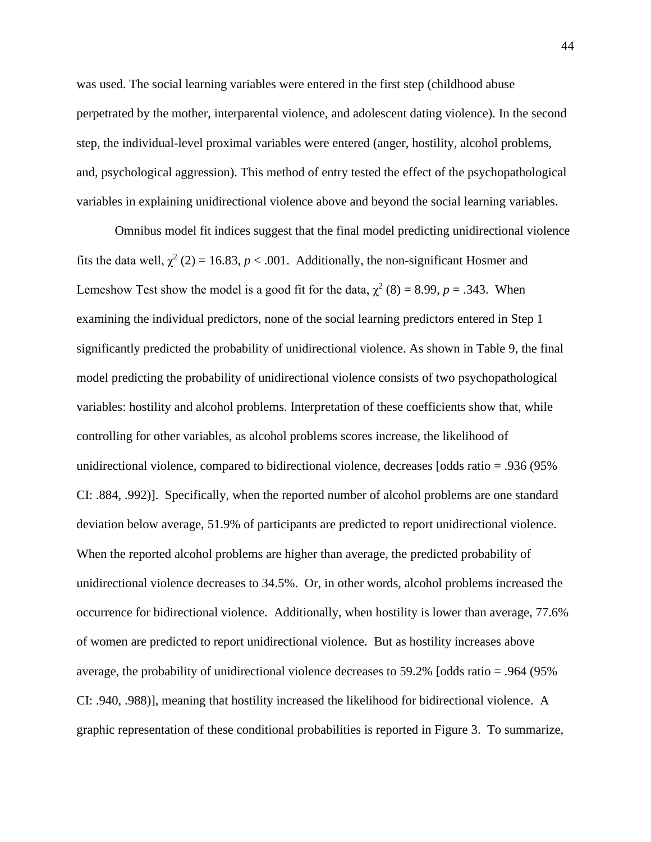was used. The social learning variables were entered in the first step (childhood abuse perpetrated by the mother, interparental violence, and adolescent dating violence). In the second step, the individual-level proximal variables were entered (anger, hostility, alcohol problems, and, psychological aggression). This method of entry tested the effect of the psychopathological variables in explaining unidirectional violence above and beyond the social learning variables.

Omnibus model fit indices suggest that the final model predicting unidirectional violence fits the data well,  $\chi^2$  (2) = 16.83, *p* < .001. Additionally, the non-significant Hosmer and Lemeshow Test show the model is a good fit for the data,  $\chi^2$  (8) = 8.99, *p* = .343. When examining the individual predictors, none of the social learning predictors entered in Step 1 significantly predicted the probability of unidirectional violence. As shown in Table 9, the final model predicting the probability of unidirectional violence consists of two psychopathological variables: hostility and alcohol problems. Interpretation of these coefficients show that, while controlling for other variables, as alcohol problems scores increase, the likelihood of unidirectional violence, compared to bidirectional violence, decreases [odds ratio = .936 (95% CI: .884, .992)]. Specifically, when the reported number of alcohol problems are one standard deviation below average, 51.9% of participants are predicted to report unidirectional violence. When the reported alcohol problems are higher than average, the predicted probability of unidirectional violence decreases to 34.5%. Or, in other words, alcohol problems increased the occurrence for bidirectional violence. Additionally, when hostility is lower than average, 77.6% of women are predicted to report unidirectional violence. But as hostility increases above average, the probability of unidirectional violence decreases to 59.2% [odds ratio = .964 (95% CI: .940, .988)], meaning that hostility increased the likelihood for bidirectional violence. A graphic representation of these conditional probabilities is reported in Figure 3. To summarize,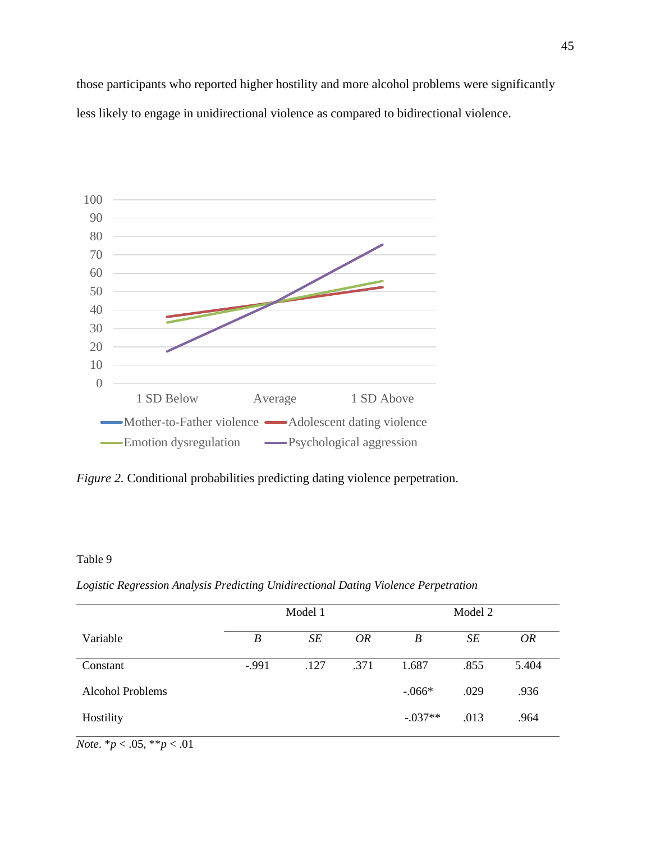those participants who reported higher hostility and more alcohol problems were significantly less likely to engage in unidirectional violence as compared to bidirectional violence.



*Figure 2.* Conditional probabilities predicting dating violence perpetration.

### Table 9

|  |  |  |  | Logistic Regression Analysis Predicting Unidirectional Dating Violence Perpetration |  |  |  |
|--|--|--|--|-------------------------------------------------------------------------------------|--|--|--|
|--|--|--|--|-------------------------------------------------------------------------------------|--|--|--|

|                         |         | Model 1 |           | Model 2   |      |           |  |
|-------------------------|---------|---------|-----------|-----------|------|-----------|--|
| Variable                | B       | SE      | <i>OR</i> | B         | SE   | <b>OR</b> |  |
| Constant                | $-.991$ | .127    | .371      | 1.687     | .855 | 5.404     |  |
| <b>Alcohol Problems</b> |         |         |           | $-.066*$  | .029 | .936      |  |
| Hostility               |         |         |           | $-.037**$ | .013 | .964      |  |

*Note*.  $* p < .05, ** p < .01$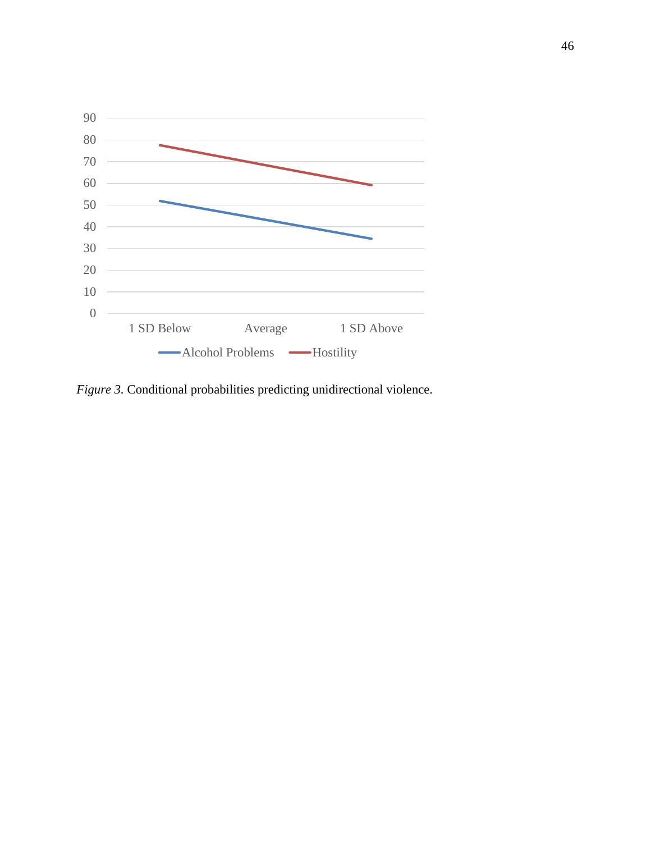

*Figure 3.* Conditional probabilities predicting unidirectional violence.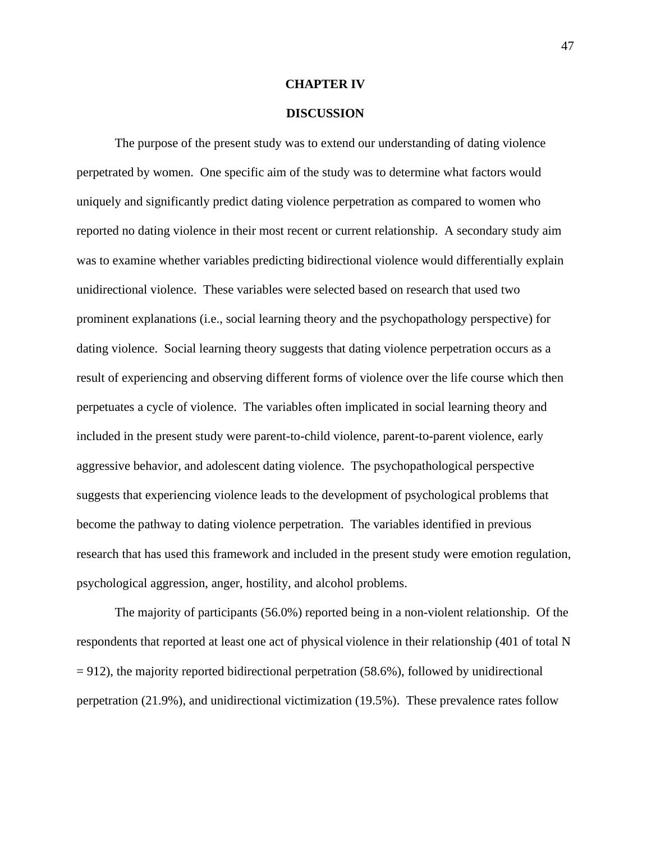### **CHAPTER IV**

### **DISCUSSION**

The purpose of the present study was to extend our understanding of dating violence perpetrated by women. One specific aim of the study was to determine what factors would uniquely and significantly predict dating violence perpetration as compared to women who reported no dating violence in their most recent or current relationship. A secondary study aim was to examine whether variables predicting bidirectional violence would differentially explain unidirectional violence. These variables were selected based on research that used two prominent explanations (i.e., social learning theory and the psychopathology perspective) for dating violence. Social learning theory suggests that dating violence perpetration occurs as a result of experiencing and observing different forms of violence over the life course which then perpetuates a cycle of violence. The variables often implicated in social learning theory and included in the present study were parent-to-child violence, parent-to-parent violence, early aggressive behavior, and adolescent dating violence. The psychopathological perspective suggests that experiencing violence leads to the development of psychological problems that become the pathway to dating violence perpetration. The variables identified in previous research that has used this framework and included in the present study were emotion regulation, psychological aggression, anger, hostility, and alcohol problems.

The majority of participants (56.0%) reported being in a non-violent relationship. Of the respondents that reported at least one act of physical violence in their relationship (401 of total N  $= 912$ ), the majority reported bidirectional perpetration (58.6%), followed by unidirectional perpetration (21.9%), and unidirectional victimization (19.5%). These prevalence rates follow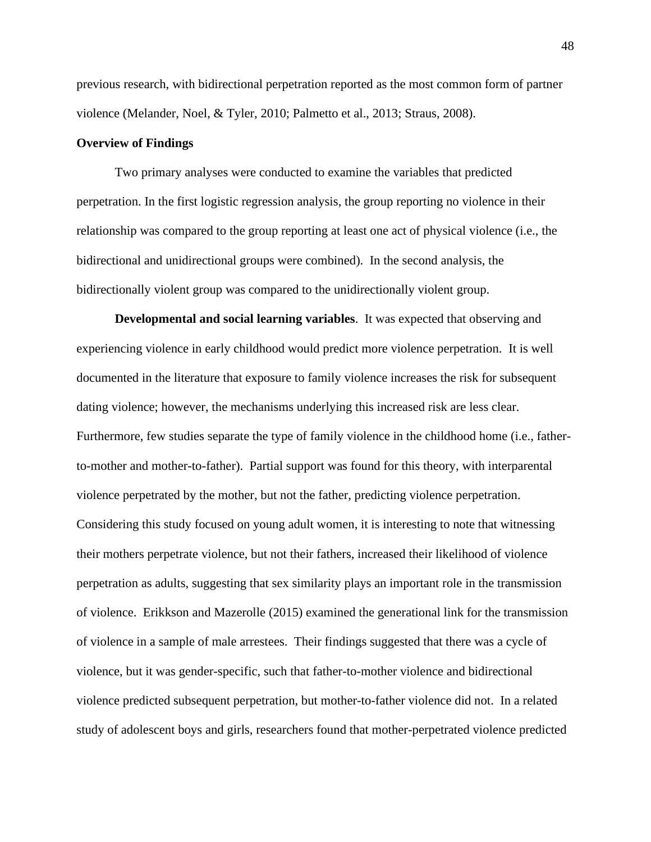previous research, with bidirectional perpetration reported as the most common form of partner violence (Melander, Noel, & Tyler, 2010; Palmetto et al., 2013; Straus, 2008).

### **Overview of Findings**

Two primary analyses were conducted to examine the variables that predicted perpetration. In the first logistic regression analysis, the group reporting no violence in their relationship was compared to the group reporting at least one act of physical violence (i.e., the bidirectional and unidirectional groups were combined). In the second analysis, the bidirectionally violent group was compared to the unidirectionally violent group.

**Developmental and social learning variables**. It was expected that observing and experiencing violence in early childhood would predict more violence perpetration. It is well documented in the literature that exposure to family violence increases the risk for subsequent dating violence; however, the mechanisms underlying this increased risk are less clear. Furthermore, few studies separate the type of family violence in the childhood home (i.e., fatherto-mother and mother-to-father). Partial support was found for this theory, with interparental violence perpetrated by the mother, but not the father, predicting violence perpetration. Considering this study focused on young adult women, it is interesting to note that witnessing their mothers perpetrate violence, but not their fathers, increased their likelihood of violence perpetration as adults, suggesting that sex similarity plays an important role in the transmission of violence. Erikkson and Mazerolle (2015) examined the generational link for the transmission of violence in a sample of male arrestees. Their findings suggested that there was a cycle of violence, but it was gender-specific, such that father-to-mother violence and bidirectional violence predicted subsequent perpetration, but mother-to-father violence did not. In a related study of adolescent boys and girls, researchers found that mother-perpetrated violence predicted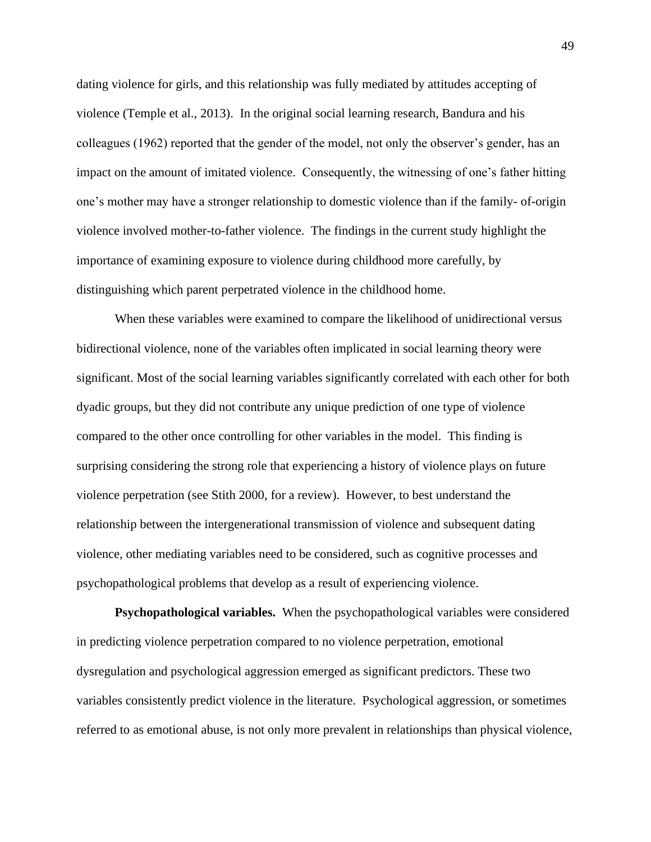dating violence for girls, and this relationship was fully mediated by attitudes accepting of violence (Temple et al., 2013). In the original social learning research, Bandura and his colleagues (1962) reported that the gender of the model, not only the observer's gender, has an impact on the amount of imitated violence. Consequently, the witnessing of one's father hitting one's mother may have a stronger relationship to domestic violence than if the family- of-origin violence involved mother-to-father violence. The findings in the current study highlight the importance of examining exposure to violence during childhood more carefully, by distinguishing which parent perpetrated violence in the childhood home.

When these variables were examined to compare the likelihood of unidirectional versus bidirectional violence, none of the variables often implicated in social learning theory were significant. Most of the social learning variables significantly correlated with each other for both dyadic groups, but they did not contribute any unique prediction of one type of violence compared to the other once controlling for other variables in the model. This finding is surprising considering the strong role that experiencing a history of violence plays on future violence perpetration (see Stith 2000, for a review). However, to best understand the relationship between the intergenerational transmission of violence and subsequent dating violence, other mediating variables need to be considered, such as cognitive processes and psychopathological problems that develop as a result of experiencing violence.

**Psychopathological variables.** When the psychopathological variables were considered in predicting violence perpetration compared to no violence perpetration, emotional dysregulation and psychological aggression emerged as significant predictors. These two variables consistently predict violence in the literature. Psychological aggression, or sometimes referred to as emotional abuse, is not only more prevalent in relationships than physical violence,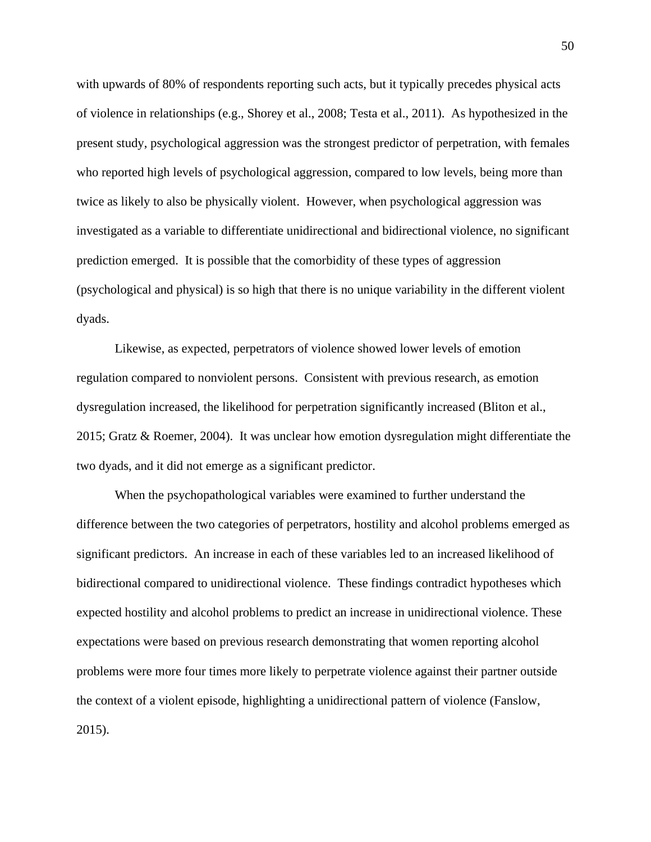with upwards of 80% of respondents reporting such acts, but it typically precedes physical acts of violence in relationships (e.g., Shorey et al., 2008; Testa et al., 2011). As hypothesized in the present study, psychological aggression was the strongest predictor of perpetration, with females who reported high levels of psychological aggression, compared to low levels, being more than twice as likely to also be physically violent. However, when psychological aggression was investigated as a variable to differentiate unidirectional and bidirectional violence, no significant prediction emerged. It is possible that the comorbidity of these types of aggression (psychological and physical) is so high that there is no unique variability in the different violent dyads.

Likewise, as expected, perpetrators of violence showed lower levels of emotion regulation compared to nonviolent persons. Consistent with previous research, as emotion dysregulation increased, the likelihood for perpetration significantly increased (Bliton et al., 2015; Gratz & Roemer, 2004). It was unclear how emotion dysregulation might differentiate the two dyads, and it did not emerge as a significant predictor.

When the psychopathological variables were examined to further understand the difference between the two categories of perpetrators, hostility and alcohol problems emerged as significant predictors. An increase in each of these variables led to an increased likelihood of bidirectional compared to unidirectional violence. These findings contradict hypotheses which expected hostility and alcohol problems to predict an increase in unidirectional violence. These expectations were based on previous research demonstrating that women reporting alcohol problems were more four times more likely to perpetrate violence against their partner outside the context of a violent episode, highlighting a unidirectional pattern of violence (Fanslow, 2015).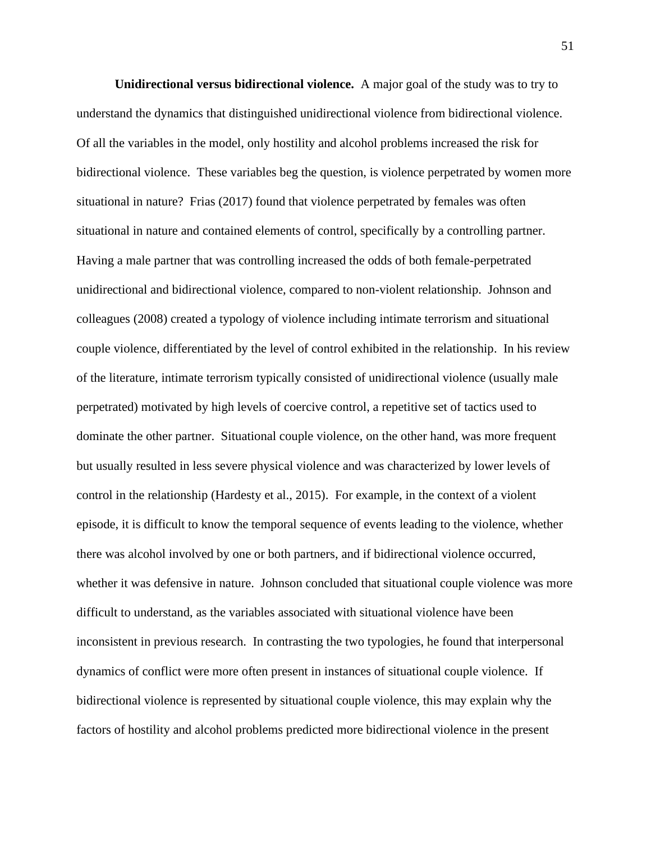**Unidirectional versus bidirectional violence.** A major goal of the study was to try to understand the dynamics that distinguished unidirectional violence from bidirectional violence. Of all the variables in the model, only hostility and alcohol problems increased the risk for bidirectional violence. These variables beg the question, is violence perpetrated by women more situational in nature? Frias (2017) found that violence perpetrated by females was often situational in nature and contained elements of control, specifically by a controlling partner. Having a male partner that was controlling increased the odds of both female-perpetrated unidirectional and bidirectional violence, compared to non-violent relationship. Johnson and colleagues (2008) created a typology of violence including intimate terrorism and situational couple violence, differentiated by the level of control exhibited in the relationship. In his review of the literature, intimate terrorism typically consisted of unidirectional violence (usually male perpetrated) motivated by high levels of coercive control, a repetitive set of tactics used to dominate the other partner. Situational couple violence, on the other hand, was more frequent but usually resulted in less severe physical violence and was characterized by lower levels of control in the relationship (Hardesty et al., 2015). For example, in the context of a violent episode, it is difficult to know the temporal sequence of events leading to the violence, whether there was alcohol involved by one or both partners, and if bidirectional violence occurred, whether it was defensive in nature. Johnson concluded that situational couple violence was more difficult to understand, as the variables associated with situational violence have been inconsistent in previous research. In contrasting the two typologies, he found that interpersonal dynamics of conflict were more often present in instances of situational couple violence. If bidirectional violence is represented by situational couple violence, this may explain why the factors of hostility and alcohol problems predicted more bidirectional violence in the present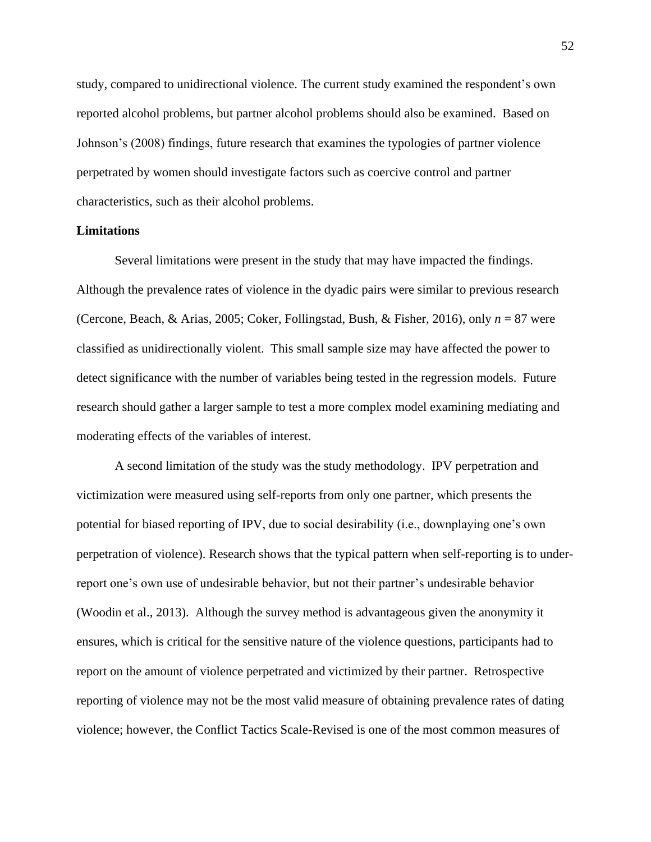study, compared to unidirectional violence. The current study examined the respondent's own reported alcohol problems, but partner alcohol problems should also be examined. Based on Johnson's (2008) findings, future research that examines the typologies of partner violence perpetrated by women should investigate factors such as coercive control and partner characteristics, such as their alcohol problems.

### **Limitations**

Several limitations were present in the study that may have impacted the findings. Although the prevalence rates of violence in the dyadic pairs were similar to previous research (Cercone, Beach, & Arias, 2005; Coker, Follingstad, Bush, & Fisher, 2016), only *n* = 87 were classified as unidirectionally violent. This small sample size may have affected the power to detect significance with the number of variables being tested in the regression models. Future research should gather a larger sample to test a more complex model examining mediating and moderating effects of the variables of interest.

A second limitation of the study was the study methodology. IPV perpetration and victimization were measured using self-reports from only one partner, which presents the potential for biased reporting of IPV, due to social desirability (i.e., downplaying one's own perpetration of violence). Research shows that the typical pattern when self-reporting is to underreport one's own use of undesirable behavior, but not their partner's undesirable behavior (Woodin et al., 2013). Although the survey method is advantageous given the anonymity it ensures, which is critical for the sensitive nature of the violence questions, participants had to report on the amount of violence perpetrated and victimized by their partner. Retrospective reporting of violence may not be the most valid measure of obtaining prevalence rates of dating violence; however, the Conflict Tactics Scale-Revised is one of the most common measures of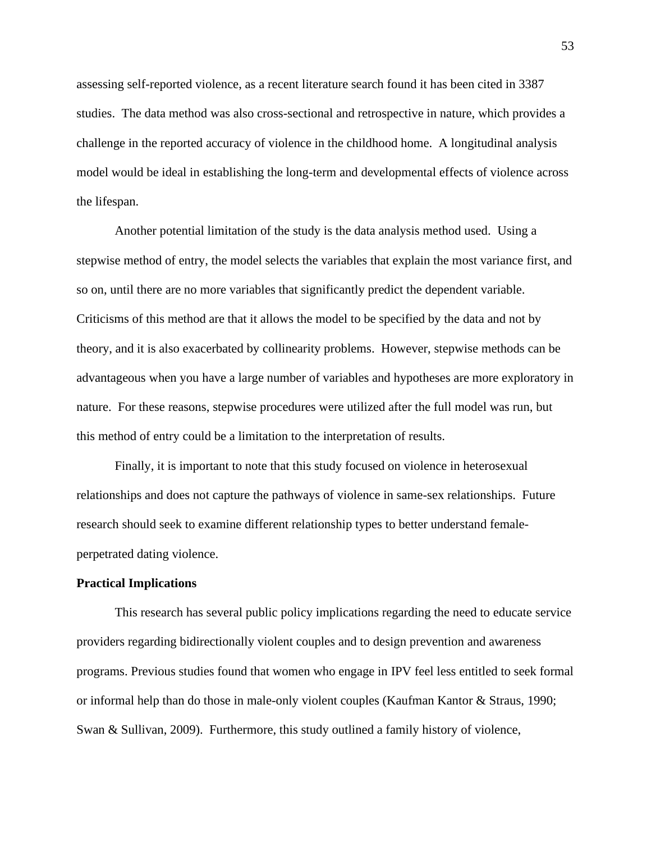assessing self-reported violence, as a recent literature search found it has been cited in 3387 studies. The data method was also cross-sectional and retrospective in nature, which provides a challenge in the reported accuracy of violence in the childhood home. A longitudinal analysis model would be ideal in establishing the long-term and developmental effects of violence across the lifespan.

Another potential limitation of the study is the data analysis method used. Using a stepwise method of entry, the model selects the variables that explain the most variance first, and so on, until there are no more variables that significantly predict the dependent variable. Criticisms of this method are that it allows the model to be specified by the data and not by theory, and it is also exacerbated by collinearity problems. However, stepwise methods can be advantageous when you have a large number of variables and hypotheses are more exploratory in nature. For these reasons, stepwise procedures were utilized after the full model was run, but this method of entry could be a limitation to the interpretation of results.

Finally, it is important to note that this study focused on violence in heterosexual relationships and does not capture the pathways of violence in same-sex relationships. Future research should seek to examine different relationship types to better understand femaleperpetrated dating violence.

#### **Practical Implications**

This research has several public policy implications regarding the need to educate service providers regarding bidirectionally violent couples and to design prevention and awareness programs. Previous studies found that women who engage in IPV feel less entitled to seek formal or informal help than do those in male-only violent couples (Kaufman Kantor & Straus, 1990; Swan & Sullivan, 2009). Furthermore, this study outlined a family history of violence,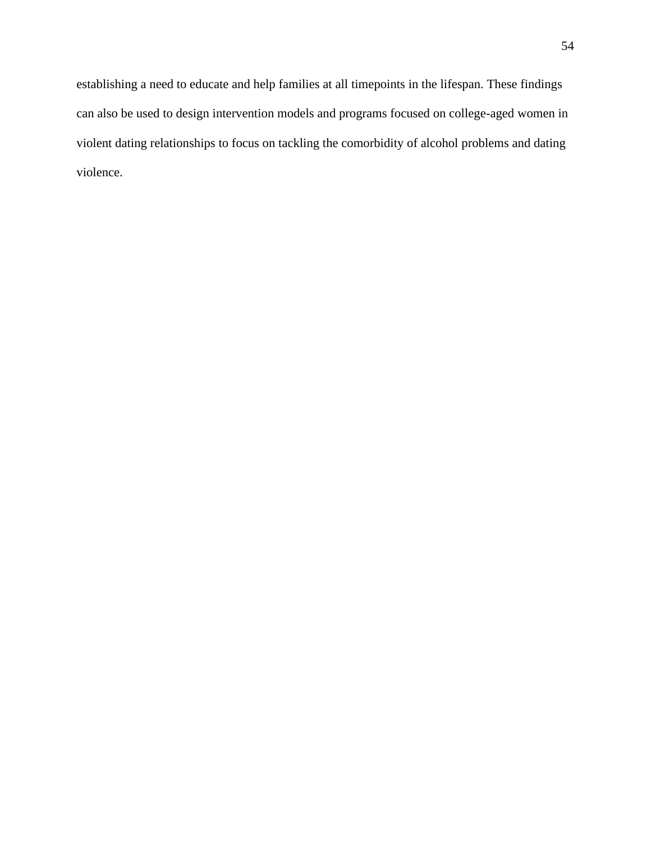establishing a need to educate and help families at all timepoints in the lifespan. These findings can also be used to design intervention models and programs focused on college-aged women in violent dating relationships to focus on tackling the comorbidity of alcohol problems and dating violence.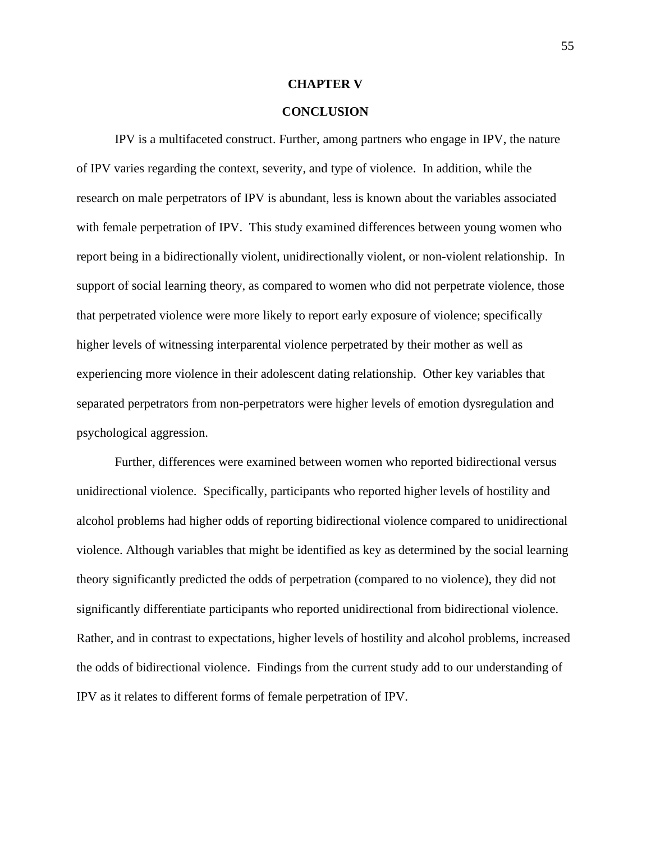### **CHAPTER V**

### **CONCLUSION**

IPV is a multifaceted construct. Further, among partners who engage in IPV, the nature of IPV varies regarding the context, severity, and type of violence. In addition, while the research on male perpetrators of IPV is abundant, less is known about the variables associated with female perpetration of IPV. This study examined differences between young women who report being in a bidirectionally violent, unidirectionally violent, or non-violent relationship. In support of social learning theory, as compared to women who did not perpetrate violence, those that perpetrated violence were more likely to report early exposure of violence; specifically higher levels of witnessing interparental violence perpetrated by their mother as well as experiencing more violence in their adolescent dating relationship. Other key variables that separated perpetrators from non-perpetrators were higher levels of emotion dysregulation and psychological aggression.

Further, differences were examined between women who reported bidirectional versus unidirectional violence. Specifically, participants who reported higher levels of hostility and alcohol problems had higher odds of reporting bidirectional violence compared to unidirectional violence. Although variables that might be identified as key as determined by the social learning theory significantly predicted the odds of perpetration (compared to no violence), they did not significantly differentiate participants who reported unidirectional from bidirectional violence. Rather, and in contrast to expectations, higher levels of hostility and alcohol problems, increased the odds of bidirectional violence. Findings from the current study add to our understanding of IPV as it relates to different forms of female perpetration of IPV.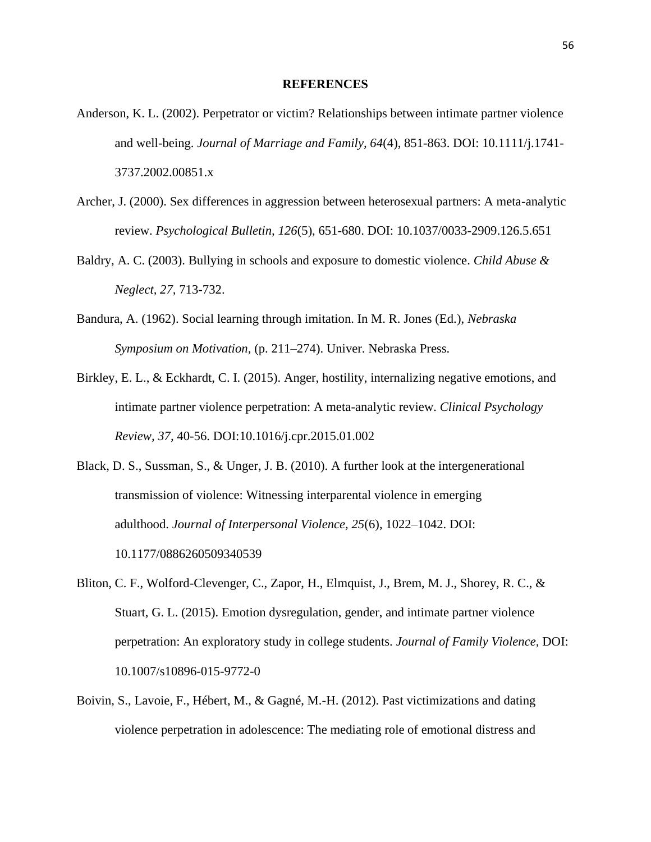### **REFERENCES**

- Anderson, K. L. (2002). Perpetrator or victim? Relationships between intimate partner violence and well-being. *Journal of Marriage and Family, 64*(4), 851-863. DOI: 10.1111/j.1741- 3737.2002.00851.x
- Archer, J. (2000). Sex differences in aggression between heterosexual partners: A meta-analytic review. *Psychological Bulletin, 126*(5), 651-680. DOI: 10.1037/0033-2909.126.5.651
- Baldry, A. C. (2003). Bullying in schools and exposure to domestic violence. *Child Abuse & Neglect, 27,* 713-732.
- Bandura, A. (1962). Social learning through imitation. In M. R. Jones (Ed.), *Nebraska Symposium on Motivation,* (p. 211–274). Univer. Nebraska Press.
- Birkley, E. L., & Eckhardt, C. I. (2015). Anger, hostility, internalizing negative emotions, and intimate partner violence perpetration: A meta-analytic review. *Clinical Psychology Review, 37,* 40-56. DOI:10.1016/j.cpr.2015.01.002
- Black, D. S., Sussman, S., & Unger, J. B. (2010). A further look at the intergenerational transmission of violence: Witnessing interparental violence in emerging adulthood. *Journal of Interpersonal Violence, 25*(6), 1022–1042. DOI: 10.1177/0886260509340539
- Bliton, C. F., Wolford-Clevenger, C., Zapor, H., Elmquist, J., Brem, M. J., Shorey, R. C., & Stuart, G. L. (2015). Emotion dysregulation, gender, and intimate partner violence perpetration: An exploratory study in college students. *Journal of Family Violence,* DOI: 10.1007/s10896-015-9772-0
- Boivin, S., Lavoie, F., Hébert, M., & Gagné, M.-H. (2012). Past victimizations and dating violence perpetration in adolescence: The mediating role of emotional distress and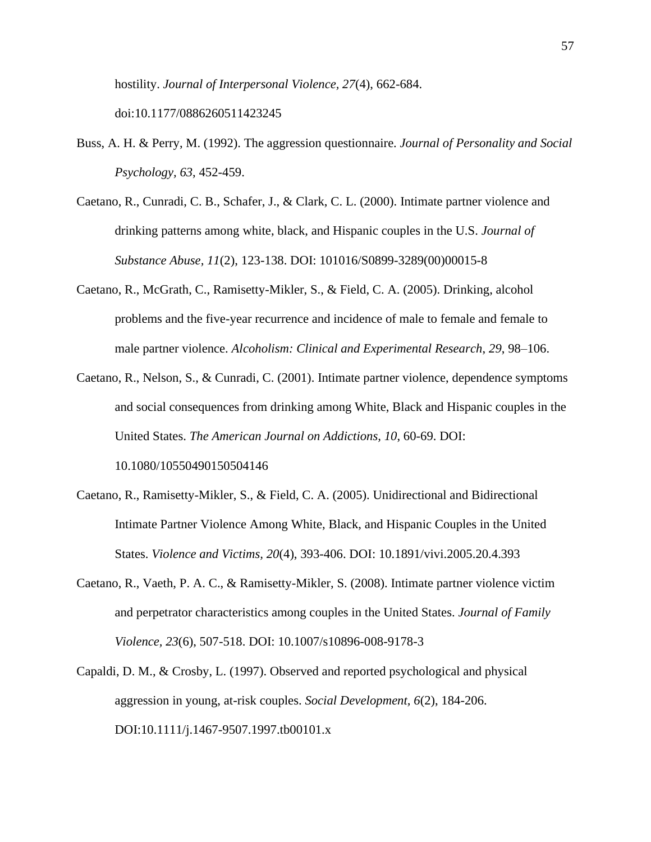hostility. *Journal of Interpersonal Violence, 27*(4), 662-684.

doi:10.1177/0886260511423245

- Buss, A. H. & Perry, M. (1992). The aggression questionnaire. *Journal of Personality and Social Psychology, 63*, 452-459.
- Caetano, R., Cunradi, C. B., Schafer, J., & Clark, C. L. (2000). Intimate partner violence and drinking patterns among white, black, and Hispanic couples in the U.S. *Journal of Substance Abuse, 11*(2), 123-138. DOI: 101016/S0899-3289(00)00015-8
- Caetano, R., McGrath, C., Ramisetty-Mikler, S., & Field, C. A. (2005). Drinking, alcohol problems and the five-year recurrence and incidence of male to female and female to male partner violence. *Alcoholism: Clinical and Experimental Research*, *29*, 98–106.
- Caetano, R., Nelson, S., & Cunradi, C. (2001). Intimate partner violence, dependence symptoms and social consequences from drinking among White, Black and Hispanic couples in the United States. *The American Journal on Addictions, 10*, 60-69. DOI: 10.1080/10550490150504146
- Caetano, R., Ramisetty-Mikler, S., & Field, C. A. (2005). Unidirectional and Bidirectional Intimate Partner Violence Among White, Black, and Hispanic Couples in the United States. *Violence and Victims, 20*(4), 393-406. DOI: 10.1891/vivi.2005.20.4.393
- Caetano, R., Vaeth, P. A. C., & Ramisetty-Mikler, S. (2008). Intimate partner violence victim and perpetrator characteristics among couples in the United States. *Journal of Family Violence, 23*(6), 507-518. DOI: 10.1007/s10896-008-9178-3
- Capaldi, D. M., & Crosby, L. (1997). Observed and reported psychological and physical aggression in young, at-risk couples. *Social Development, 6*(2), 184-206. DOI:10.1111/j.1467-9507.1997.tb00101.x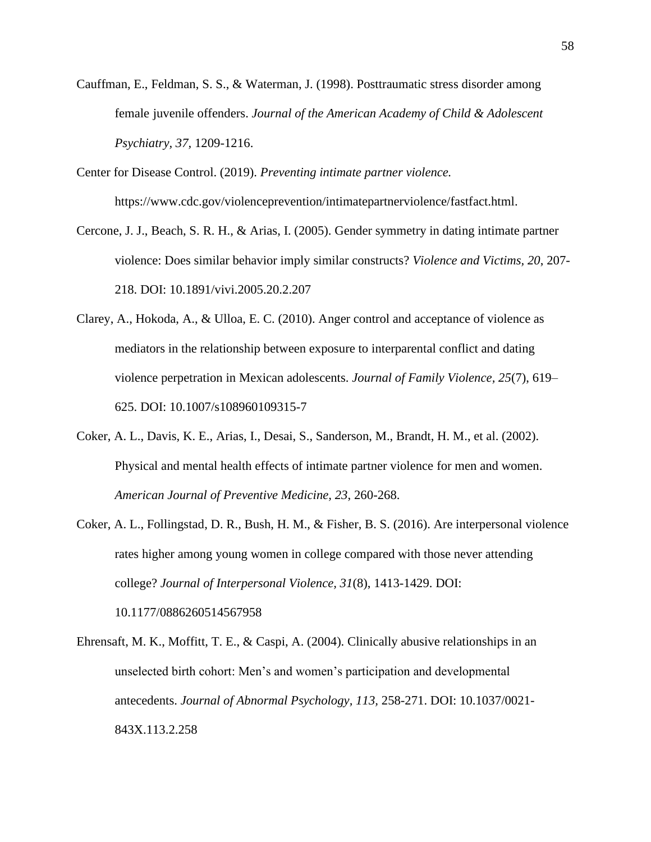- Cauffman, E., Feldman, S. S., & Waterman, J. (1998). Posttraumatic stress disorder among female juvenile offenders. *Journal of the American Academy of Child & Adolescent Psychiatry, 37,* 1209-1216.
- Center for Disease Control. (2019). *Preventing intimate partner violence.*  https://www.cdc.gov/violenceprevention/intimatepartnerviolence/fastfact.html.
- Cercone, J. J., Beach, S. R. H., & Arias, I. (2005). Gender symmetry in dating intimate partner violence: Does similar behavior imply similar constructs? *Violence and Victims, 20*, 207- 218. DOI: 10.1891/vivi.2005.20.2.207
- Clarey, A., Hokoda, A., & Ulloa, E. C. (2010). Anger control and acceptance of violence as mediators in the relationship between exposure to interparental conflict and dating violence perpetration in Mexican adolescents. *Journal of Family Violence, 25*(7), 619– 625. DOI: 10.1007/s108960109315-7
- Coker, A. L., Davis, K. E., Arias, I., Desai, S., Sanderson, M., Brandt, H. M., et al. (2002). Physical and mental health effects of intimate partner violence for men and women. *American Journal of Preventive Medicine, 23*, 260-268.
- Coker, A. L., Follingstad, D. R., Bush, H. M., & Fisher, B. S. (2016). Are interpersonal violence rates higher among young women in college compared with those never attending college? *Journal of Interpersonal Violence, 31*(8), 1413-1429. DOI: 10.1177/0886260514567958
- Ehrensaft, M. K., Moffitt, T. E., & Caspi, A. (2004). Clinically abusive relationships in an unselected birth cohort: Men's and women's participation and developmental antecedents. *Journal of Abnormal Psychology, 113,* 258-271. DOI: 10.1037/0021- 843X.113.2.258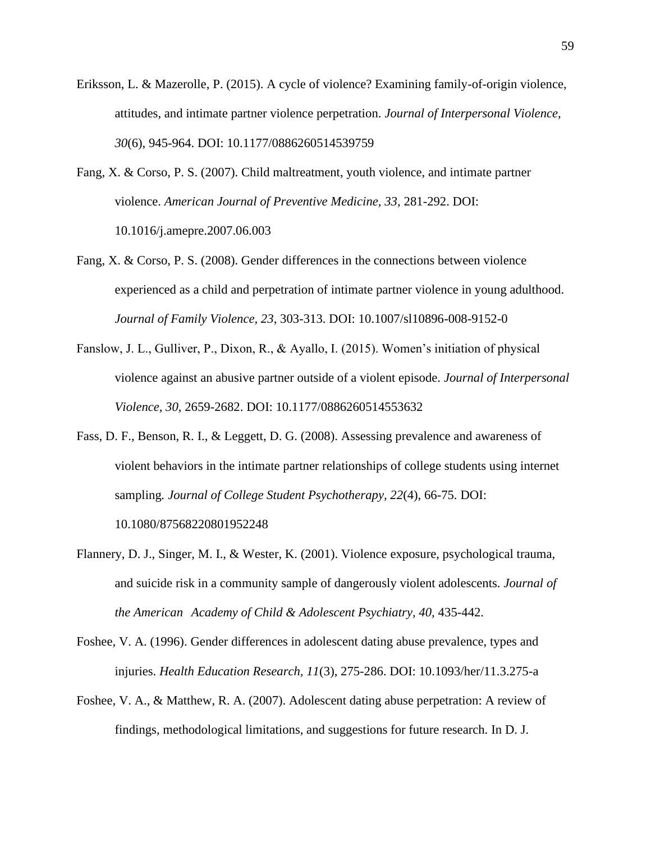- Eriksson, L. & Mazerolle, P. (2015). A cycle of violence? Examining family-of-origin violence, attitudes, and intimate partner violence perpetration. *Journal of Interpersonal Violence, 30*(6), 945-964. DOI: 10.1177/0886260514539759
- Fang, X. & Corso, P. S. (2007). Child maltreatment, youth violence, and intimate partner violence. *American Journal of Preventive Medicine, 33,* 281-292. DOI: 10.1016/j.amepre.2007.06.003
- Fang, X. & Corso, P. S. (2008). Gender differences in the connections between violence experienced as a child and perpetration of intimate partner violence in young adulthood. *Journal of Family Violence, 23*, 303-313. DOI: 10.1007/sl10896-008-9152-0
- Fanslow, J. L., Gulliver, P., Dixon, R., & Ayallo, I. (2015). Women's initiation of physical violence against an abusive partner outside of a violent episode. *Journal of Interpersonal Violence, 30,* 2659-2682. DOI: 10.1177/0886260514553632
- Fass, D. F., Benson, R. I., & Leggett, D. G. (2008). Assessing prevalence and awareness of violent behaviors in the intimate partner relationships of college students using internet sampling*. Journal of College Student Psychotherapy, 22*(4), 66-75. DOI: 10.1080/87568220801952248
- Flannery, D. J., Singer, M. I., & Wester, K. (2001). Violence exposure, psychological trauma, and suicide risk in a community sample of dangerously violent adolescents. *Journal of the American Academy of Child & Adolescent Psychiatry, 40,* 435-442.
- Foshee, V. A. (1996). Gender differences in adolescent dating abuse prevalence, types and injuries. *Health Education Research, 11*(3), 275-286. DOI: 10.1093/her/11.3.275-a
- Foshee, V. A., & Matthew, R. A. (2007). Adolescent dating abuse perpetration: A review of findings, methodological limitations, and suggestions for future research. In D. J.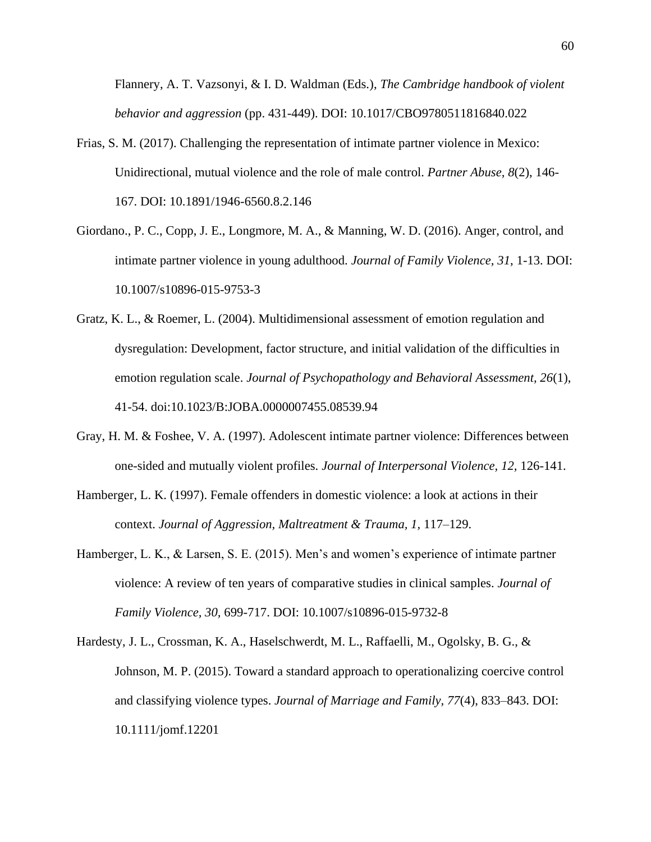Flannery, A. T. Vazsonyi, & I. D. Waldman (Eds.), *The Cambridge handbook of violent behavior and aggression* (pp. 431-449). DOI: 10.1017/CBO9780511816840.022

- Frias, S. M. (2017). Challenging the representation of intimate partner violence in Mexico: Unidirectional, mutual violence and the role of male control. *Partner Abuse, 8*(2), 146- 167. DOI: 10.1891/1946-6560.8.2.146
- Giordano., P. C., Copp, J. E., Longmore, M. A., & Manning, W. D. (2016). Anger, control, and intimate partner violence in young adulthood. *Journal of Family Violence, 31*, 1-13. DOI: 10.1007/s10896-015-9753-3
- Gratz, K. L., & Roemer, L. (2004). Multidimensional assessment of emotion regulation and dysregulation: Development, factor structure, and initial validation of the difficulties in emotion regulation scale. *Journal of Psychopathology and Behavioral Assessment, 26*(1), 41-54. doi:10.1023/B:JOBA.0000007455.08539.94
- Gray, H. M. & Foshee, V. A. (1997). Adolescent intimate partner violence: Differences between one-sided and mutually violent profiles. *Journal of Interpersonal Violence, 12,* 126-141.
- Hamberger, L. K. (1997). Female offenders in domestic violence: a look at actions in their context. *Journal of Aggression, Maltreatment & Trauma, 1,* 117–129.
- Hamberger, L. K., & Larsen, S. E. (2015). Men's and women's experience of intimate partner violence: A review of ten years of comparative studies in clinical samples. *Journal of Family Violence, 30,* 699-717. DOI: 10.1007/s10896-015-9732-8
- Hardesty, J. L., Crossman, K. A., Haselschwerdt, M. L., Raffaelli, M., Ogolsky, B. G., & Johnson, M. P. (2015). Toward a standard approach to operationalizing coercive control and classifying violence types. *Journal of Marriage and Family, 77*(4), 833–843. DOI: 10.1111/jomf.12201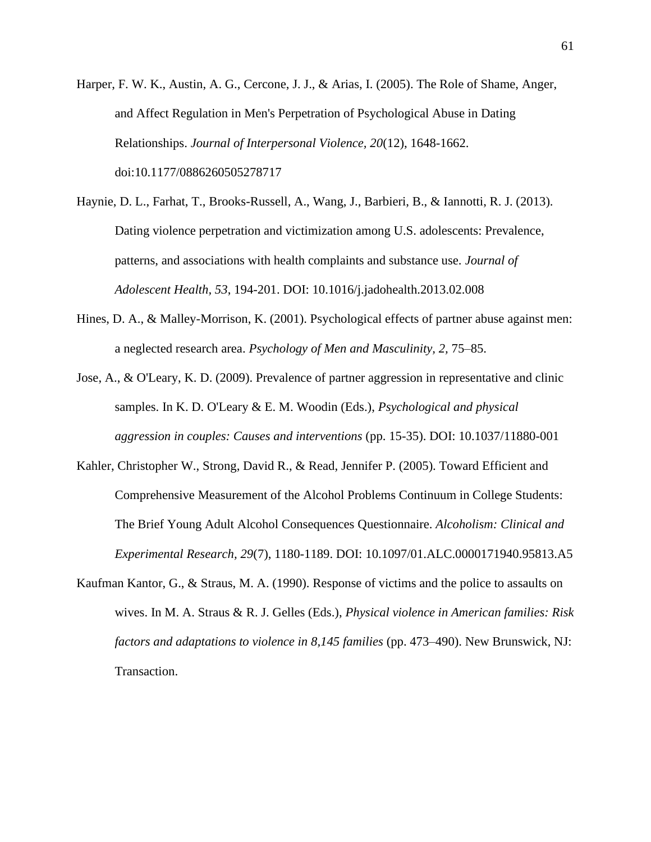- Harper, F. W. K., Austin, A. G., Cercone, J. J., & Arias, I. (2005). The Role of Shame, Anger, and Affect Regulation in Men's Perpetration of Psychological Abuse in Dating Relationships. *Journal of Interpersonal Violence, 20*(12), 1648-1662. doi:10.1177/0886260505278717
- Haynie, D. L., Farhat, T., Brooks-Russell, A., Wang, J., Barbieri, B., & Iannotti, R. J. (2013). Dating violence perpetration and victimization among U.S. adolescents: Prevalence, patterns, and associations with health complaints and substance use. *Journal of Adolescent Health, 53*, 194-201. DOI: 10.1016/j.jadohealth.2013.02.008
- Hines, D. A., & Malley-Morrison, K. (2001). Psychological effects of partner abuse against men: a neglected research area. *Psychology of Men and Masculinity, 2,* 75–85.
- Jose, A., & O'Leary, K. D. (2009). Prevalence of partner aggression in representative and clinic samples. In K. D. O'Leary & E. M. Woodin (Eds.), *Psychological and physical aggression in couples: Causes and interventions* (pp. 15-35). DOI: 10.1037/11880-001
- Kahler, Christopher W., Strong, David R., & Read, Jennifer P. (2005). Toward Efficient and Comprehensive Measurement of the Alcohol Problems Continuum in College Students: The Brief Young Adult Alcohol Consequences Questionnaire. *Alcoholism: Clinical and Experimental Research, 29*(7), 1180-1189. DOI: 10.1097/01.ALC.0000171940.95813.A5
- Kaufman Kantor, G., & Straus, M. A. (1990). Response of victims and the police to assaults on wives. In M. A. Straus & R. J. Gelles (Eds.), *Physical violence in American families: Risk factors and adaptations to violence in 8,145 families* (pp. 473–490). New Brunswick, NJ: Transaction.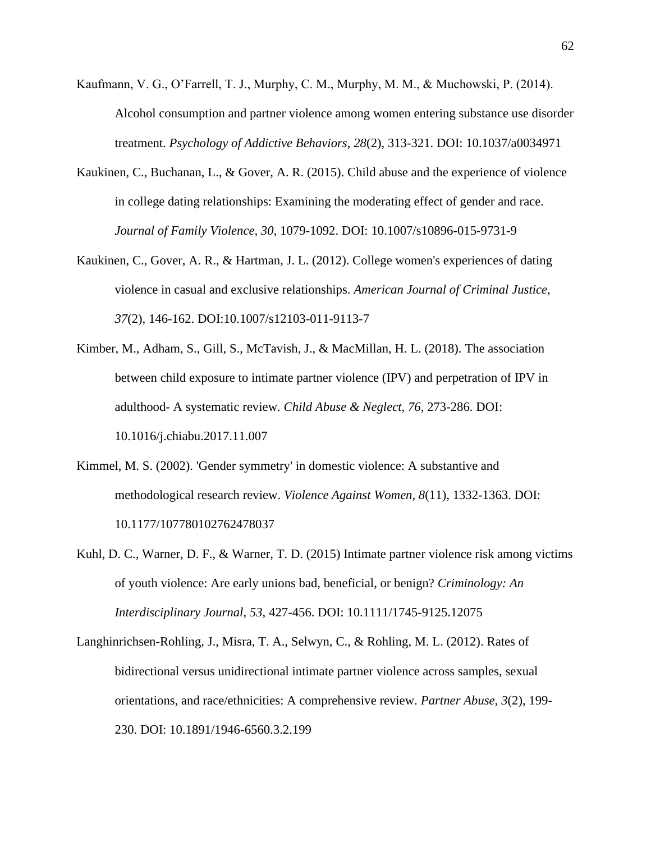- Kaufmann, V. G., O'Farrell, T. J., Murphy, C. M., Murphy, M. M., & Muchowski, P. (2014). Alcohol consumption and partner violence among women entering substance use disorder treatment. *Psychology of Addictive Behaviors, 28*(2), 313-321. DOI: 10.1037/a0034971
- Kaukinen, C., Buchanan, L., & Gover, A. R. (2015). Child abuse and the experience of violence in college dating relationships: Examining the moderating effect of gender and race. *Journal of Family Violence, 30,* 1079-1092. DOI: 10.1007/s10896-015-9731-9
- Kaukinen, C., Gover, A. R., & Hartman, J. L. (2012). College women's experiences of dating violence in casual and exclusive relationships. *American Journal of Criminal Justice, 37*(2), 146-162. DOI:10.1007/s12103-011-9113-7
- Kimber, M., Adham, S., Gill, S., McTavish, J., & MacMillan, H. L. (2018). The association between child exposure to intimate partner violence (IPV) and perpetration of IPV in adulthood- A systematic review. *Child Abuse & Neglect, 76,* 273-286. DOI: 10.1016/j.chiabu.2017.11.007
- Kimmel, M. S. (2002). 'Gender symmetry' in domestic violence: A substantive and methodological research review. *Violence Against Women, 8*(11), 1332-1363. DOI: 10.1177/107780102762478037
- Kuhl, D. C., Warner, D. F., & Warner, T. D. (2015) Intimate partner violence risk among victims of youth violence: Are early unions bad, beneficial, or benign? *Criminology: An Interdisciplinary Journal, 53,* 427-456. DOI: 10.1111/1745-9125.12075
- Langhinrichsen-Rohling, J., Misra, T. A., Selwyn, C., & Rohling, M. L. (2012). Rates of bidirectional versus unidirectional intimate partner violence across samples, sexual orientations, and race/ethnicities: A comprehensive review. *Partner Abuse, 3*(2), 199- 230. DOI: 10.1891/1946-6560.3.2.199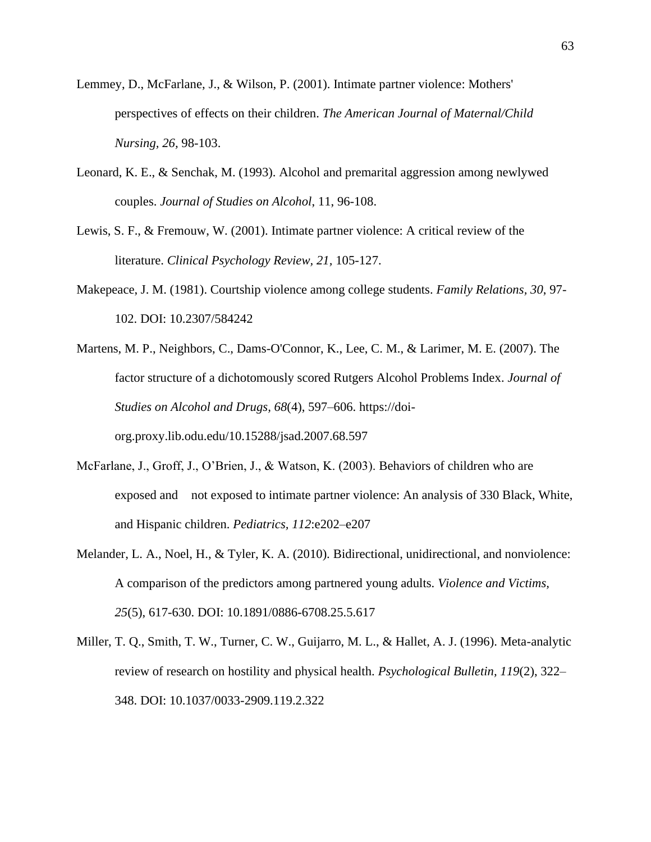- Lemmey, D., McFarlane, J., & Wilson, P. (2001). Intimate partner violence: Mothers' perspectives of effects on their children. *The American Journal of Maternal/Child Nursing, 26,* 98-103.
- Leonard, K. E., & Senchak, M. (1993). Alcohol and premarital aggression among newlywed couples. *Journal of Studies on Alcohol*, 11, 96-108.
- Lewis, S. F., & Fremouw, W. (2001). Intimate partner violence: A critical review of the literature. *Clinical Psychology Review, 21,* 105-127.
- Makepeace, J. M. (1981). Courtship violence among college students. *Family Relations, 30*, 97- 102. DOI: 10.2307/584242
- Martens, M. P., Neighbors, C., Dams-O'Connor, K., Lee, C. M., & Larimer, M. E. (2007). The factor structure of a dichotomously scored Rutgers Alcohol Problems Index. *Journal of Studies on Alcohol and Drugs, 68*(4), 597–606. https://doiorg.proxy.lib.odu.edu/10.15288/jsad.2007.68.597
- McFarlane, J., Groff, J., O'Brien, J., & Watson, K. (2003). Behaviors of children who are exposed and not exposed to intimate partner violence: An analysis of 330 Black, White, and Hispanic children. *Pediatrics, 112*:e202–e207
- Melander, L. A., Noel, H., & Tyler, K. A. (2010). Bidirectional, unidirectional, and nonviolence: A comparison of the predictors among partnered young adults. *Violence and Victims, 25*(5), 617-630. DOI: 10.1891/0886-6708.25.5.617
- Miller, T. Q., Smith, T. W., Turner, C. W., Guijarro, M. L., & Hallet, A. J. (1996). Meta-analytic review of research on hostility and physical health. *Psychological Bulletin, 119*(2), 322– 348. DOI: 10.1037/0033-2909.119.2.322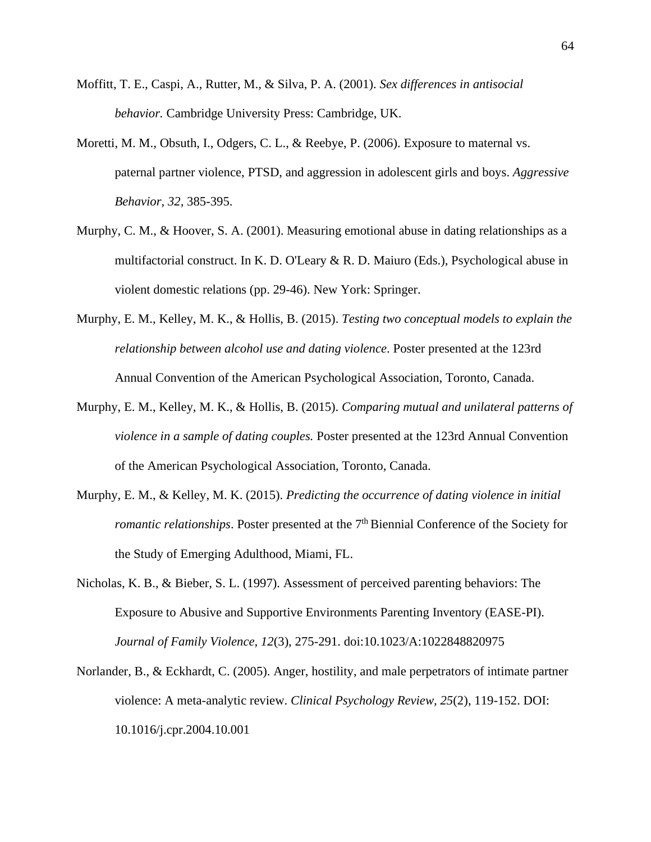- Moffitt, T. E., Caspi, A., Rutter, M., & Silva, P. A. (2001). *Sex differences in antisocial behavior.* Cambridge University Press: Cambridge, UK.
- Moretti, M. M., Obsuth, I., Odgers, C. L., & Reebye, P. (2006). Exposure to maternal vs. paternal partner violence, PTSD, and aggression in adolescent girls and boys. *Aggressive Behavior, 32,* 385-395.
- Murphy, C. M., & Hoover, S. A. (2001). Measuring emotional abuse in dating relationships as a multifactorial construct. In K. D. O'Leary  $\&$  R. D. Maiuro (Eds.), Psychological abuse in violent domestic relations (pp. 29-46). New York: Springer.
- Murphy, E. M., Kelley, M. K., & Hollis, B. (2015). *Testing two conceptual models to explain the relationship between alcohol use and dating violence*. Poster presented at the 123rd Annual Convention of the American Psychological Association, Toronto, Canada.
- Murphy, E. M., Kelley, M. K., & Hollis, B. (2015). *Comparing mutual and unilateral patterns of violence in a sample of dating couples.* Poster presented at the 123rd Annual Convention of the American Psychological Association, Toronto, Canada.
- Murphy, E. M., & Kelley, M. K. (2015). *Predicting the occurrence of dating violence in initial romantic relationships.* Poster presented at the 7<sup>th</sup> Biennial Conference of the Society for the Study of Emerging Adulthood, Miami, FL.
- Nicholas, K. B., & Bieber, S. L. (1997). Assessment of perceived parenting behaviors: The Exposure to Abusive and Supportive Environments Parenting Inventory (EASE-PI). *Journal of Family Violence, 12*(3), 275-291. doi:10.1023/A:1022848820975
- Norlander, B., & Eckhardt, C. (2005). Anger, hostility, and male perpetrators of intimate partner violence: A meta-analytic review. *Clinical Psychology Review, 25*(2), 119-152. DOI: 10.1016/j.cpr.2004.10.001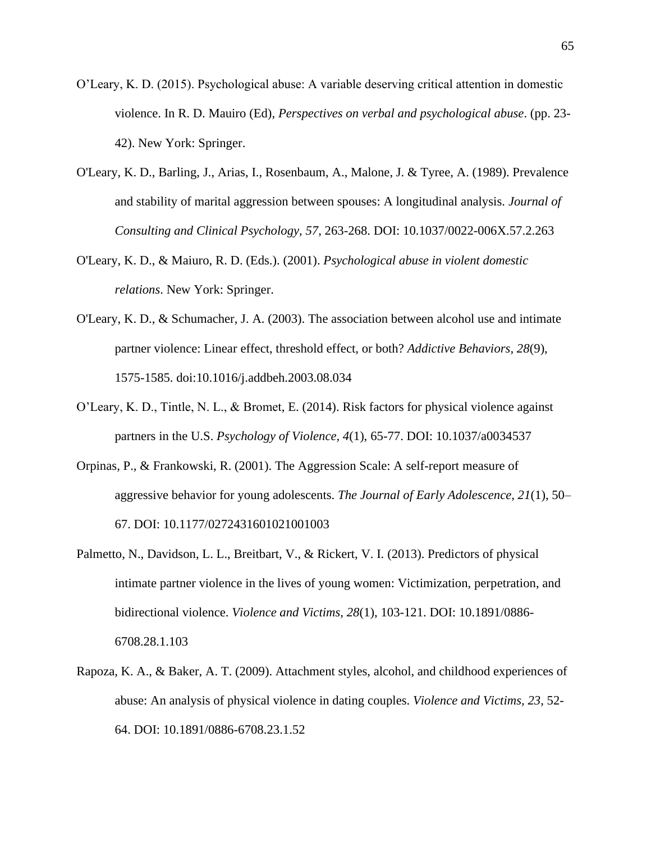- O'Leary, K. D. (2015). Psychological abuse: A variable deserving critical attention in domestic violence. In R. D. Mauiro (Ed), *Perspectives on verbal and psychological abuse*. (pp. 23- 42). New York: Springer.
- O'Leary, K. D., Barling, J., Arias, I., Rosenbaum, A., Malone, J. & Tyree, A. (1989). Prevalence and stability of marital aggression between spouses: A longitudinal analysis. *Journal of Consulting and Clinical Psychology, 57*, 263-268. DOI: 10.1037/0022-006X.57.2.263
- O'Leary, K. D., & Maiuro, R. D. (Eds.). (2001). *Psychological abuse in violent domestic relations*. New York: Springer.
- O'Leary, K. D., & Schumacher, J. A. (2003). The association between alcohol use and intimate partner violence: Linear effect, threshold effect, or both? *Addictive Behaviors, 28*(9), 1575-1585. doi:10.1016/j.addbeh.2003.08.034
- O'Leary, K. D., Tintle, N. L., & Bromet, E. (2014). Risk factors for physical violence against partners in the U.S. *Psychology of Violence, 4*(1), 65-77. DOI: 10.1037/a0034537
- Orpinas, P., & Frankowski, R. (2001). The Aggression Scale: A self-report measure of aggressive behavior for young adolescents. *The Journal of Early Adolescence, 21*(1), 50– 67. DOI: 10.1177/0272431601021001003
- Palmetto, N., Davidson, L. L., Breitbart, V., & Rickert, V. I. (2013). Predictors of physical intimate partner violence in the lives of young women: Victimization, perpetration, and bidirectional violence. *Violence and Victims, 28*(1), 103-121. DOI: 10.1891/0886- 6708.28.1.103
- Rapoza, K. A., & Baker, A. T. (2009). Attachment styles, alcohol, and childhood experiences of abuse: An analysis of physical violence in dating couples. *Violence and Victims, 23,* 52- 64. DOI: 10.1891/0886-6708.23.1.52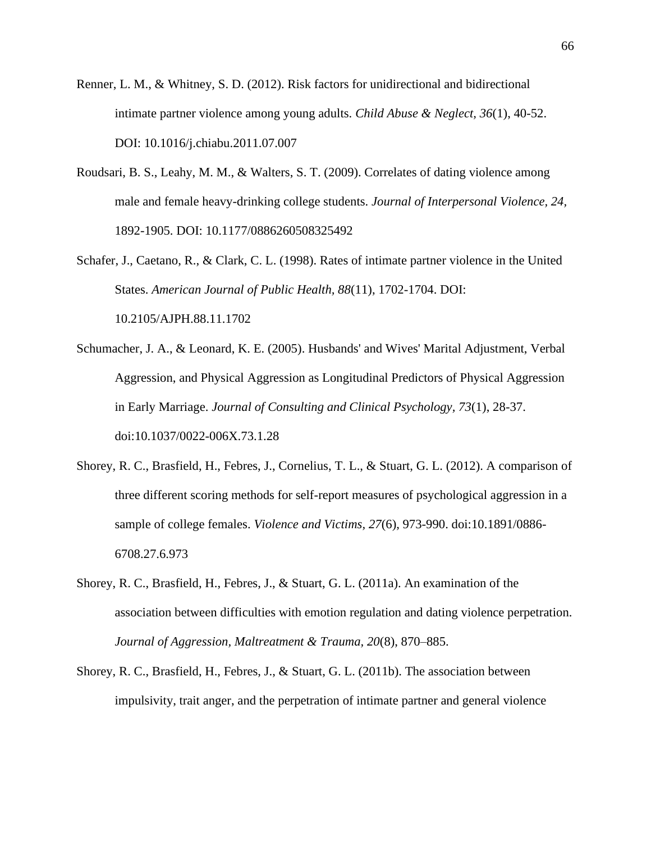- Renner, L. M., & Whitney, S. D. (2012). Risk factors for unidirectional and bidirectional intimate partner violence among young adults. *Child Abuse & Neglect, 36*(1), 40-52. DOI: 10.1016/j.chiabu.2011.07.007
- Roudsari, B. S., Leahy, M. M., & Walters, S. T. (2009). Correlates of dating violence among male and female heavy-drinking college students. *Journal of Interpersonal Violence, 24,* 1892-1905. DOI: 10.1177/0886260508325492
- Schafer, J., Caetano, R., & Clark, C. L. (1998). Rates of intimate partner violence in the United States. *American Journal of Public Health, 88*(11), 1702-1704. DOI: 10.2105/AJPH.88.11.1702
- Schumacher, J. A., & Leonard, K. E. (2005). Husbands' and Wives' Marital Adjustment, Verbal Aggression, and Physical Aggression as Longitudinal Predictors of Physical Aggression in Early Marriage. *Journal of Consulting and Clinical Psychology, 73*(1), 28-37. doi:10.1037/0022-006X.73.1.28
- Shorey, R. C., Brasfield, H., Febres, J., Cornelius, T. L., & Stuart, G. L. (2012). A comparison of three different scoring methods for self-report measures of psychological aggression in a sample of college females. *Violence and Victims, 27*(6), 973-990. doi:10.1891/0886- 6708.27.6.973
- Shorey, R. C., Brasfield, H., Febres, J., & Stuart, G. L. (2011a). An examination of the association between difficulties with emotion regulation and dating violence perpetration. *Journal of Aggression, Maltreatment & Trauma, 20*(8), 870–885.
- Shorey, R. C., Brasfield, H., Febres, J., & Stuart, G. L. (2011b). The association between impulsivity, trait anger, and the perpetration of intimate partner and general violence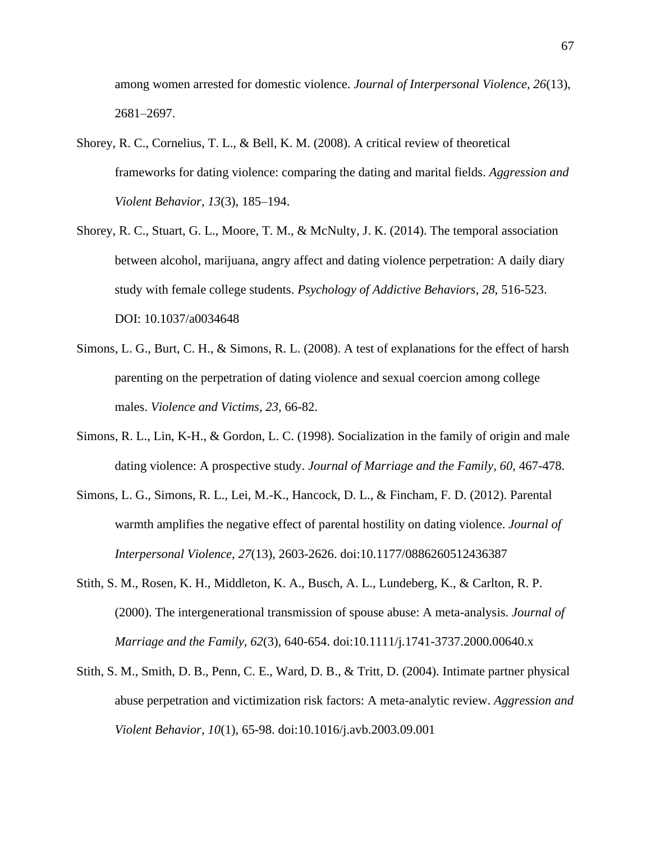among women arrested for domestic violence. *Journal of Interpersonal Violence, 26*(13), 2681–2697.

- Shorey, R. C., Cornelius, T. L., & Bell, K. M. (2008). A critical review of theoretical frameworks for dating violence: comparing the dating and marital fields. *Aggression and Violent Behavior, 13*(3), 185–194.
- Shorey, R. C., Stuart, G. L., Moore, T. M., & McNulty, J. K. (2014). The temporal association between alcohol, marijuana, angry affect and dating violence perpetration: A daily diary study with female college students. *Psychology of Addictive Behaviors, 28,* 516-523. DOI: 10.1037/a0034648
- Simons, L. G., Burt, C. H., & Simons, R. L. (2008). A test of explanations for the effect of harsh parenting on the perpetration of dating violence and sexual coercion among college males. *Violence and Victims, 23,* 66-82.
- Simons, R. L., Lin, K-H., & Gordon, L. C. (1998). Socialization in the family of origin and male dating violence: A prospective study. *Journal of Marriage and the Family, 60,* 467-478.
- Simons, L. G., Simons, R. L., Lei, M.-K., Hancock, D. L., & Fincham, F. D. (2012). Parental warmth amplifies the negative effect of parental hostility on dating violence. *Journal of Interpersonal Violence, 27*(13), 2603-2626. doi:10.1177/0886260512436387
- Stith, S. M., Rosen, K. H., Middleton, K. A., Busch, A. L., Lundeberg, K., & Carlton, R. P. (2000). The intergenerational transmission of spouse abuse: A meta-analysis. *Journal of Marriage and the Family, 62*(3), 640-654. doi:10.1111/j.1741-3737.2000.00640.x
- Stith, S. M., Smith, D. B., Penn, C. E., Ward, D. B., & Tritt, D. (2004). Intimate partner physical abuse perpetration and victimization risk factors: A meta-analytic review. *Aggression and Violent Behavior, 10*(1), 65-98. doi:10.1016/j.avb.2003.09.001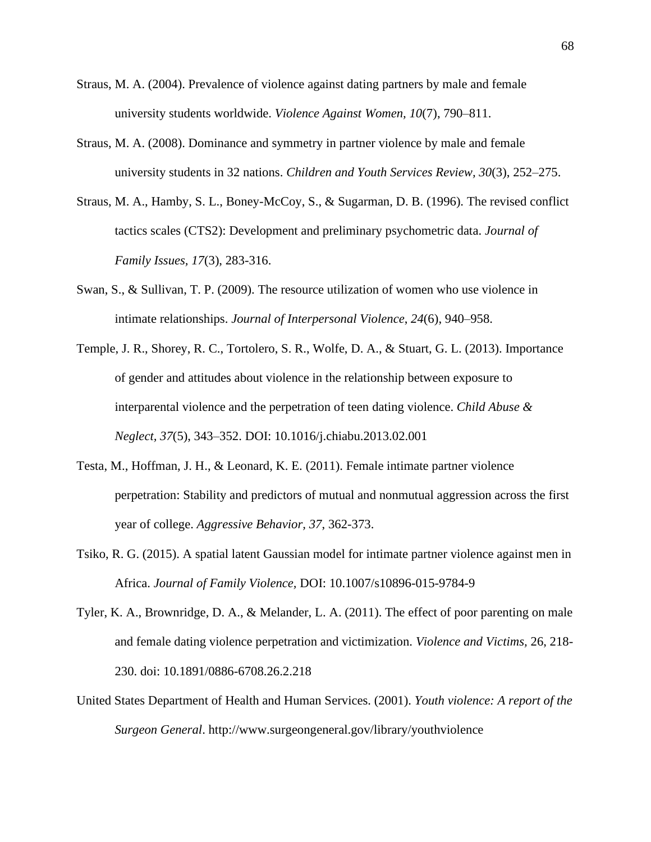- Straus, M. A. (2004). Prevalence of violence against dating partners by male and female university students worldwide. *Violence Against Women, 10*(7), 790–811.
- Straus, M. A. (2008). Dominance and symmetry in partner violence by male and female university students in 32 nations. *Children and Youth Services Review, 30*(3), 252–275.
- Straus, M. A., Hamby, S. L., Boney-McCoy, S., & Sugarman, D. B. (1996). The revised conflict tactics scales (CTS2): Development and preliminary psychometric data. *Journal of Family Issues, 17*(3), 283-316.
- Swan, S., & Sullivan, T. P. (2009). The resource utilization of women who use violence in intimate relationships. *Journal of Interpersonal Violence*, *24*(6), 940–958.
- Temple, J. R., Shorey, R. C., Tortolero, S. R., Wolfe, D. A., & Stuart, G. L. (2013). Importance of gender and attitudes about violence in the relationship between exposure to interparental violence and the perpetration of teen dating violence. *Child Abuse & Neglect, 37*(5), 343–352. DOI: 10.1016/j.chiabu.2013.02.001
- Testa, M., Hoffman, J. H., & Leonard, K. E. (2011). Female intimate partner violence perpetration: Stability and predictors of mutual and nonmutual aggression across the first year of college. *Aggressive Behavior, 37*, 362-373.
- Tsiko, R. G. (2015). A spatial latent Gaussian model for intimate partner violence against men in Africa. *Journal of Family Violence,* DOI: 10.1007/s10896-015-9784-9
- Tyler, K. A., Brownridge, D. A., & Melander, L. A. (2011). The effect of poor parenting on male and female dating violence perpetration and victimization. *Violence and Victims,* 26, 218- 230. doi: 10.1891/0886-6708.26.2.218
- United States Department of Health and Human Services. (2001). *Youth violence: A report of the Surgeon General*. http://www.surgeongeneral.gov/library/youthviolence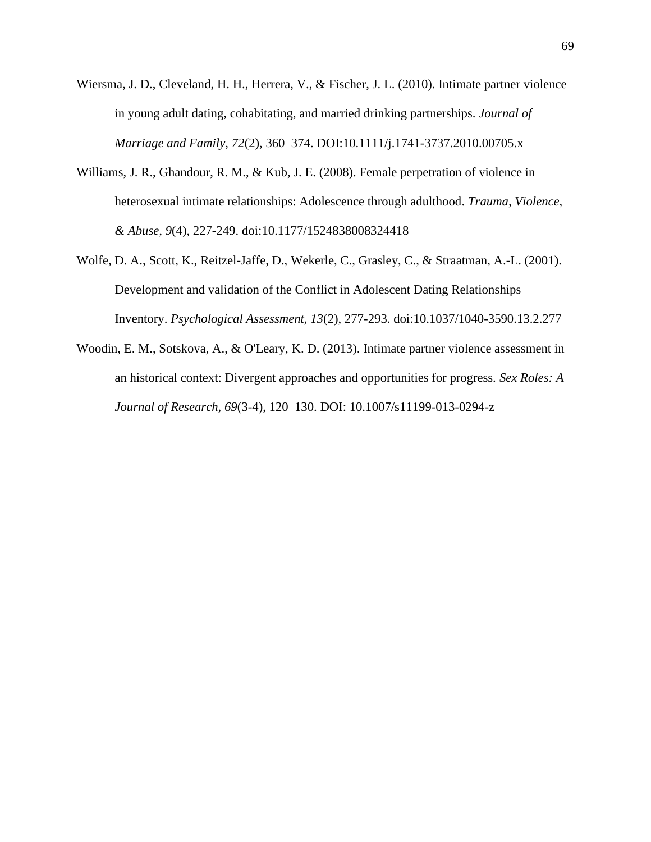- Wiersma, J. D., Cleveland, H. H., Herrera, V., & Fischer, J. L. (2010). Intimate partner violence in young adult dating, cohabitating, and married drinking partnerships. *Journal of Marriage and Family, 72*(2), 360–374. DOI:10.1111/j.1741-3737.2010.00705.x
- Williams, J. R., Ghandour, R. M., & Kub, J. E. (2008). Female perpetration of violence in heterosexual intimate relationships: Adolescence through adulthood. *Trauma, Violence, & Abuse, 9*(4), 227-249. doi:10.1177/1524838008324418
- Wolfe, D. A., Scott, K., Reitzel-Jaffe, D., Wekerle, C., Grasley, C., & Straatman, A.-L. (2001). Development and validation of the Conflict in Adolescent Dating Relationships Inventory. *Psychological Assessment, 13*(2), 277-293. doi:10.1037/1040-3590.13.2.277
- Woodin, E. M., Sotskova, A., & O'Leary, K. D. (2013). Intimate partner violence assessment in an historical context: Divergent approaches and opportunities for progress. *Sex Roles: A Journal of Research, 69*(3-4), 120–130. DOI: 10.1007/s11199-013-0294-z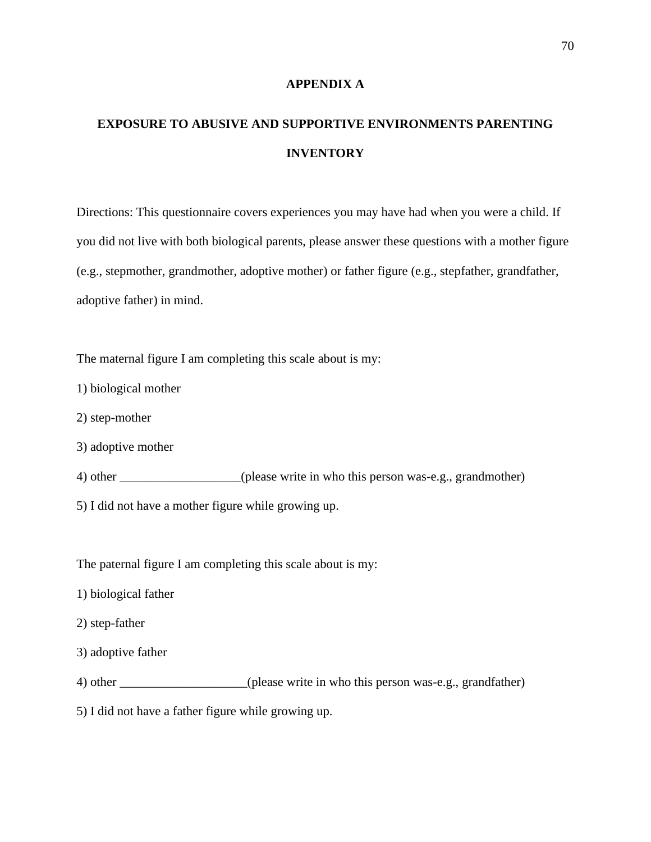#### **APPENDIX A**

# **EXPOSURE TO ABUSIVE AND SUPPORTIVE ENVIRONMENTS PARENTING INVENTORY**

Directions: This questionnaire covers experiences you may have had when you were a child. If you did not live with both biological parents, please answer these questions with a mother figure (e.g., stepmother, grandmother, adoptive mother) or father figure (e.g., stepfather, grandfather, adoptive father) in mind.

The maternal figure I am completing this scale about is my:

- 1) biological mother
- 2) step-mother
- 3) adoptive mother
- 4) other \_\_\_\_\_\_\_\_\_\_\_\_\_\_\_\_\_\_\_(please write in who this person was-e.g., grandmother)
- 5) I did not have a mother figure while growing up.

The paternal figure I am completing this scale about is my:

- 1) biological father
- 2) step-father
- 3) adoptive father
- 4) other (please write in who this person was-e.g., grandfather)

5) I did not have a father figure while growing up.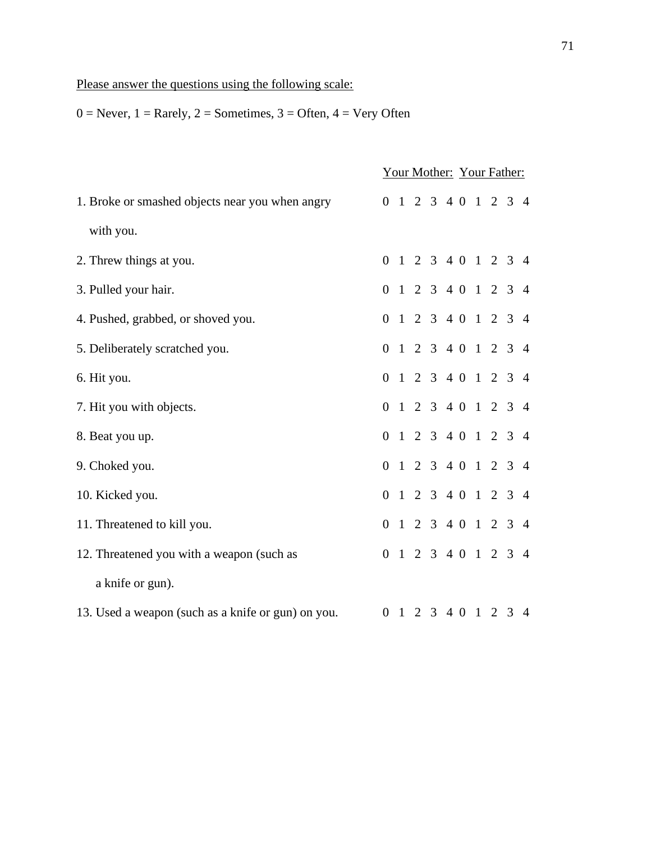## Please answer the questions using the following scale:

 $0 =$  Never,  $1 =$  Rarely,  $2 =$  Sometimes,  $3 =$  Often,  $4 =$  Very Often

|                                                    | Your Mother: Your Father: |  |  |  |  |  |                     |  |
|----------------------------------------------------|---------------------------|--|--|--|--|--|---------------------|--|
| 1. Broke or smashed objects near you when angry    |                           |  |  |  |  |  | 0 1 2 3 4 0 1 2 3 4 |  |
| with you.                                          |                           |  |  |  |  |  |                     |  |
| 2. Threw things at you.                            |                           |  |  |  |  |  | 0 1 2 3 4 0 1 2 3 4 |  |
| 3. Pulled your hair.                               |                           |  |  |  |  |  | 0 1 2 3 4 0 1 2 3 4 |  |
| 4. Pushed, grabbed, or shoved you.                 |                           |  |  |  |  |  | 0 1 2 3 4 0 1 2 3 4 |  |
| 5. Deliberately scratched you.                     | $\Omega$                  |  |  |  |  |  | 1 2 3 4 0 1 2 3 4   |  |
| 6. Hit you.                                        |                           |  |  |  |  |  | 0 1 2 3 4 0 1 2 3 4 |  |
| 7. Hit you with objects.                           |                           |  |  |  |  |  | 0 1 2 3 4 0 1 2 3 4 |  |
| 8. Beat you up.                                    |                           |  |  |  |  |  | 0 1 2 3 4 0 1 2 3 4 |  |
| 9. Choked you.                                     |                           |  |  |  |  |  | 0 1 2 3 4 0 1 2 3 4 |  |
| 10. Kicked you.                                    |                           |  |  |  |  |  | 0 1 2 3 4 0 1 2 3 4 |  |
| 11. Threatened to kill you.                        |                           |  |  |  |  |  | 0 1 2 3 4 0 1 2 3 4 |  |
| 12. Threatened you with a weapon (such as          |                           |  |  |  |  |  | 0 1 2 3 4 0 1 2 3 4 |  |
| a knife or gun).                                   |                           |  |  |  |  |  |                     |  |
| 13. Used a weapon (such as a knife or gun) on you. | $\overline{0}$            |  |  |  |  |  | 1 2 3 4 0 1 2 3 4   |  |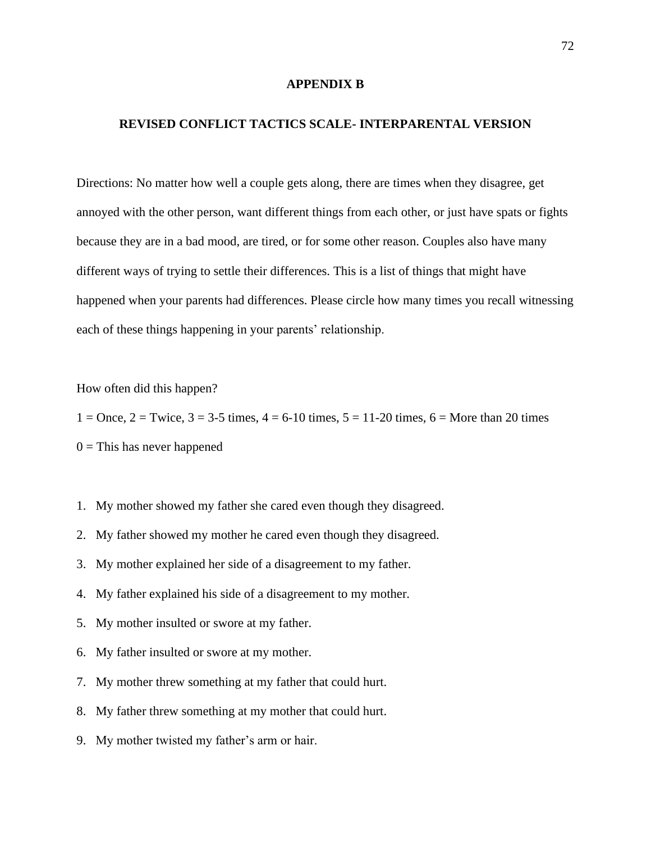#### **APPENDIX B**

## **REVISED CONFLICT TACTICS SCALE- INTERPARENTAL VERSION**

Directions: No matter how well a couple gets along, there are times when they disagree, get annoyed with the other person, want different things from each other, or just have spats or fights because they are in a bad mood, are tired, or for some other reason. Couples also have many different ways of trying to settle their differences. This is a list of things that might have happened when your parents had differences. Please circle how many times you recall witnessing each of these things happening in your parents' relationship.

How often did this happen?

 $1 =$ Once,  $2 =$ Twice,  $3 = 3-5$  times,  $4 = 6-10$  times,  $5 = 11-20$  times,  $6 =$  More than 20 times  $0 =$ This has never happened

- 1. My mother showed my father she cared even though they disagreed.
- 2. My father showed my mother he cared even though they disagreed.
- 3. My mother explained her side of a disagreement to my father.
- 4. My father explained his side of a disagreement to my mother.
- 5. My mother insulted or swore at my father.
- 6. My father insulted or swore at my mother.
- 7. My mother threw something at my father that could hurt.
- 8. My father threw something at my mother that could hurt.
- 9. My mother twisted my father's arm or hair.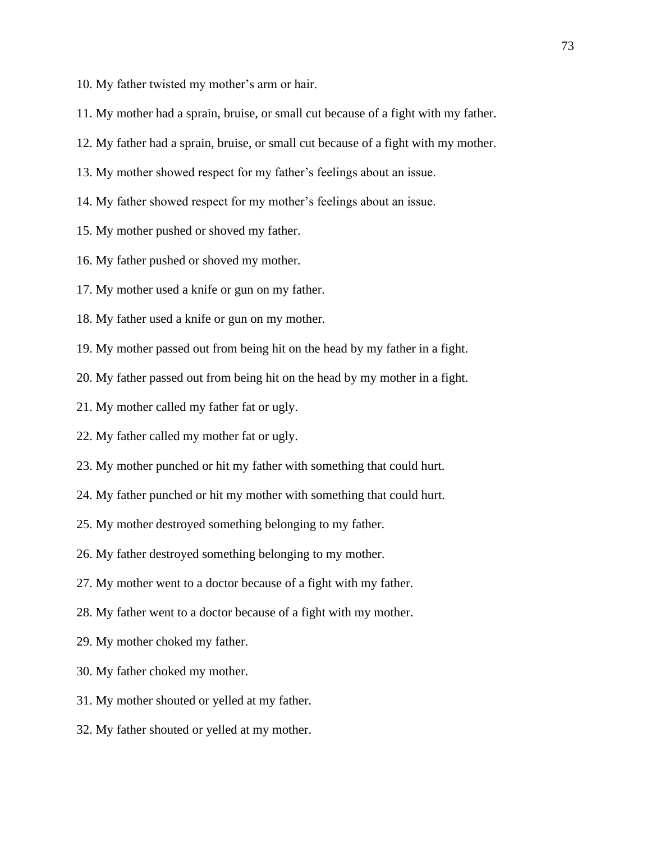- 10. My father twisted my mother's arm or hair.
- 11. My mother had a sprain, bruise, or small cut because of a fight with my father.
- 12. My father had a sprain, bruise, or small cut because of a fight with my mother.
- 13. My mother showed respect for my father's feelings about an issue.
- 14. My father showed respect for my mother's feelings about an issue.
- 15. My mother pushed or shoved my father.
- 16. My father pushed or shoved my mother.
- 17. My mother used a knife or gun on my father.
- 18. My father used a knife or gun on my mother.
- 19. My mother passed out from being hit on the head by my father in a fight.
- 20. My father passed out from being hit on the head by my mother in a fight.
- 21. My mother called my father fat or ugly.
- 22. My father called my mother fat or ugly.
- 23. My mother punched or hit my father with something that could hurt.
- 24. My father punched or hit my mother with something that could hurt.
- 25. My mother destroyed something belonging to my father.
- 26. My father destroyed something belonging to my mother.
- 27. My mother went to a doctor because of a fight with my father.
- 28. My father went to a doctor because of a fight with my mother.
- 29. My mother choked my father.
- 30. My father choked my mother.
- 31. My mother shouted or yelled at my father.
- 32. My father shouted or yelled at my mother.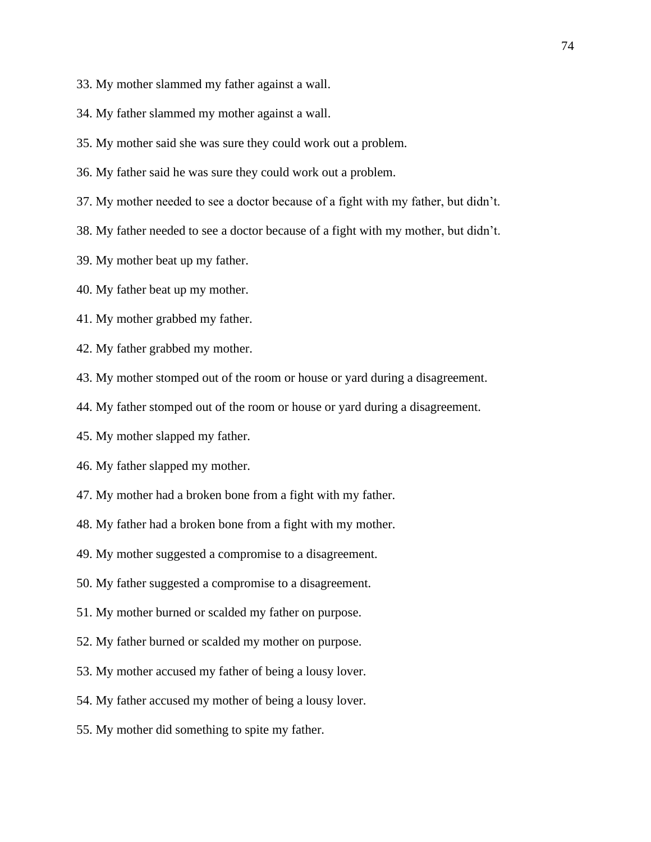- 33. My mother slammed my father against a wall.
- 34. My father slammed my mother against a wall.
- 35. My mother said she was sure they could work out a problem.
- 36. My father said he was sure they could work out a problem.
- 37. My mother needed to see a doctor because of a fight with my father, but didn't.
- 38. My father needed to see a doctor because of a fight with my mother, but didn't.
- 39. My mother beat up my father.
- 40. My father beat up my mother.
- 41. My mother grabbed my father.
- 42. My father grabbed my mother.
- 43. My mother stomped out of the room or house or yard during a disagreement.
- 44. My father stomped out of the room or house or yard during a disagreement.
- 45. My mother slapped my father.
- 46. My father slapped my mother.
- 47. My mother had a broken bone from a fight with my father.
- 48. My father had a broken bone from a fight with my mother.
- 49. My mother suggested a compromise to a disagreement.
- 50. My father suggested a compromise to a disagreement.
- 51. My mother burned or scalded my father on purpose.
- 52. My father burned or scalded my mother on purpose.
- 53. My mother accused my father of being a lousy lover.
- 54. My father accused my mother of being a lousy lover.
- 55. My mother did something to spite my father.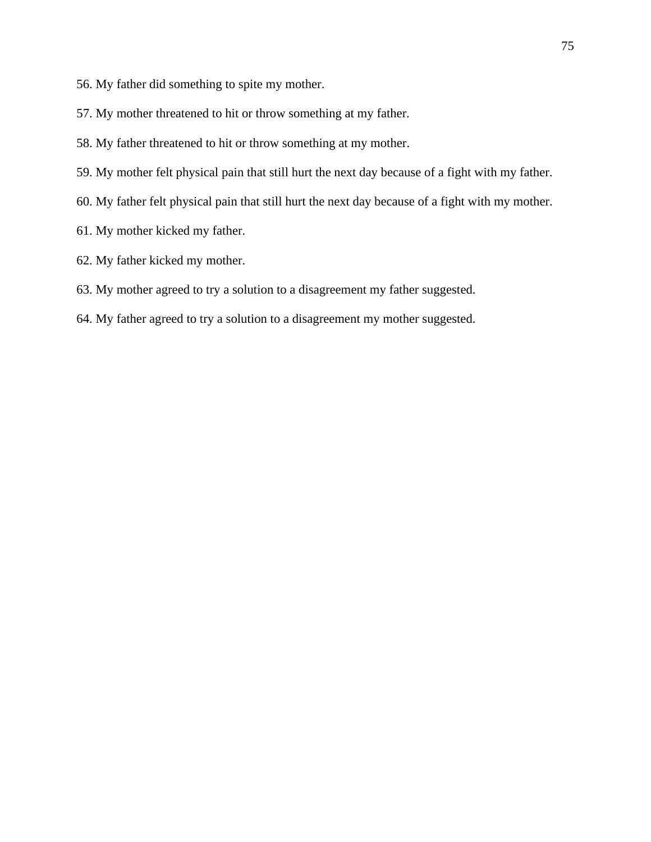- 56. My father did something to spite my mother.
- 57. My mother threatened to hit or throw something at my father.
- 58. My father threatened to hit or throw something at my mother.
- 59. My mother felt physical pain that still hurt the next day because of a fight with my father.
- 60. My father felt physical pain that still hurt the next day because of a fight with my mother.
- 61. My mother kicked my father.
- 62. My father kicked my mother.
- 63. My mother agreed to try a solution to a disagreement my father suggested.
- 64. My father agreed to try a solution to a disagreement my mother suggested.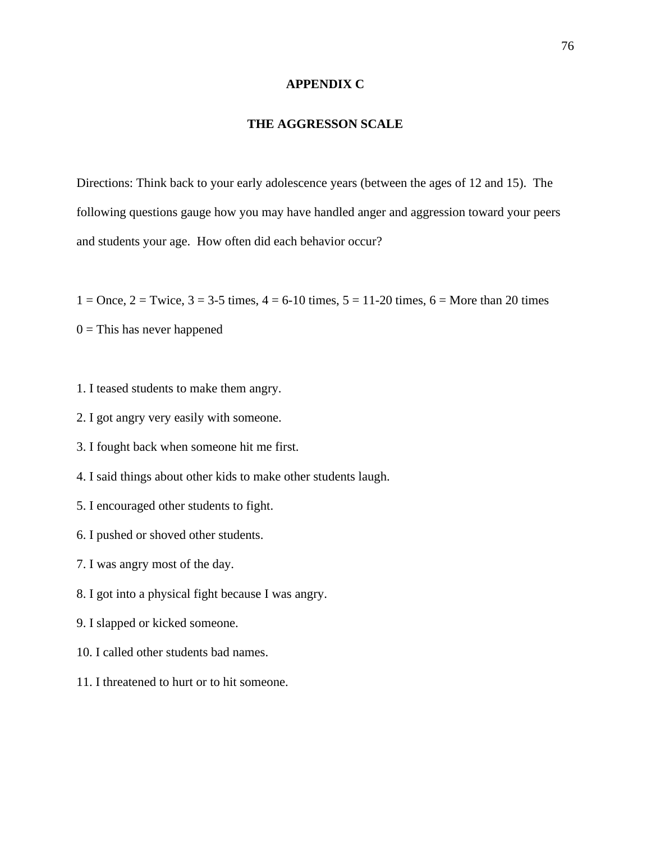### **APPENDIX C**

## **THE AGGRESSON SCALE**

Directions: Think back to your early adolescence years (between the ages of 12 and 15). The following questions gauge how you may have handled anger and aggression toward your peers and students your age. How often did each behavior occur?

 $1 =$ Once,  $2 =$ Twice,  $3 = 3.5$  times,  $4 = 6.10$  times,  $5 = 11.20$  times,  $6 =$ More than 20 times

 $0 =$ This has never happened

- 1. I teased students to make them angry.
- 2. I got angry very easily with someone.
- 3. I fought back when someone hit me first.
- 4. I said things about other kids to make other students laugh.
- 5. I encouraged other students to fight.
- 6. I pushed or shoved other students.
- 7. I was angry most of the day.
- 8. I got into a physical fight because I was angry.
- 9. I slapped or kicked someone.
- 10. I called other students bad names.
- 11. I threatened to hurt or to hit someone.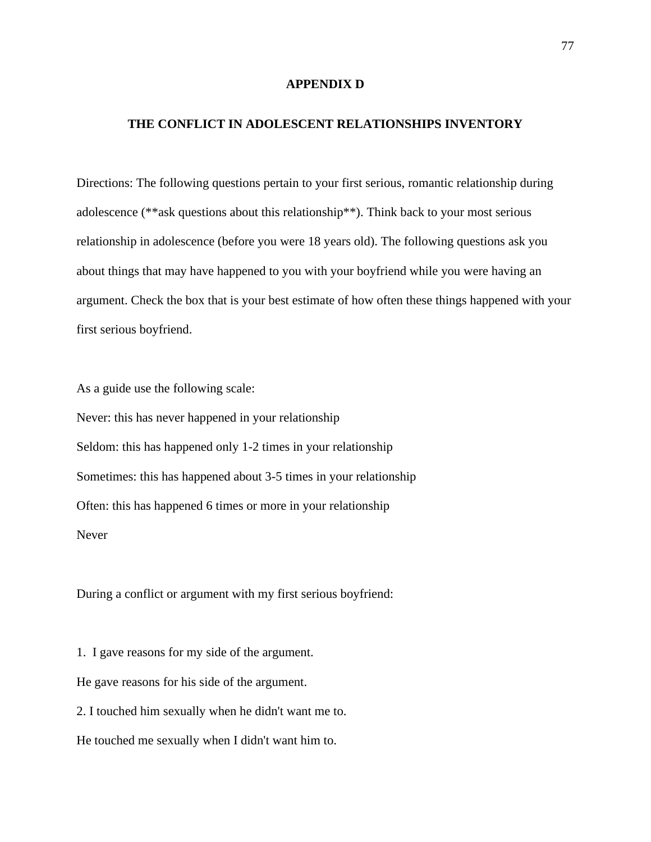#### **APPENDIX D**

## **THE CONFLICT IN ADOLESCENT RELATIONSHIPS INVENTORY**

Directions: The following questions pertain to your first serious, romantic relationship during adolescence (\*\*ask questions about this relationship\*\*). Think back to your most serious relationship in adolescence (before you were 18 years old). The following questions ask you about things that may have happened to you with your boyfriend while you were having an argument. Check the box that is your best estimate of how often these things happened with your first serious boyfriend.

As a guide use the following scale:

Never: this has never happened in your relationship Seldom: this has happened only 1-2 times in your relationship Sometimes: this has happened about 3-5 times in your relationship Often: this has happened 6 times or more in your relationship Never

During a conflict or argument with my first serious boyfriend:

1. I gave reasons for my side of the argument. He gave reasons for his side of the argument. 2. I touched him sexually when he didn't want me to. He touched me sexually when I didn't want him to.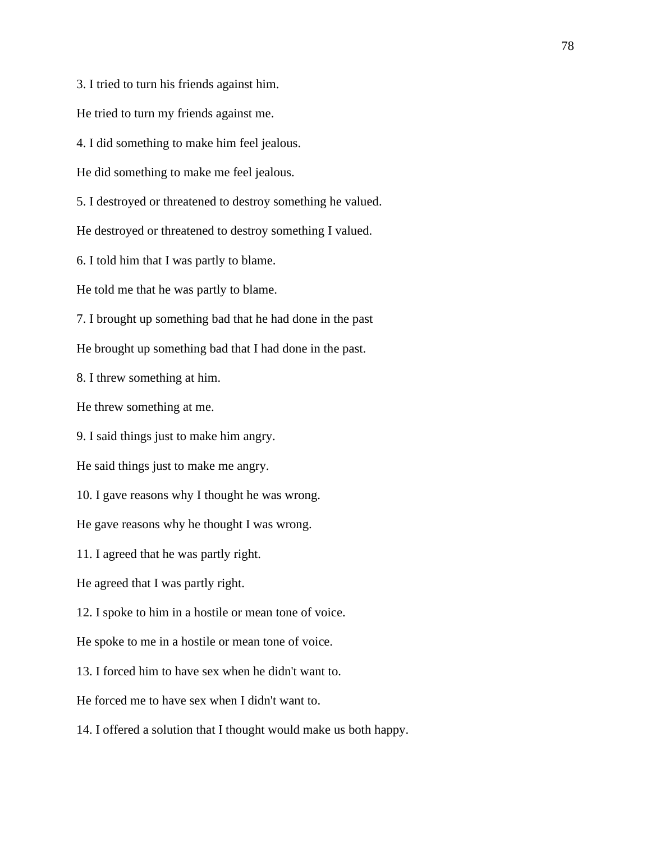3. I tried to turn his friends against him.

He tried to turn my friends against me.

4. I did something to make him feel jealous.

He did something to make me feel jealous.

5. I destroyed or threatened to destroy something he valued.

He destroyed or threatened to destroy something I valued.

6. I told him that I was partly to blame.

He told me that he was partly to blame.

7. I brought up something bad that he had done in the past

He brought up something bad that I had done in the past.

8. I threw something at him.

He threw something at me.

9. I said things just to make him angry.

He said things just to make me angry.

10. I gave reasons why I thought he was wrong.

He gave reasons why he thought I was wrong.

11. I agreed that he was partly right.

He agreed that I was partly right.

12. I spoke to him in a hostile or mean tone of voice.

He spoke to me in a hostile or mean tone of voice.

13. I forced him to have sex when he didn't want to.

He forced me to have sex when I didn't want to.

14. I offered a solution that I thought would make us both happy.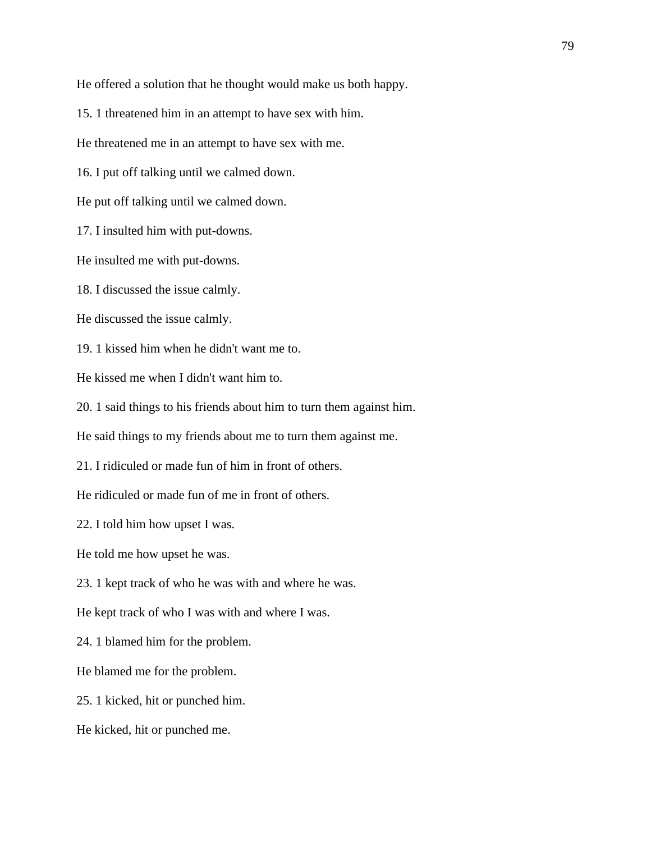He offered a solution that he thought would make us both happy.

15. 1 threatened him in an attempt to have sex with him.

He threatened me in an attempt to have sex with me.

16. I put off talking until we calmed down.

He put off talking until we calmed down.

17. I insulted him with put-downs.

He insulted me with put-downs.

18. I discussed the issue calmly.

He discussed the issue calmly.

19. 1 kissed him when he didn't want me to.

He kissed me when I didn't want him to.

20. 1 said things to his friends about him to turn them against him.

He said things to my friends about me to turn them against me.

21. I ridiculed or made fun of him in front of others.

He ridiculed or made fun of me in front of others.

22. I told him how upset I was.

He told me how upset he was.

23. 1 kept track of who he was with and where he was.

He kept track of who I was with and where I was.

24. 1 blamed him for the problem.

He blamed me for the problem.

25. 1 kicked, hit or punched him.

He kicked, hit or punched me.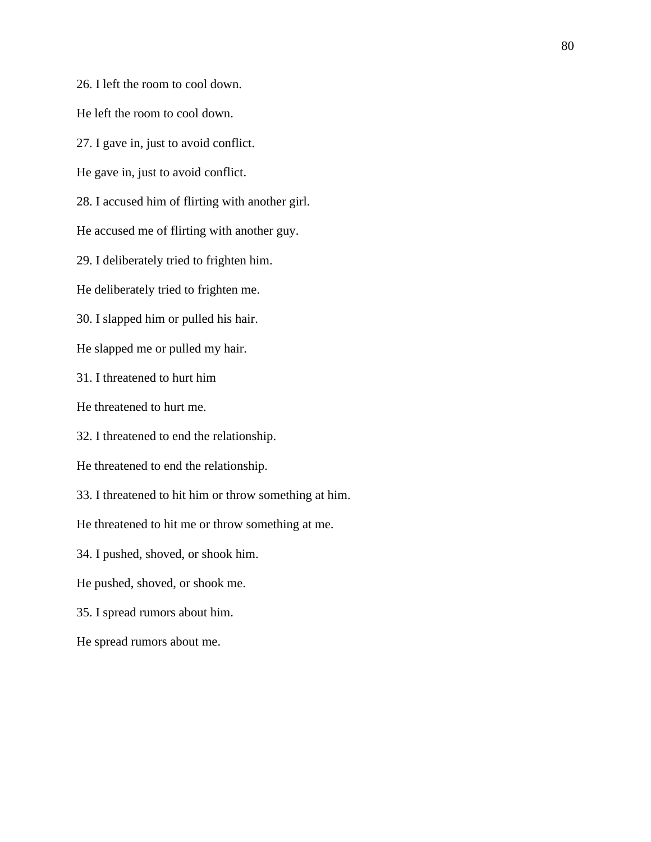26. I left the room to cool down.

He left the room to cool down.

27. I gave in, just to avoid conflict.

He gave in, just to avoid conflict.

28. I accused him of flirting with another girl.

He accused me of flirting with another guy.

29. I deliberately tried to frighten him.

He deliberately tried to frighten me.

30. I slapped him or pulled his hair.

He slapped me or pulled my hair.

31. I threatened to hurt him

He threatened to hurt me.

32. I threatened to end the relationship.

He threatened to end the relationship.

33. I threatened to hit him or throw something at him.

He threatened to hit me or throw something at me.

34. I pushed, shoved, or shook him.

He pushed, shoved, or shook me.

35. I spread rumors about him.

He spread rumors about me.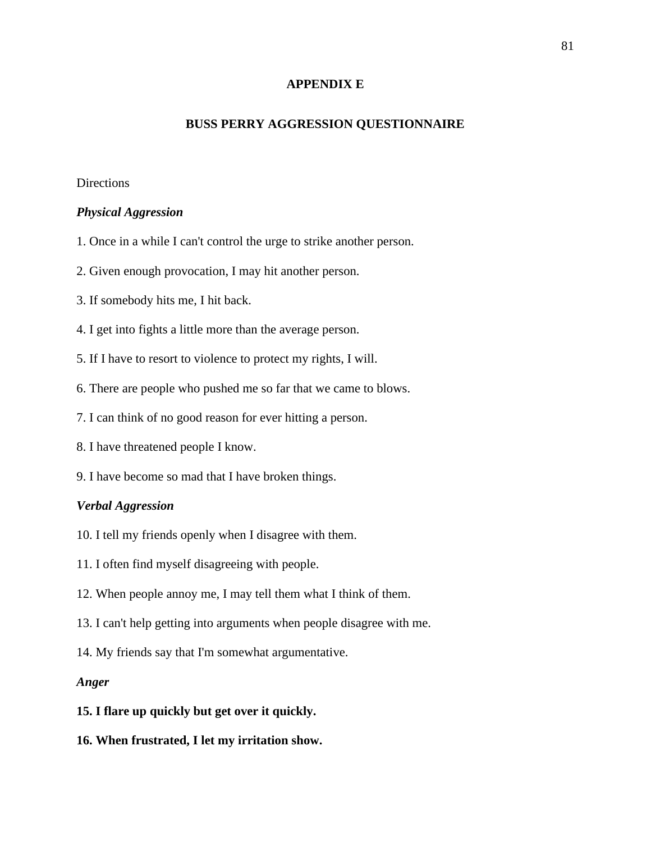## **APPENDIX E**

## **BUSS PERRY AGGRESSION QUESTIONNAIRE**

## **Directions**

#### *Physical Aggression*

- 1. Once in a while I can't control the urge to strike another person.
- 2. Given enough provocation, I may hit another person.
- 3. If somebody hits me, I hit back.
- 4. I get into fights a little more than the average person.
- 5. If I have to resort to violence to protect my rights, I will.
- 6. There are people who pushed me so far that we came to blows.
- 7. I can think of no good reason for ever hitting a person.
- 8. I have threatened people I know.
- 9. I have become so mad that I have broken things.

### *Verbal Aggression*

- 10. I tell my friends openly when I disagree with them.
- 11. I often find myself disagreeing with people.
- 12. When people annoy me, I may tell them what I think of them.
- 13. I can't help getting into arguments when people disagree with me.
- 14. My friends say that I'm somewhat argumentative.

## *Anger*

#### **15. I flare up quickly but get over it quickly.**

**16. When frustrated, I let my irritation show.**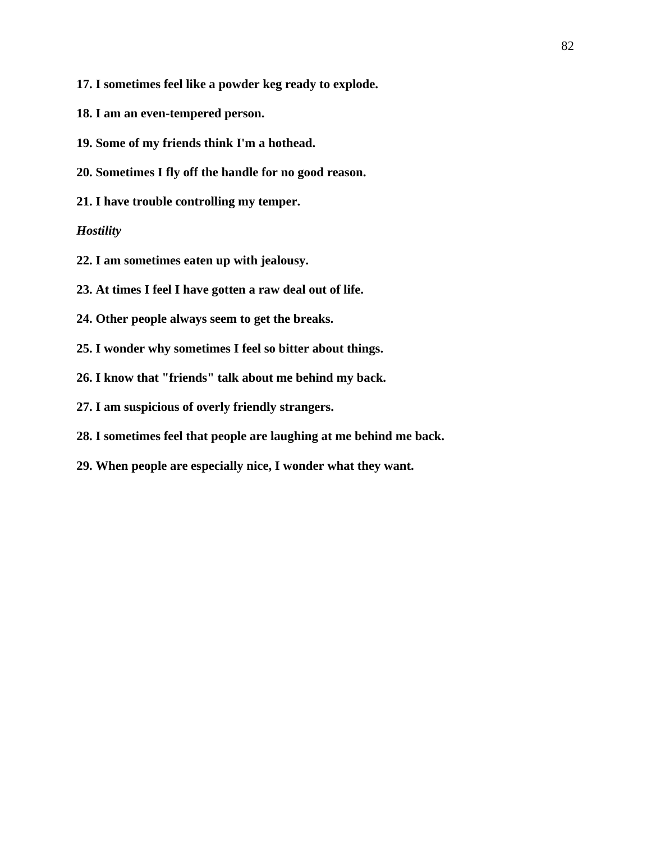- **17. I sometimes feel like a powder keg ready to explode.**
- **18. I am an even-tempered person.**
- **19. Some of my friends think I'm a hothead.**
- **20. Sometimes I fly off the handle for no good reason.**
- **21. I have trouble controlling my temper.**

## *Hostility*

- **22. I am sometimes eaten up with jealousy.**
- **23. At times I feel I have gotten a raw deal out of life.**
- **24. Other people always seem to get the breaks.**
- **25. I wonder why sometimes I feel so bitter about things.**
- **26. I know that "friends" talk about me behind my back.**
- **27. I am suspicious of overly friendly strangers.**
- **28. I sometimes feel that people are laughing at me behind me back.**
- **29. When people are especially nice, I wonder what they want.**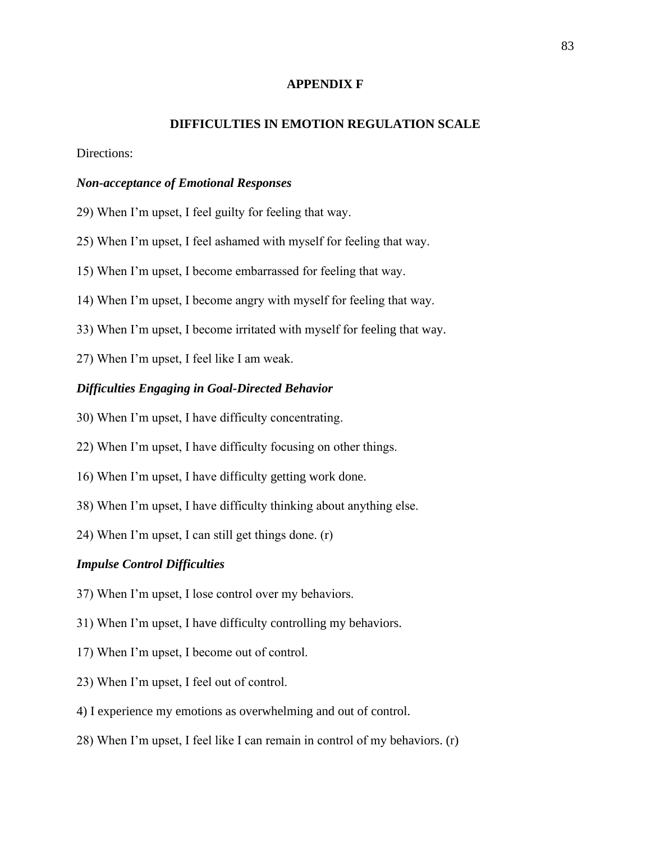## **APPENDIX F**

#### **DIFFICULTIES IN EMOTION REGULATION SCALE**

Directions:

#### *Non-acceptance of Emotional Responses*

- 29) When I'm upset, I feel guilty for feeling that way.
- 25) When I'm upset, I feel ashamed with myself for feeling that way.
- 15) When I'm upset, I become embarrassed for feeling that way.
- 14) When I'm upset, I become angry with myself for feeling that way.
- 33) When I'm upset, I become irritated with myself for feeling that way.
- 27) When I'm upset, I feel like I am weak.

## *Difficulties Engaging in Goal-Directed Behavior*

- 30) When I'm upset, I have difficulty concentrating.
- 22) When I'm upset, I have difficulty focusing on other things.
- 16) When I'm upset, I have difficulty getting work done.
- 38) When I'm upset, I have difficulty thinking about anything else.
- 24) When I'm upset, I can still get things done. (r)

#### *Impulse Control Difficulties*

- 37) When I'm upset, I lose control over my behaviors.
- 31) When I'm upset, I have difficulty controlling my behaviors.
- 17) When I'm upset, I become out of control.
- 23) When I'm upset, I feel out of control.
- 4) I experience my emotions as overwhelming and out of control.
- 28) When I'm upset, I feel like I can remain in control of my behaviors. (r)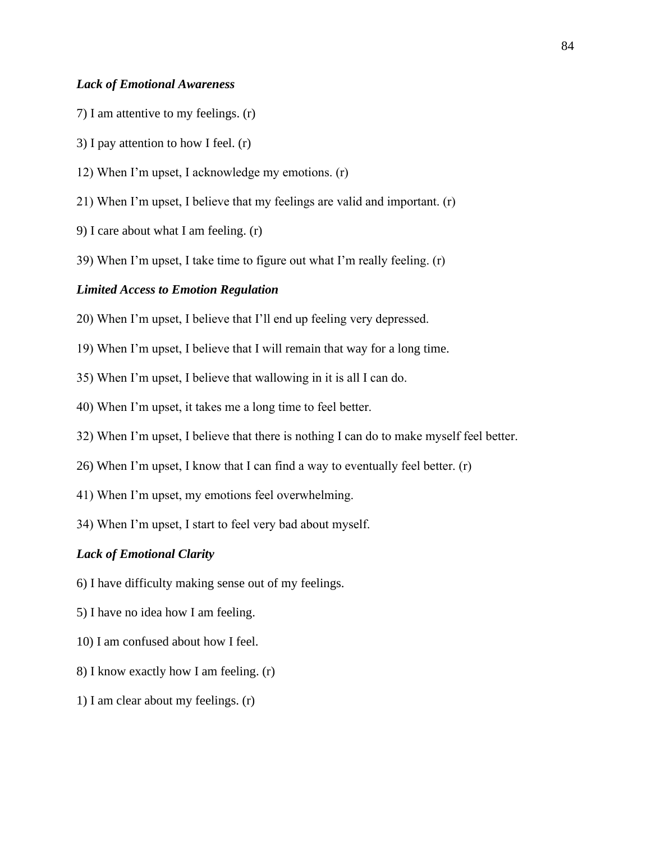## *Lack of Emotional Awareness*

- 7) I am attentive to my feelings. (r)
- 3) I pay attention to how I feel. (r)
- 12) When I'm upset, I acknowledge my emotions. (r)
- 21) When I'm upset, I believe that my feelings are valid and important. (r)
- 9) I care about what I am feeling. (r)
- 39) When I'm upset, I take time to figure out what I'm really feeling. (r)

#### *Limited Access to Emotion Regulation*

- 20) When I'm upset, I believe that I'll end up feeling very depressed.
- 19) When I'm upset, I believe that I will remain that way for a long time.
- 35) When I'm upset, I believe that wallowing in it is all I can do.
- 40) When I'm upset, it takes me a long time to feel better.
- 32) When I'm upset, I believe that there is nothing I can do to make myself feel better.
- 26) When I'm upset, I know that I can find a way to eventually feel better. (r)
- 41) When I'm upset, my emotions feel overwhelming.
- 34) When I'm upset, I start to feel very bad about myself.

#### *Lack of Emotional Clarity*

- 6) I have difficulty making sense out of my feelings.
- 5) I have no idea how I am feeling.
- 10) I am confused about how I feel.
- 8) I know exactly how I am feeling. (r)
- 1) I am clear about my feelings. (r)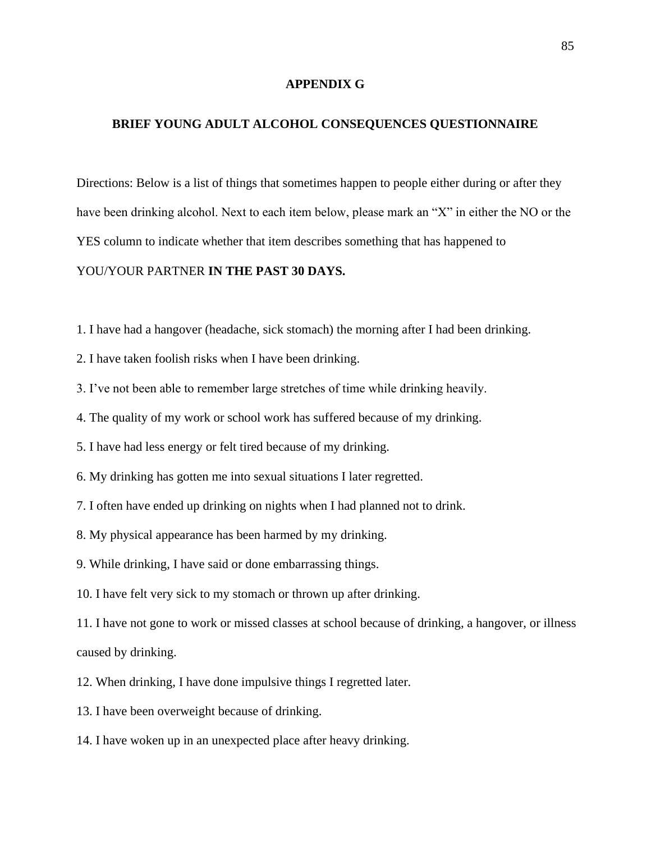#### **APPENDIX G**

## **BRIEF YOUNG ADULT ALCOHOL CONSEQUENCES QUESTIONNAIRE**

Directions: Below is a list of things that sometimes happen to people either during or after they have been drinking alcohol. Next to each item below, please mark an "X" in either the NO or the YES column to indicate whether that item describes something that has happened to YOU/YOUR PARTNER **IN THE PAST 30 DAYS.**

- 1. I have had a hangover (headache, sick stomach) the morning after I had been drinking.
- 2. I have taken foolish risks when I have been drinking.
- 3. I've not been able to remember large stretches of time while drinking heavily.
- 4. The quality of my work or school work has suffered because of my drinking.
- 5. I have had less energy or felt tired because of my drinking.
- 6. My drinking has gotten me into sexual situations I later regretted.
- 7. I often have ended up drinking on nights when I had planned not to drink.
- 8. My physical appearance has been harmed by my drinking.
- 9. While drinking, I have said or done embarrassing things.
- 10. I have felt very sick to my stomach or thrown up after drinking.

11. I have not gone to work or missed classes at school because of drinking, a hangover, or illness caused by drinking.

- 12. When drinking, I have done impulsive things I regretted later.
- 13. I have been overweight because of drinking.
- 14. I have woken up in an unexpected place after heavy drinking.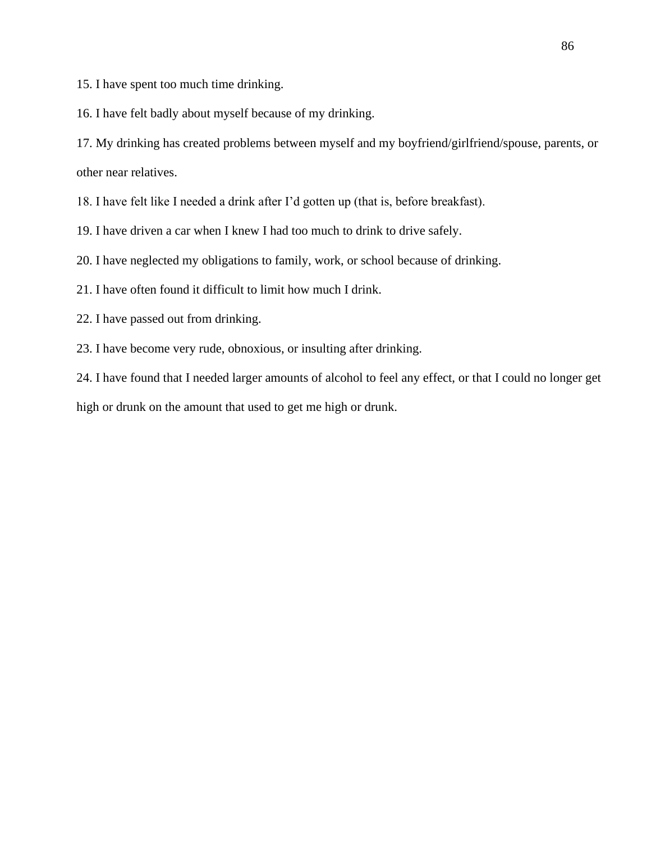15. I have spent too much time drinking.

16. I have felt badly about myself because of my drinking.

17. My drinking has created problems between myself and my boyfriend/girlfriend/spouse, parents, or other near relatives.

18. I have felt like I needed a drink after I'd gotten up (that is, before breakfast).

19. I have driven a car when I knew I had too much to drink to drive safely.

20. I have neglected my obligations to family, work, or school because of drinking.

21. I have often found it difficult to limit how much I drink.

22. I have passed out from drinking.

23. I have become very rude, obnoxious, or insulting after drinking.

24. I have found that I needed larger amounts of alcohol to feel any effect, or that I could no longer get high or drunk on the amount that used to get me high or drunk.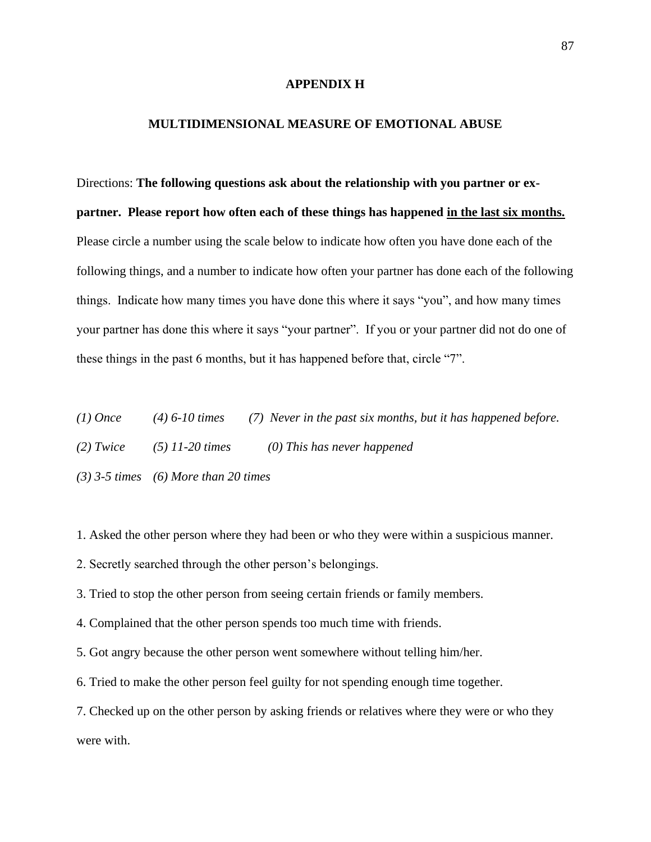#### **APPENDIX H**

## **MULTIDIMENSIONAL MEASURE OF EMOTIONAL ABUSE**

Directions: **The following questions ask about the relationship with you partner or expartner. Please report how often each of these things has happened in the last six months.**  Please circle a number using the scale below to indicate how often you have done each of the following things, and a number to indicate how often your partner has done each of the following things. Indicate how many times you have done this where it says "you", and how many times your partner has done this where it says "your partner". If you or your partner did not do one of these things in the past 6 months, but it has happened before that, circle "7".

| (1) Once    | $(4)$ 6-10 times                         | (7) Never in the past six months, but it has happened before. |
|-------------|------------------------------------------|---------------------------------------------------------------|
| $(2)$ Twice | $(5)$ 11-20 times                        | $(0)$ This has never happened                                 |
|             | $(3)$ 3-5 times $(6)$ More than 20 times |                                                               |

1. Asked the other person where they had been or who they were within a suspicious manner.

2. Secretly searched through the other person's belongings.

3. Tried to stop the other person from seeing certain friends or family members.

4. Complained that the other person spends too much time with friends.

5. Got angry because the other person went somewhere without telling him/her.

6. Tried to make the other person feel guilty for not spending enough time together.

7. Checked up on the other person by asking friends or relatives where they were or who they were with.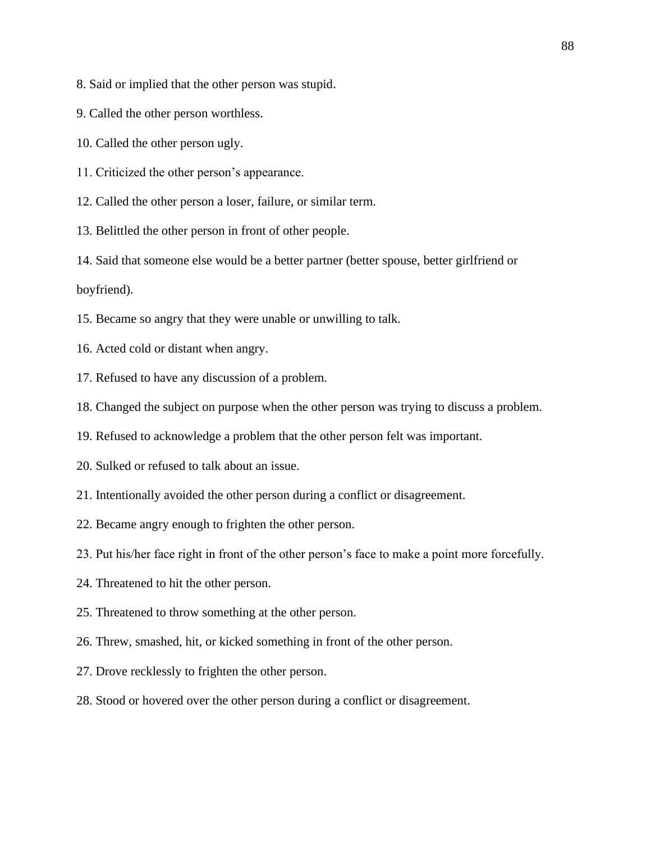8. Said or implied that the other person was stupid.

9. Called the other person worthless.

10. Called the other person ugly.

11. Criticized the other person's appearance.

12. Called the other person a loser, failure, or similar term.

13. Belittled the other person in front of other people.

14. Said that someone else would be a better partner (better spouse, better girlfriend or boyfriend).

15. Became so angry that they were unable or unwilling to talk.

- 16. Acted cold or distant when angry.
- 17. Refused to have any discussion of a problem.
- 18. Changed the subject on purpose when the other person was trying to discuss a problem.

19. Refused to acknowledge a problem that the other person felt was important.

- 20. Sulked or refused to talk about an issue.
- 21. Intentionally avoided the other person during a conflict or disagreement.
- 22. Became angry enough to frighten the other person.
- 23. Put his/her face right in front of the other person's face to make a point more forcefully.
- 24. Threatened to hit the other person.
- 25. Threatened to throw something at the other person.
- 26. Threw, smashed, hit, or kicked something in front of the other person.
- 27. Drove recklessly to frighten the other person.
- 28. Stood or hovered over the other person during a conflict or disagreement.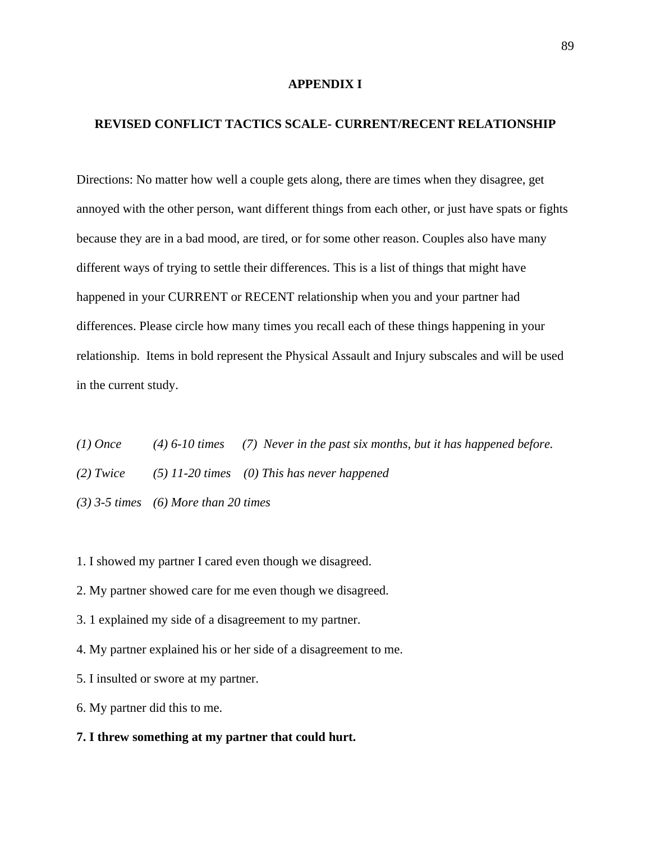#### **APPENDIX I**

## **REVISED CONFLICT TACTICS SCALE- CURRENT/RECENT RELATIONSHIP**

Directions: No matter how well a couple gets along, there are times when they disagree, get annoyed with the other person, want different things from each other, or just have spats or fights because they are in a bad mood, are tired, or for some other reason. Couples also have many different ways of trying to settle their differences. This is a list of things that might have happened in your CURRENT or RECENT relationship when you and your partner had differences. Please circle how many times you recall each of these things happening in your relationship. Items in bold represent the Physical Assault and Injury subscales and will be used in the current study.

*(1) Once (4) 6-10 times (7) Never in the past six months, but it has happened before. (2) Twice (5) 11-20 times (0) This has never happened (3) 3-5 times (6) More than 20 times*

1. I showed my partner I cared even though we disagreed.

- 2. My partner showed care for me even though we disagreed.
- 3. 1 explained my side of a disagreement to my partner.
- 4. My partner explained his or her side of a disagreement to me.
- 5. I insulted or swore at my partner.
- 6. My partner did this to me.
- **7. I threw something at my partner that could hurt.**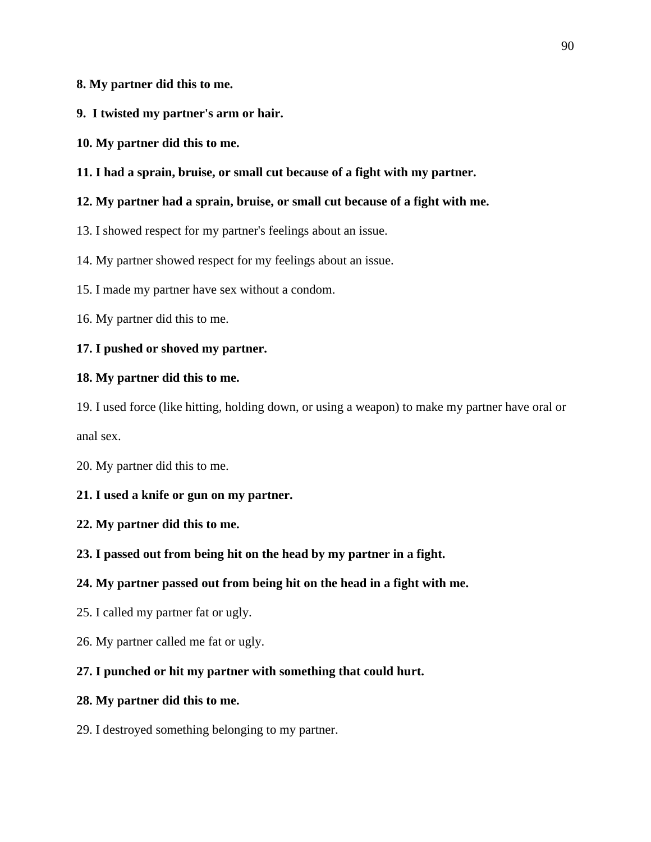## **8. My partner did this to me.**

- **9. I twisted my partner's arm or hair.**
- **10. My partner did this to me.**
- **11. I had a sprain, bruise, or small cut because of a fight with my partner.**

## **12. My partner had a sprain, bruise, or small cut because of a fight with me.**

13. I showed respect for my partner's feelings about an issue.

14. My partner showed respect for my feelings about an issue.

15. I made my partner have sex without a condom.

16. My partner did this to me.

### **17. I pushed or shoved my partner.**

### **18. My partner did this to me.**

19. I used force (like hitting, holding down, or using a weapon) to make my partner have oral or

anal sex.

20. My partner did this to me.

### **21. I used a knife or gun on my partner.**

### **22. My partner did this to me.**

### **23. I passed out from being hit on the head by my partner in a fight.**

## **24. My partner passed out from being hit on the head in a fight with me.**

- 25. I called my partner fat or ugly.
- 26. My partner called me fat or ugly.

## **27. I punched or hit my partner with something that could hurt.**

## **28. My partner did this to me.**

29. I destroyed something belonging to my partner.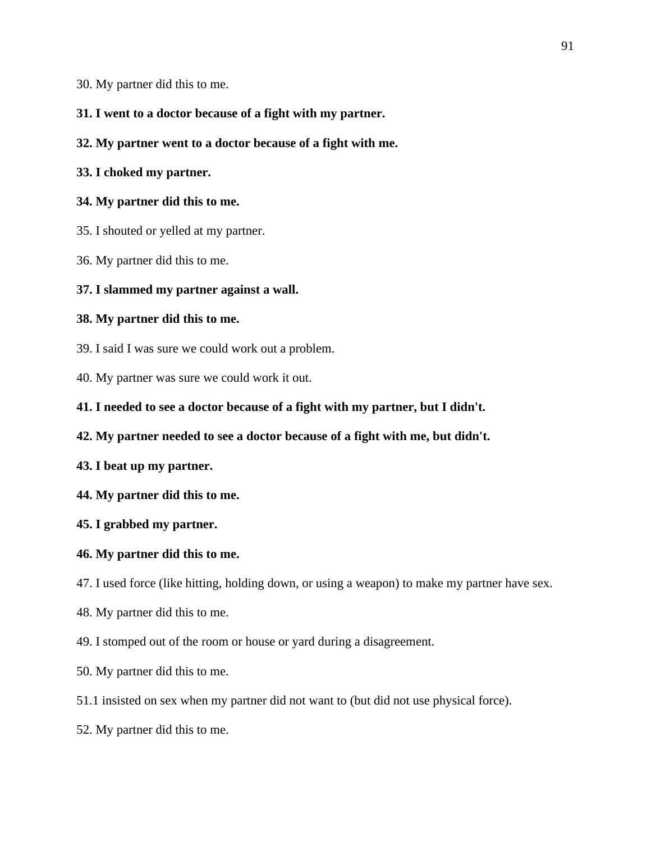30. My partner did this to me.

## **31. I went to a doctor because of a fight with my partner.**

**32. My partner went to a doctor because of a fight with me.**

## **33. I choked my partner.**

## **34. My partner did this to me.**

- 35. I shouted or yelled at my partner.
- 36. My partner did this to me.

## **37. I slammed my partner against a wall.**

## **38. My partner did this to me.**

- 39. I said I was sure we could work out a problem.
- 40. My partner was sure we could work it out.
- **41. I needed to see a doctor because of a fight with my partner, but I didn't.**
- **42. My partner needed to see a doctor because of a fight with me, but didn't.**
- **43. I beat up my partner.**
- **44. My partner did this to me.**
- **45. I grabbed my partner.**

## **46. My partner did this to me.**

47. I used force (like hitting, holding down, or using a weapon) to make my partner have sex.

- 48. My partner did this to me.
- 49. I stomped out of the room or house or yard during a disagreement.
- 50. My partner did this to me.
- 51.1 insisted on sex when my partner did not want to (but did not use physical force).
- 52. My partner did this to me.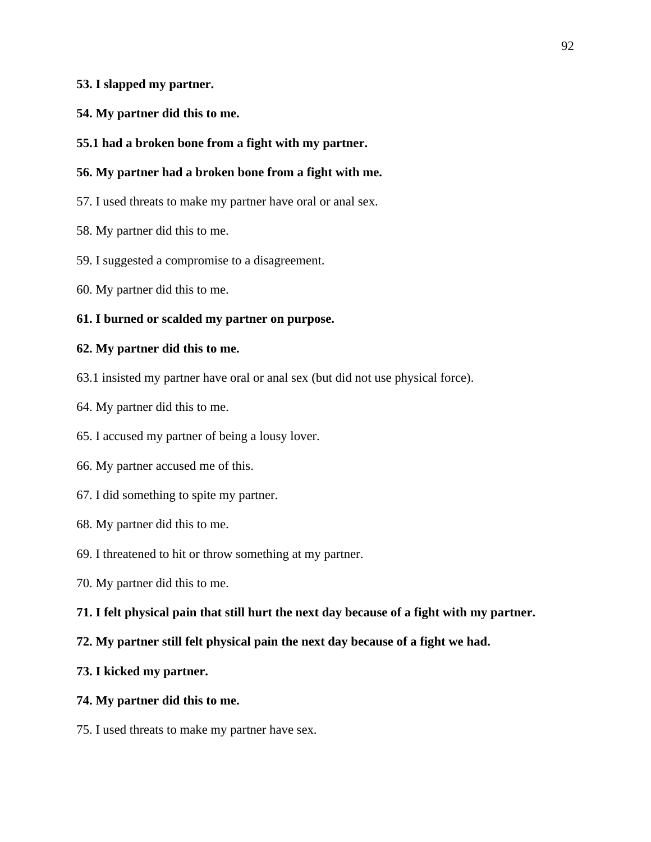## **53. I slapped my partner.**

- **54. My partner did this to me.**
- **55.1 had a broken bone from a fight with my partner.**

## **56. My partner had a broken bone from a fight with me.**

- 57. I used threats to make my partner have oral or anal sex.
- 58. My partner did this to me.
- 59. I suggested a compromise to a disagreement.
- 60. My partner did this to me.

### **61. I burned or scalded my partner on purpose.**

#### **62. My partner did this to me.**

- 63.1 insisted my partner have oral or anal sex (but did not use physical force).
- 64. My partner did this to me.
- 65. I accused my partner of being a lousy lover.
- 66. My partner accused me of this.
- 67. I did something to spite my partner.
- 68. My partner did this to me.
- 69. I threatened to hit or throw something at my partner.
- 70. My partner did this to me.
- **71. I felt physical pain that still hurt the next day because of a fight with my partner.**

### **72. My partner still felt physical pain the next day because of a fight we had.**

### **73. I kicked my partner.**

## **74. My partner did this to me.**

75. I used threats to make my partner have sex.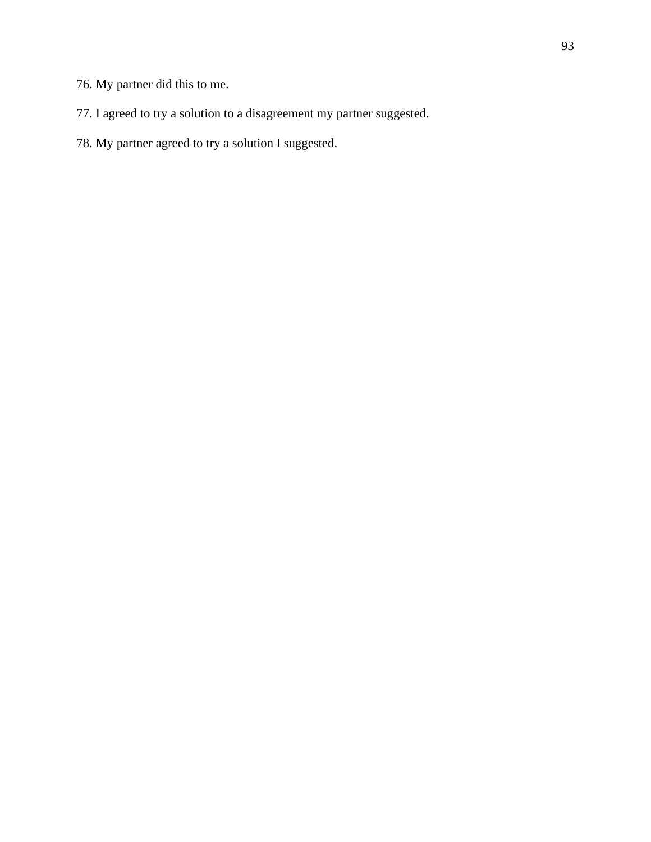- 76. My partner did this to me.
- 77. I agreed to try a solution to a disagreement my partner suggested.
- 78. My partner agreed to try a solution I suggested.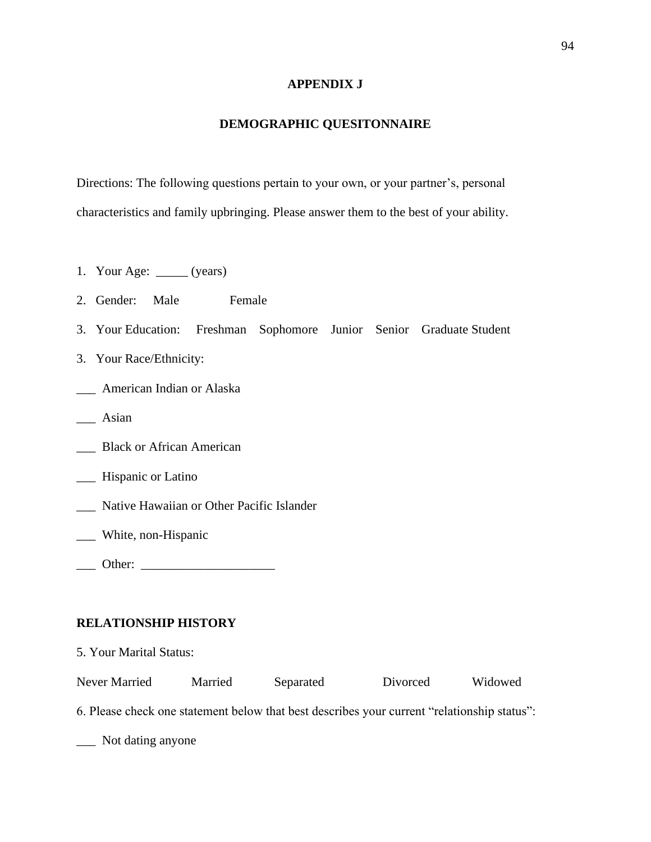## **APPENDIX J**

## **DEMOGRAPHIC QUESITONNAIRE**

Directions: The following questions pertain to your own, or your partner's, personal characteristics and family upbringing. Please answer them to the best of your ability.

- 1. Your Age: \_\_\_\_\_ (years)
- 2. Gender: Male Female
- 3. Your Education: Freshman Sophomore Junior Senior Graduate Student
- 3. Your Race/Ethnicity:
- \_\_\_ American Indian or Alaska
- \_\_\_ Asian
- \_\_\_ Black or African American
- \_\_\_ Hispanic or Latino
- \_\_\_ Native Hawaiian or Other Pacific Islander
- \_\_\_ White, non-Hispanic
- \_\_\_ Other: \_\_\_\_\_\_\_\_\_\_\_\_\_\_\_\_\_\_\_\_\_

## **RELATIONSHIP HISTORY**

| 5. Your Marital Status:                                                                     |         |           |          |         |  |  |
|---------------------------------------------------------------------------------------------|---------|-----------|----------|---------|--|--|
| Never Married                                                                               | Married | Separated | Divorced | Widowed |  |  |
| 6. Please check one statement below that best describes your current "relationship status": |         |           |          |         |  |  |

\_\_\_ Not dating anyone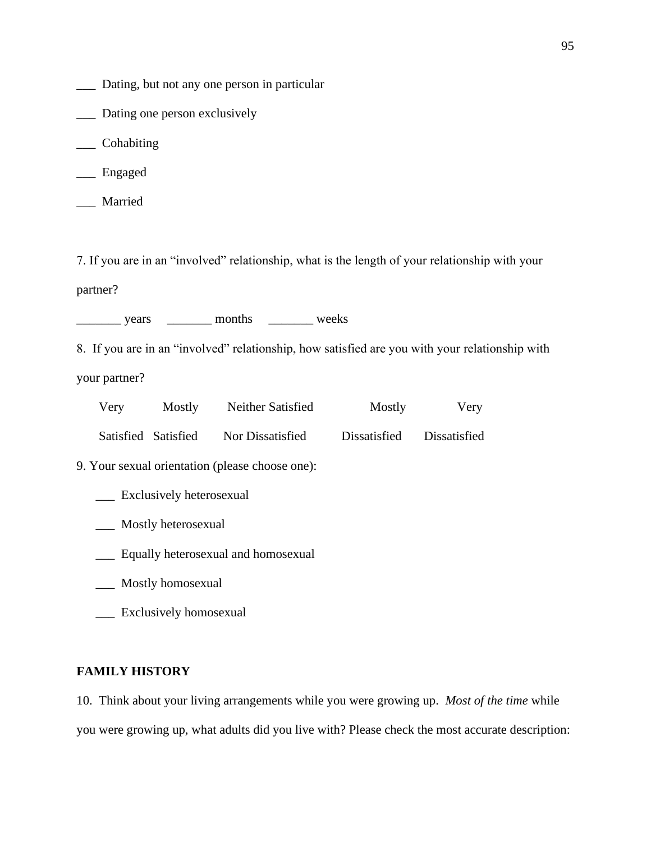- \_\_\_ Dating, but not any one person in particular
- \_\_\_ Dating one person exclusively
- \_\_\_ Cohabiting
- \_\_\_ Engaged
- \_\_\_ Married

7. If you are in an "involved" relationship, what is the length of your relationship with your

partner?

\_\_\_\_\_\_\_ years \_\_\_\_\_\_\_ months \_\_\_\_\_\_\_ weeks

8. If you are in an "involved" relationship, how satisfied are you with your relationship with

your partner?

| Very                | Mostly | Neither Satisfied | Mostly       | Very         |
|---------------------|--------|-------------------|--------------|--------------|
| Satisfied Satisfied |        | Nor Dissatisfied  | Dissatisfied | Dissatisfied |

9. Your sexual orientation (please choose one):

- \_\_\_ Exclusively heterosexual
- \_\_\_ Mostly heterosexual
- \_\_\_ Equally heterosexual and homosexual
- \_\_\_ Mostly homosexual

\_\_\_ Exclusively homosexual

#### **FAMILY HISTORY**

10. Think about your living arrangements while you were growing up. *Most of the time* while you were growing up, what adults did you live with? Please check the most accurate description: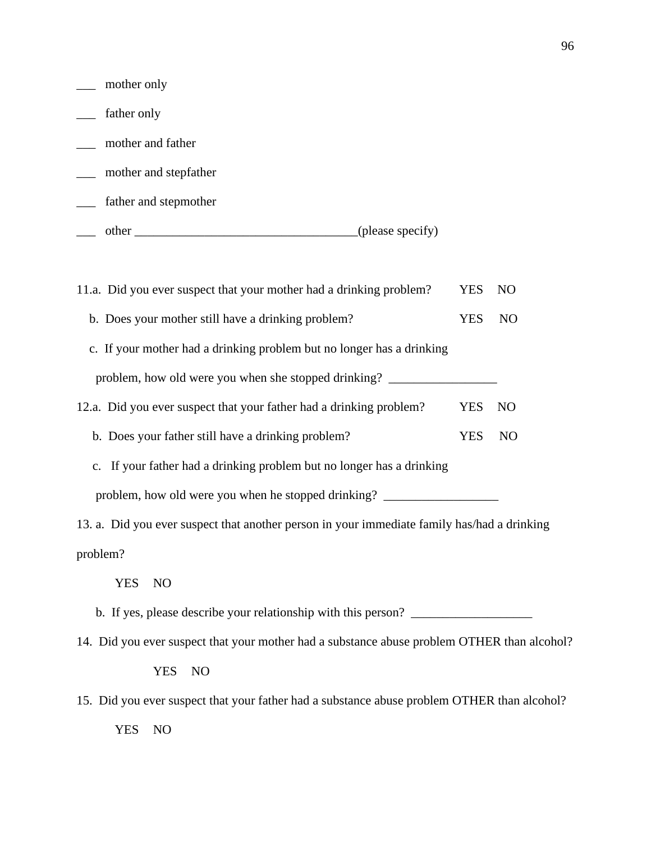| mother only                                                                                 |            |                |
|---------------------------------------------------------------------------------------------|------------|----------------|
| father only                                                                                 |            |                |
| mother and father                                                                           |            |                |
| mother and stepfather<br>$\mathcal{L}(\mathcal{L})$                                         |            |                |
| father and stepmother                                                                       |            |                |
|                                                                                             |            |                |
| 11.a. Did you ever suspect that your mother had a drinking problem?                         | <b>YES</b> | N <sub>O</sub> |
|                                                                                             |            |                |
| b. Does your mother still have a drinking problem?                                          | <b>YES</b> | N <sub>O</sub> |
| c. If your mother had a drinking problem but no longer has a drinking                       |            |                |
| problem, how old were you when she stopped drinking? ___________________________            |            |                |
| 12.a. Did you ever suspect that your father had a drinking problem?                         | <b>YES</b> | N <sub>O</sub> |
| b. Does your father still have a drinking problem?                                          | <b>YES</b> | N <sub>O</sub> |
| c. If your father had a drinking problem but no longer has a drinking                       |            |                |
| problem, how old were you when he stopped drinking? ____________________________            |            |                |
| 13. a. Did you ever suspect that another person in your immediate family has/had a drinking |            |                |
| problem?                                                                                    |            |                |
| <b>YES</b><br>N <sub>O</sub>                                                                |            |                |
| b. If yes, please describe your relationship with this person?                              |            |                |
| 14. Did you ever suspect that your mother had a substance abuse problem OTHER than alcohol? |            |                |
| <b>YES</b><br>N <sub>O</sub>                                                                |            |                |
| 15. Did you ever suspect that your father had a substance abuse problem OTHER than alcohol? |            |                |

YES NO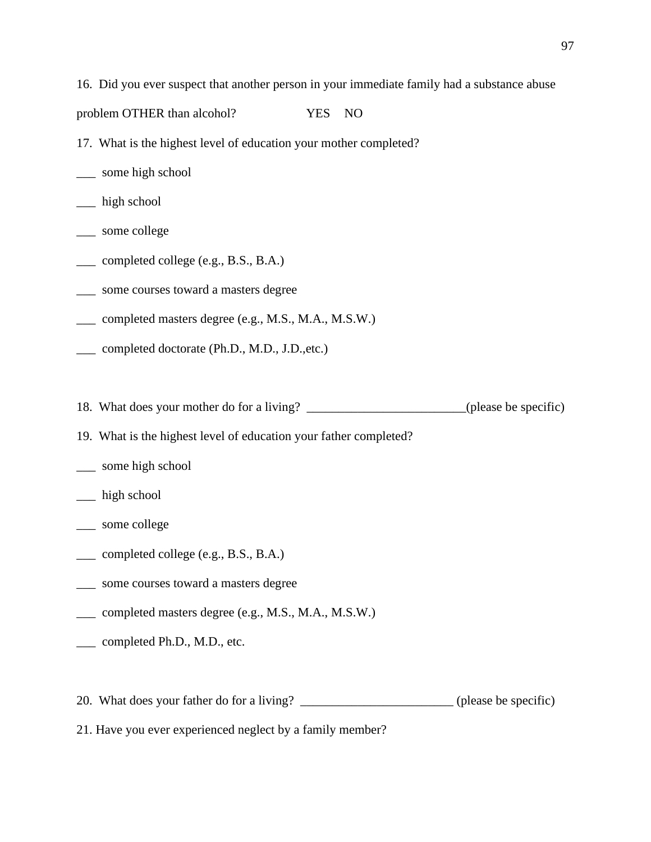16. Did you ever suspect that another person in your immediate family had a substance abuse

problem OTHER than alcohol? YES NO

- 17. What is the highest level of education your mother completed?
- \_\_\_ some high school
- \_\_\_ high school
- \_\_\_ some college
- \_\_\_ completed college (e.g., B.S., B.A.)
- \_\_\_ some courses toward a masters degree
- \_\_\_ completed masters degree (e.g., M.S., M.A., M.S.W.)
- \_\_\_ completed doctorate (Ph.D., M.D., J.D.,etc.)

18. What does your mother do for a living? \_\_\_\_\_\_\_\_\_\_\_\_\_\_\_\_\_\_\_\_\_\_\_\_(please be specific)

- 19. What is the highest level of education your father completed?
- \_\_\_ some high school
- \_\_\_ high school
- \_\_\_ some college
- \_\_\_ completed college (e.g., B.S., B.A.)
- \_\_\_ some courses toward a masters degree
- \_\_\_ completed masters degree (e.g., M.S., M.A., M.S.W.)
- \_\_\_ completed Ph.D., M.D., etc.

20. What does your father do for a living? \_\_\_\_\_\_\_\_\_\_\_\_\_\_\_\_\_\_\_\_\_\_\_\_\_\_ (please be specific)

21. Have you ever experienced neglect by a family member?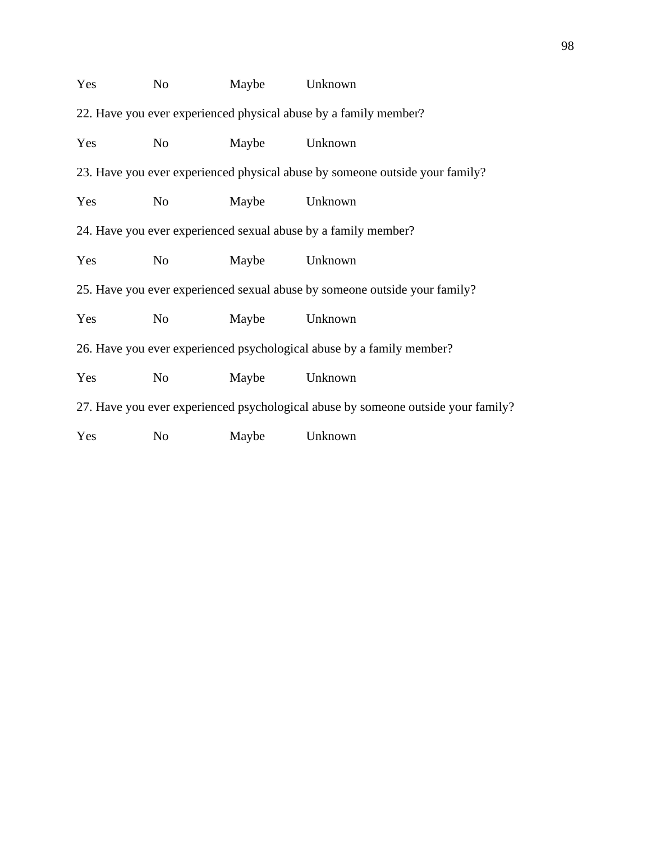| Yes                                                                               | N <sub>o</sub> | Maybe | Unknown |  |
|-----------------------------------------------------------------------------------|----------------|-------|---------|--|
| 22. Have you ever experienced physical abuse by a family member?                  |                |       |         |  |
| Yes                                                                               | No             | Maybe | Unknown |  |
| 23. Have you ever experienced physical abuse by someone outside your family?      |                |       |         |  |
| Yes                                                                               | N <sub>o</sub> | Maybe | Unknown |  |
| 24. Have you ever experienced sexual abuse by a family member?                    |                |       |         |  |
| Yes                                                                               | No             | Maybe | Unknown |  |
| 25. Have you ever experienced sexual abuse by someone outside your family?        |                |       |         |  |
| Yes                                                                               | N <sub>o</sub> | Maybe | Unknown |  |
| 26. Have you ever experienced psychological abuse by a family member?             |                |       |         |  |
| Yes                                                                               | No             | Maybe | Unknown |  |
| 27. Have you ever experienced psychological abuse by someone outside your family? |                |       |         |  |
| Yes                                                                               | N <sub>o</sub> | Maybe | Unknown |  |